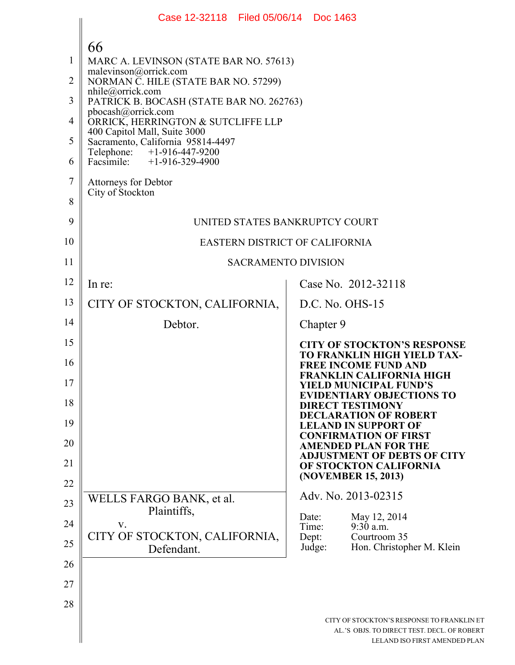|                          | Case 12-32118 Filed 05/06/14 Doc 1463                                                                                                                                         |                                                                                                                                                                      |
|--------------------------|-------------------------------------------------------------------------------------------------------------------------------------------------------------------------------|----------------------------------------------------------------------------------------------------------------------------------------------------------------------|
| 1<br>$\overline{2}$<br>3 | 66<br>MARC A. LEVINSON (STATE BAR NO. 57613)<br>malevinson@orrick.com<br>NORMAN C. HILE (STATE BAR NO. 57299)<br>nhile@orrick.com<br>PATRICK B. BOCASH (STATE BAR NO. 262763) |                                                                                                                                                                      |
| 4                        | pbocash@orrick.com<br>ORRICK, HERRINGTON & SUTCLIFFE LLP                                                                                                                      |                                                                                                                                                                      |
| 5                        | 400 Capitol Mall, Suite 3000<br>Sacramento, California 95814-4497                                                                                                             |                                                                                                                                                                      |
| 6                        | Telephone: +1-916-447-9200<br>Facsimile: +1-916-329-4900                                                                                                                      |                                                                                                                                                                      |
| $\overline{7}$<br>8      | Attorneys for Debtor<br>City of Stockton                                                                                                                                      |                                                                                                                                                                      |
| 9                        | UNITED STATES BANKRUPTCY COURT                                                                                                                                                |                                                                                                                                                                      |
| 10                       | <b>EASTERN DISTRICT OF CALIFORNIA</b>                                                                                                                                         |                                                                                                                                                                      |
| 11                       | <b>SACRAMENTO DIVISION</b>                                                                                                                                                    |                                                                                                                                                                      |
| 12                       | In re:                                                                                                                                                                        | Case No. 2012-32118                                                                                                                                                  |
| 13                       | CITY OF STOCKTON, CALIFORNIA,                                                                                                                                                 | $D.C. No. OHS-15$                                                                                                                                                    |
| 14                       | Debtor.                                                                                                                                                                       | Chapter 9                                                                                                                                                            |
| 15<br>16<br>17           |                                                                                                                                                                               | <b>CITY OF STOCKTON'S RESPONSE</b><br><b>TO FRANKLIN HIGH YIELD TAX-</b><br><b>FREE INCOME FUND AND</b><br>FRANKLIN CALIFORNIA HIGH<br><b>YIELD MUNICIPAL FUND'S</b> |
| 18                       |                                                                                                                                                                               | <b>EVIDENTIARY OBJECTIONS TO</b><br><b>DIRECT TESTIMONY</b><br><b>DECLARATION OF ROBERT</b>                                                                          |
| 19                       |                                                                                                                                                                               | <b>LELAND IN SUPPORT OF</b><br><b>CONFIRMATION OF FIRST</b>                                                                                                          |
| 20<br>21                 |                                                                                                                                                                               | <b>AMENDED PLAN FOR THE</b><br><b>ADJUSTMENT OF DEBTS OF CITY</b>                                                                                                    |
| 22                       |                                                                                                                                                                               | OF STOCKTON CALIFORNIA<br>(NOVEMBER 15, 2013)                                                                                                                        |
| 23                       | WELLS FARGO BANK, et al.                                                                                                                                                      | Adv. No. 2013-02315                                                                                                                                                  |
| 24                       | Plaintiffs,<br>V.                                                                                                                                                             | May 12, 2014<br>Date:<br>Time:<br>9:30 a.m.                                                                                                                          |
| 25                       | CITY OF STOCKTON, CALIFORNIA,<br>Defendant.                                                                                                                                   | Dept:<br>Courtroom 35<br>Hon. Christopher M. Klein<br>Judge:                                                                                                         |
| 26                       |                                                                                                                                                                               |                                                                                                                                                                      |
| 27                       |                                                                                                                                                                               |                                                                                                                                                                      |
| 28                       |                                                                                                                                                                               |                                                                                                                                                                      |
|                          |                                                                                                                                                                               | CITY OF STOCKTON'S RESPONSE TO FRANKLIN ET<br>AL.'S OBJS. TO DIRECT TEST. DECL. OF ROBERT<br>LELAND ISO FIRST AMENDED PLAN                                           |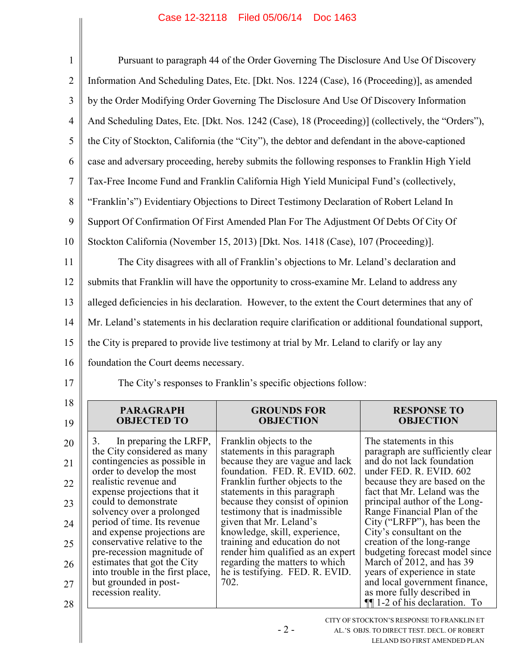| $\mathbf{1}$   | Pursuant to paragraph 44 of the Order Governing The Disclosure And Use Of Discovery                  |                                                                                                   |                                                                                           |
|----------------|------------------------------------------------------------------------------------------------------|---------------------------------------------------------------------------------------------------|-------------------------------------------------------------------------------------------|
| $\overline{2}$ | Information And Scheduling Dates, Etc. [Dkt. Nos. 1224 (Case), 16 (Proceeding)], as amended          |                                                                                                   |                                                                                           |
| 3              | by the Order Modifying Order Governing The Disclosure And Use Of Discovery Information               |                                                                                                   |                                                                                           |
| 4              |                                                                                                      | And Scheduling Dates, Etc. [Dkt. Nos. 1242 (Case), 18 (Proceeding)] (collectively, the "Orders"), |                                                                                           |
| 5              | the City of Stockton, California (the "City"), the debtor and defendant in the above-captioned       |                                                                                                   |                                                                                           |
| 6              |                                                                                                      | case and adversary proceeding, hereby submits the following responses to Franklin High Yield      |                                                                                           |
| $\overline{7}$ |                                                                                                      | Tax-Free Income Fund and Franklin California High Yield Municipal Fund's (collectively,           |                                                                                           |
| 8              |                                                                                                      | "Franklin's") Evidentiary Objections to Direct Testimony Declaration of Robert Leland In          |                                                                                           |
| 9              |                                                                                                      | Support Of Confirmation Of First Amended Plan For The Adjustment Of Debts Of City Of              |                                                                                           |
| 10             |                                                                                                      | Stockton California (November 15, 2013) [Dkt. Nos. 1418 (Case), 107 (Proceeding)].                |                                                                                           |
| 11             |                                                                                                      | The City disagrees with all of Franklin's objections to Mr. Leland's declaration and              |                                                                                           |
| 12             |                                                                                                      | submits that Franklin will have the opportunity to cross-examine Mr. Leland to address any        |                                                                                           |
| 13             | alleged deficiencies in his declaration. However, to the extent the Court determines that any of     |                                                                                                   |                                                                                           |
| 14             | Mr. Leland's statements in his declaration require clarification or additional foundational support, |                                                                                                   |                                                                                           |
|                | the City is prepared to provide live testimony at trial by Mr. Leland to clarify or lay any          |                                                                                                   |                                                                                           |
| 15             |                                                                                                      |                                                                                                   |                                                                                           |
| 16             | foundation the Court deems necessary.                                                                |                                                                                                   |                                                                                           |
| 17             |                                                                                                      | The City's responses to Franklin's specific objections follow:                                    |                                                                                           |
| 18             | <b>PARAGRAPH</b>                                                                                     | <b>GROUNDS FOR</b>                                                                                | <b>RESPONSE TO</b>                                                                        |
| 19             | <b>OBJECTED TO</b>                                                                                   | <b>OBJECTION</b>                                                                                  | <b>OBJECTION</b>                                                                          |
| 20             | 3.<br>In preparing the LRFP,                                                                         | Franklin objects to the<br>statements in this paragraph                                           | The statements in this<br>paragraph are sufficiently clear                                |
| 21             | the City considered as many<br>contingencies as possible in                                          | because they are vague and lack<br>foundation. FED. R. EVID. 602.                                 | and do not lack foundation<br>under FED. R. EVID. 602                                     |
| 22             | order to develop the most<br>realistic revenue and                                                   | Franklin further objects to the                                                                   | because they are based on the                                                             |
| 23             | expense projections that it<br>could to demonstrate                                                  | statements in this paragraph<br>because they consist of opinion                                   | fact that Mr. Leland was the<br>principal author of the Long-                             |
| 24             | solvency over a prolonged<br>period of time. Its revenue                                             | testimony that is inadmissible.<br>given that Mr. Leland's                                        | Range Financial Plan of the<br>City ("LRFP"), has been the                                |
| 25             | and expense projections are<br>conservative relative to the                                          | knowledge, skill, experience,<br>training and education do not                                    | City's consultant on the<br>creation of the long-range                                    |
| 26             | pre-recession magnitude of<br>estimates that got the City                                            | render him qualified as an expert<br>regarding the matters to which                               | budgeting forecast model since<br>March of 2012, and has 39                               |
| 27             | into trouble in the first place,<br>but grounded in post-                                            | he is testifying. FED. R. EVID.<br>702.                                                           | years of experience in state<br>and local government finance,                             |
| 28             | recession reality.                                                                                   |                                                                                                   | as more fully described in<br>$\P$ [1-2 of his declaration. To                            |
|                |                                                                                                      | $-2-$                                                                                             | CITY OF STOCKTON'S RESPONSE TO FRANKLIN ET<br>AL.'S OBJS. TO DIRECT TEST. DECL. OF ROBERT |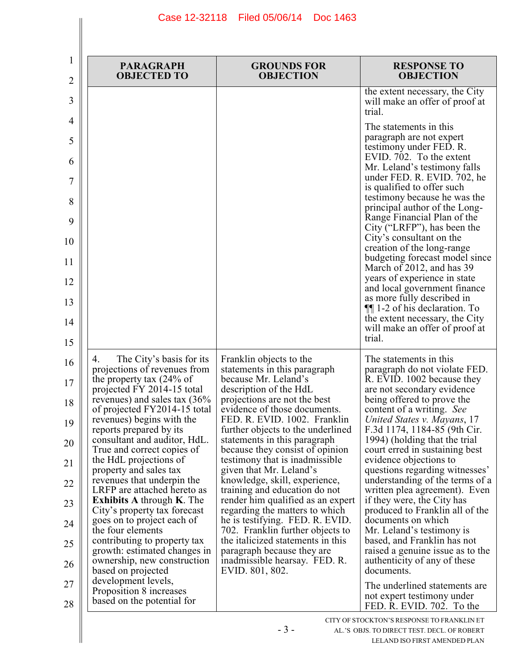| $\mathbf{1}$<br>2 | <b>PARAGRAPH</b><br><b>OBJECTED TO</b>                                         | <b>GROUNDS FOR</b><br><b>OBJECTION</b>                                                      | <b>RESPONSE TO</b><br><b>OBJECTION</b>                                                       |
|-------------------|--------------------------------------------------------------------------------|---------------------------------------------------------------------------------------------|----------------------------------------------------------------------------------------------|
| 3                 |                                                                                |                                                                                             | the extent necessary, the City<br>will make an offer of proof at<br>trial.                   |
| 4                 |                                                                                |                                                                                             | The statements in this                                                                       |
| 5                 |                                                                                |                                                                                             | paragraph are not expert<br>testimony under FED. R.<br>EVID. 702. To the extent              |
| 6                 |                                                                                |                                                                                             | Mr. Leland's testimony falls                                                                 |
| 7                 |                                                                                |                                                                                             | under FED. R. EVID. 702, he<br>is qualified to offer such                                    |
| 8<br>9            |                                                                                |                                                                                             | testimony because he was the<br>principal author of the Long-<br>Range Financial Plan of the |
| 10                |                                                                                |                                                                                             | City ("LRFP"), has been the<br>City's consultant on the<br>creation of the long-range        |
| 11                |                                                                                |                                                                                             | budgeting forecast model since<br>March of 2012, and has 39                                  |
| 12                |                                                                                |                                                                                             | years of experience in state<br>and local government finance                                 |
| 13                |                                                                                |                                                                                             | as more fully described in<br>$\P$ 1-2 of his declaration. To                                |
| 14                |                                                                                |                                                                                             | the extent necessary, the City<br>will make an offer of proof at                             |
| 15                |                                                                                |                                                                                             | trial.                                                                                       |
| 16                | The City's basis for its<br>4.<br>projections of revenues from                 | Franklin objects to the<br>statements in this paragraph                                     | The statements in this<br>paragraph do not violate FED.                                      |
| 17                | the property tax $(24\% \text{ of }$<br>projected FY 2014-15 total             | because Mr. Leland's<br>description of the HdL                                              | R. EVID. 1002 because they<br>are not secondary evidence                                     |
| 18                | revenues) and sales tax $(36\%$<br>of projected FY2014-15 total                | projections are not the best<br>evidence of those documents.                                | being offered to prove the<br>content of a writing. See                                      |
| 19                | revenues) begins with the<br>reports prepared by its                           | FED. R. EVID. 1002. Franklin<br>further objects to the underlined                           | United States v. Mayans, 17<br>F.3d 1174, 1184-85 (9th Cir.                                  |
| 20                | consultant and auditor, HdL.<br>True and correct copies of                     | statements in this paragraph<br>because they consist of opinion                             | 1994) (holding that the trial<br>court erred in sustaining best                              |
| 21                | the HdL projections of<br>property and sales tax<br>revenues that underpin the | testimony that is inadmissible.<br>given that Mr. Leland's<br>knowledge, skill, experience, | evidence objections to<br>questions regarding witnesses'<br>understanding of the terms of a  |
| 22                | LRFP are attached hereto as                                                    | training and education do not                                                               | written plea agreement). Even                                                                |
| 23                | <b>Exhibits A through K. The</b><br>City's property tax forecast               | render him qualified as an expert<br>regarding the matters to which                         | if they were, the City has<br>produced to Franklin all of the                                |
| 24                | goes on to project each of<br>the four elements                                | he is testifying. FED. R. EVID.<br>702. Franklin further objects to                         | documents on which<br>Mr. Leland's testimony is                                              |
| 25                | contributing to property tax<br>growth: estimated changes in                   | the italicized statements in this<br>paragraph because they are                             | based, and Franklin has not<br>raised a genuine issue as to the                              |
| 26                | ownership, new construction<br>based on projected                              | inadmissible hearsay. FED. R.<br>EVID. 801, 802.                                            | authenticity of any of these<br>documents.                                                   |
| 27                | development levels,<br>Proposition 8 increases                                 |                                                                                             | The underlined statements are.                                                               |
| 28                | based on the potential for                                                     |                                                                                             | not expert testimony under<br>FED. R. EVID. 702. To the                                      |
|                   |                                                                                |                                                                                             | CITY OF STOCKTON'S RESPONSE TO FRANKLIN ET                                                   |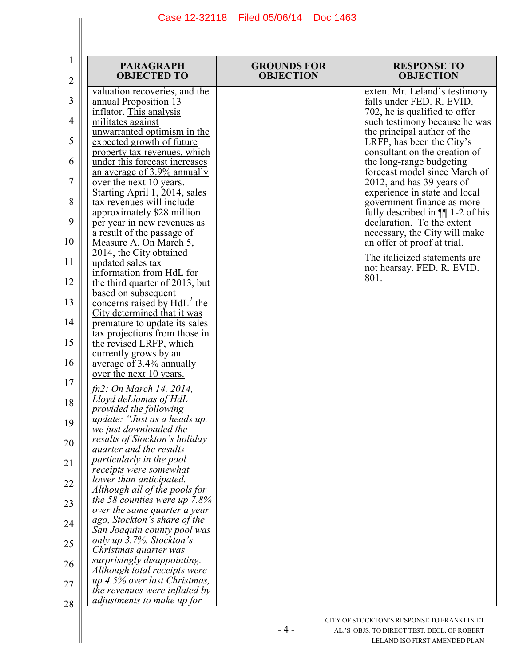| <b>PARAGRAPH</b><br><b>OBJECTED TO</b><br>$\overline{2}$                                                | <b>GROUNDS FOR</b><br><b>RESPONSE TO</b><br><b>OBJECTION</b><br><b>OBJECTION</b>          |
|---------------------------------------------------------------------------------------------------------|-------------------------------------------------------------------------------------------|
| valuation recoveries, and the<br>3<br>annual Proposition 13                                             | extent Mr. Leland's testimony<br>falls under FED. R. EVID.                                |
| inflator. This analysis<br>4<br>militates against                                                       | 702, he is qualified to offer<br>such testimony because he was                            |
| unwarranted optimism in the<br>5<br>expected growth of future<br>property tax revenues, which           | the principal author of the<br>LRFP, has been the City's<br>consultant on the creation of |
| under this forecast increases<br>6<br>an average of 3.9% annually                                       | the long-range budgeting<br>forecast model since March of                                 |
| 7<br>over the next 10 years.<br>Starting April 1, 2014, sales                                           | 2012, and has 39 years of<br>experience in state and local                                |
| 8<br>tax revenues will include<br>approximately \$28 million                                            | government finance as more<br>fully described in $\P$ 1-2 of his                          |
| 9<br>per year in new revenues as<br>a result of the passage of<br>10                                    | declaration. To the extent<br>necessary, the City will make                               |
| Measure A. On March 5,<br>2014, the City obtained<br>11<br>updated sales tax                            | an offer of proof at trial.<br>The italicized statements are                              |
| information from HdL for<br>12<br>the third quarter of 2013, but                                        | not hearsay. FED. R. EVID.<br>801.                                                        |
| based on subsequent<br>concerns raised by $H dL^2$ the<br>13                                            |                                                                                           |
| City determined that it was<br>14<br>premature to update its sales                                      |                                                                                           |
| tax projections from those in<br>15<br>the revised LRFP, which<br>currently grows by an                 |                                                                                           |
| 16<br>average of 3.4% annually<br>over the next 10 years.                                               |                                                                                           |
| 17<br>fn2: On March 14, 2014,<br>Lloyd deLlamas of HdL                                                  |                                                                                           |
| 18<br>provided the following<br>update: "Just as a heads up,<br>19                                      |                                                                                           |
| we just downloaded the<br>results of Stockton's holiday<br>20                                           |                                                                                           |
| quarter and the results<br>particularly in the pool<br>21                                               |                                                                                           |
| receipts were somewhat<br>lower than anticipated.<br>22<br>Although all of the pools for                |                                                                                           |
| the 58 counties were up $7.8\%$<br>23<br>over the same quarter a year                                   |                                                                                           |
| ago, Stockton's share of the<br>24<br>San Joaquin county pool was                                       |                                                                                           |
| only up 3.7%. Stockton's<br>25<br>Christmas quarter was                                                 |                                                                                           |
| surprisingly disappointing.<br>26<br>Although total receipts were                                       |                                                                                           |
| up 4.5% over last Christmas,<br>27<br>the revenues were inflated by<br>adjustments to make up for<br>28 |                                                                                           |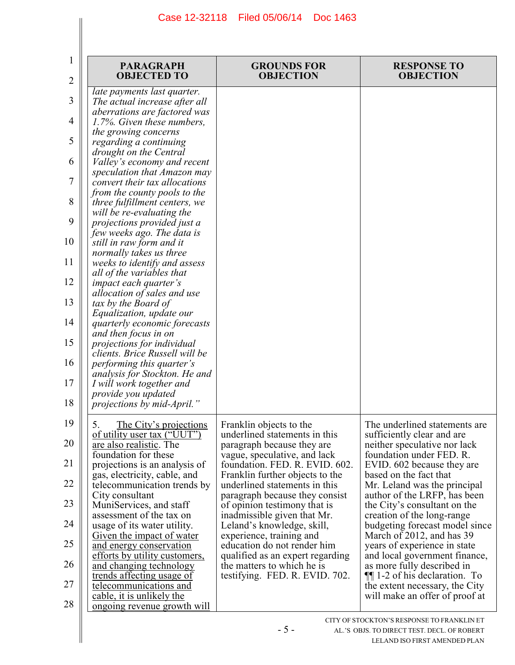| 1<br>2 | <b>PARAGRAPH</b><br><b>OBJECTED TO</b>                                                       | <b>GROUNDS FOR</b><br><b>OBJECTION</b>                                                       | <b>RESPONSE TO</b><br><b>OBJECTION</b>                                                 |
|--------|----------------------------------------------------------------------------------------------|----------------------------------------------------------------------------------------------|----------------------------------------------------------------------------------------|
| 3      | late payments last quarter.<br>The actual increase after all<br>aberrations are factored was |                                                                                              |                                                                                        |
| 4      | 1.7%. Given these numbers,<br>the growing concerns                                           |                                                                                              |                                                                                        |
| 5      | regarding a continuing<br>drought on the Central                                             |                                                                                              |                                                                                        |
| 6      | Valley's economy and recent                                                                  |                                                                                              |                                                                                        |
| 7      | speculation that Amazon may<br>convert their tax allocations                                 |                                                                                              |                                                                                        |
| 8      | from the county pools to the<br>three fulfillment centers, we                                |                                                                                              |                                                                                        |
| 9      | will be re-evaluating the<br>projections provided just a                                     |                                                                                              |                                                                                        |
| 10     | few weeks ago. The data is<br>still in raw form and it                                       |                                                                                              |                                                                                        |
| 11     | normally takes us three<br>weeks to identify and assess                                      |                                                                                              |                                                                                        |
| 12     | all of the variables that<br><i>impact each quarter's</i>                                    |                                                                                              |                                                                                        |
| 13     | allocation of sales and use<br>tax by the Board of                                           |                                                                                              |                                                                                        |
| 14     | Equalization, update our<br>quarterly economic forecasts                                     |                                                                                              |                                                                                        |
| 15     | and then focus in on<br>projections for individual                                           |                                                                                              |                                                                                        |
| 16     | clients. Brice Russell will be<br>performing this quarter's                                  |                                                                                              |                                                                                        |
| 17     | analysis for Stockton. He and<br>I will work together and                                    |                                                                                              |                                                                                        |
| 18     | provide you updated<br>projections by mid-April."                                            |                                                                                              |                                                                                        |
| 19     | 5.                                                                                           | Franklin objects to the                                                                      | The underlined statements are                                                          |
| 20     | The City's projections<br>of utility user tax ("UUT")                                        | underlined statements in this                                                                | sufficiently clear and are                                                             |
| 21     | are also realistic. The<br>foundation for these<br>projections is an analysis of             | paragraph because they are<br>vague, speculative, and lack<br>foundation. FED. R. EVID. 602. | neither speculative nor lack<br>foundation under FED. R.<br>EVID. 602 because they are |
| 22     | gas, electricity, cable, and                                                                 | Franklin further objects to the                                                              | based on the fact that                                                                 |
| 23     | telecommunication trends by<br>City consultant                                               | underlined statements in this<br>paragraph because they consist                              | Mr. Leland was the principal<br>author of the LRFP, has been                           |
|        | MuniServices, and staff<br>assessment of the tax on                                          | of opinion testimony that is<br>inadmissible given that Mr.                                  | the City's consultant on the<br>creation of the long-range                             |
| 24     | usage of its water utility.<br><u>Given the impact of water</u>                              | Leland's knowledge, skill,<br>experience, training and                                       | budgeting forecast model since<br>March of 2012, and has 39                            |
| 25     | and energy conservation<br>efforts by utility customers,                                     | education do not render him<br>qualified as an expert regarding                              | years of experience in state<br>and local government finance,                          |
| 26     | and changing technology<br>trends affecting usage of                                         | the matters to which he is<br>testifying. FED. R. EVID. 702.                                 | as more fully described in<br>$\P$ [1-2 of his declaration. To                         |
| 27     | telecommunications and<br>cable, it is unlikely the                                          |                                                                                              | the extent necessary, the City<br>will make an offer of proof at                       |
| 28     | <u>ongoing revenue growth will</u>                                                           |                                                                                              | CITY OF STOCKTON'S RESPONSE TO FRANKLIN ET                                             |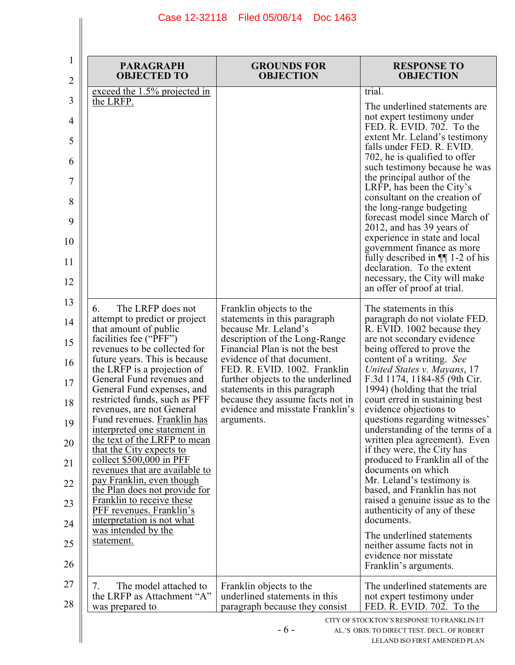$\mathbf{I}$ 

 $\parallel$ 

| 1<br>2 | <b>PARAGRAPH</b><br><b>OBJECTED TO</b>                       | <b>GROUNDS FOR</b><br><b>OBJECTION</b>                               | <b>RESPONSE TO</b><br><b>OBJECTION</b>                                                      |
|--------|--------------------------------------------------------------|----------------------------------------------------------------------|---------------------------------------------------------------------------------------------|
|        | exceed the 1.5% projected in                                 |                                                                      | trial.                                                                                      |
| 3      | the LRFP.                                                    |                                                                      | The underlined statements are<br>not expert testimony under                                 |
| 4      |                                                              |                                                                      | FED. R. EVID. 702. To the                                                                   |
| 5      |                                                              |                                                                      | extent Mr. Leland's testimony<br>falls under FED. R. EVID.<br>702, he is qualified to offer |
| 6      |                                                              |                                                                      | such testimony because he was<br>the principal author of the                                |
| 7<br>8 |                                                              |                                                                      | LRFP, has been the City's<br>consultant on the creation of<br>the long-range budgeting      |
| 9      |                                                              |                                                                      | forecast model since March of<br>2012, and has 39 years of                                  |
| 10     |                                                              |                                                                      | experience in state and local<br>government finance as more                                 |
| 11     |                                                              |                                                                      | fully described in $\P$ 1-2 of his<br>declaration. To the extent                            |
| 12     |                                                              |                                                                      | necessary, the City will make<br>an offer of proof at trial.                                |
| 13     | The LRFP does not<br>6.                                      | Franklin objects to the                                              | The statements in this                                                                      |
| 14     | attempt to predict or project<br>that amount of public       | statements in this paragraph<br>because Mr. Leland's                 | paragraph do not violate FED.<br>R. EVID. 1002 because they                                 |
| 15     | facilities fee ("PFF")<br>revenues to be collected for       | description of the Long-Range<br>Financial Plan is not the best      | are not secondary evidence<br>being offered to prove the                                    |
| 16     | future years. This is because<br>the LRFP is a projection of | evidence of that document.<br>FED. R. EVID. 1002. Franklin           | content of a writing. See<br>United States v. Mayans, 17                                    |
| 17     | General Fund revenues and<br>General Fund expenses, and      | further objects to the underlined<br>statements in this paragraph    | F.3d 1174, 1184-85 (9th Cir.<br>1994) (holding that the trial                               |
| 18     | restricted funds, such as PFF<br>revenues, are not General   | because they assume facts not in<br>evidence and misstate Franklin's | court erred in sustaining best<br>evidence objections to                                    |
| 19     | Fund revenues. Franklin has<br>interpreted one statement in  | arguments.                                                           | questions regarding witnesses'<br>understanding of the terms of a                           |
| 20     | the text of the LRFP to mean<br>that the City expects to     |                                                                      | written plea agreement). Even<br>if they were, the City has                                 |
| 21     | collect $$500,000$ in PFF<br>revenues that are available to  |                                                                      | produced to Franklin all of the<br>documents on which                                       |
| 22     | pay Franklin, even though<br>the Plan does not provide for   |                                                                      | Mr. Leland's testimony is<br>based, and Franklin has not                                    |
| 23     | Franklin to receive these<br><b>PFF</b> revenues. Franklin's |                                                                      | raised a genuine issue as to the<br>authenticity of any of these                            |
| 24     | interpretation is not what                                   |                                                                      | documents.                                                                                  |
| 25     | was intended by the<br>statement.                            |                                                                      | The underlined statements<br>neither assume facts not in                                    |
| 26     |                                                              |                                                                      | evidence nor misstate<br>Franklin's arguments.                                              |
| 27     | The model attached to<br>7.                                  | Franklin objects to the                                              | The underlined statements are                                                               |
| 28     | the LRFP as Attachment "A"<br>was prepared to                | underlined statements in this<br>paragraph because they consist      | not expert testimony under<br>FED. R. EVID. 702. To the                                     |
|        |                                                              | $-6-$                                                                | CITY OF STOCKTON'S RESPONSE TO FRANKLIN ET<br>AL.'S OBJS. TO DIRECT TEST. DECL. OF ROBERT   |
|        |                                                              |                                                                      | LELAND ISO FIRST AMENDED PLAN                                                               |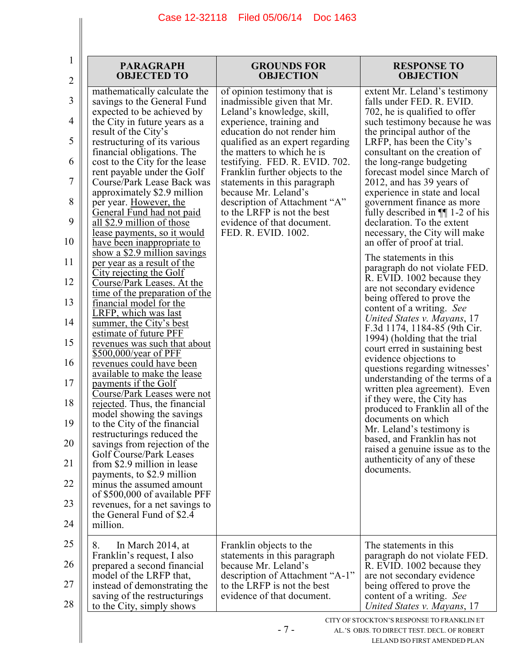|                                                                                                         | <b>PARAGRAPH</b><br><b>OBJECTED TO</b>                                                                                                                                                                                                                                                                                                                                                                                                                                                                                                                                                                                                                                                                                                                                                                                                                                                                                                                                                                       | <b>GROUNDS FOR</b><br><b>OBJECTION</b>                                                                                                                                                                                                                                                                                                                                                                                                                                   | <b>RESPONSE TO</b><br><b>OBJECTION</b>                                                                                                                                                                                                                                                                                                                                                                                                                                                                                                                                                                                                                                                                                                                                                                                                                                                                                                                                                                                                      |
|---------------------------------------------------------------------------------------------------------|--------------------------------------------------------------------------------------------------------------------------------------------------------------------------------------------------------------------------------------------------------------------------------------------------------------------------------------------------------------------------------------------------------------------------------------------------------------------------------------------------------------------------------------------------------------------------------------------------------------------------------------------------------------------------------------------------------------------------------------------------------------------------------------------------------------------------------------------------------------------------------------------------------------------------------------------------------------------------------------------------------------|--------------------------------------------------------------------------------------------------------------------------------------------------------------------------------------------------------------------------------------------------------------------------------------------------------------------------------------------------------------------------------------------------------------------------------------------------------------------------|---------------------------------------------------------------------------------------------------------------------------------------------------------------------------------------------------------------------------------------------------------------------------------------------------------------------------------------------------------------------------------------------------------------------------------------------------------------------------------------------------------------------------------------------------------------------------------------------------------------------------------------------------------------------------------------------------------------------------------------------------------------------------------------------------------------------------------------------------------------------------------------------------------------------------------------------------------------------------------------------------------------------------------------------|
| $\overline{2}$<br>3<br>4<br>5<br>6<br>7<br>8<br>9<br>10<br>11<br>12<br>13<br>14<br>15<br>16<br>17<br>18 | mathematically calculate the<br>savings to the General Fund<br>expected to be achieved by<br>the City in future years as a<br>result of the City's<br>restructuring of its various<br>financial obligations. The<br>cost to the City for the lease<br>rent payable under the Golf<br>Course/Park Lease Back was<br>approximately \$2.9 million<br>per year. However, the<br>General Fund had not paid<br>all \$2.9 million of those<br>lease payments, so it would<br>have been inappropriate to<br>show a $$2.9$ million savings<br>per year as a result of the<br>City rejecting the Golf<br>Course/Park Leases. At the<br>time of the preparation of the<br>financial model for the<br>LRFP, which was last<br>summer, the City's best<br>estimate of future PFF<br>revenues was such that about<br>\$500,000/year of PFF<br>revenues could have been<br>available to make the lease<br>payments if the Golf<br>Course/Park Leases were not<br>rejected. Thus, the financial<br>model showing the savings | of opinion testimony that is<br>inadmissible given that Mr.<br>Leland's knowledge, skill,<br>experience, training and<br>education do not render him<br>qualified as an expert regarding<br>the matters to which he is<br>testifying. FED. R. EVID. 702.<br>Franklin further objects to the<br>statements in this paragraph<br>because Mr. Leland's<br>description of Attachment "A"<br>to the LRFP is not the best<br>evidence of that document.<br>FED. R. EVID. 1002. | extent Mr. Leland's testimony<br>falls under FED. R. EVID.<br>702, he is qualified to offer<br>such testimony because he was<br>the principal author of the<br>LRFP, has been the City's<br>consultant on the creation of<br>the long-range budgeting<br>forecast model since March of<br>2012, and has 39 years of<br>experience in state and local<br>government finance as more<br>fully described in $\P$ 1-2 of his<br>declaration. To the extent<br>necessary, the City will make<br>an offer of proof at trial.<br>The statements in this<br>paragraph do not violate FED.<br>R. EVID. 1002 because they<br>are not secondary evidence<br>being offered to prove the<br>content of a writing. See<br>United States v. Mayans, 17<br>F.3d 1174, 1184-85 (9th Cir.<br>1994) (holding that the trial<br>court erred in sustaining best<br>evidence objections to<br>questions regarding witnesses'<br>understanding of the terms of a<br>written plea agreement). Even<br>if they were, the City has<br>produced to Franklin all of the |
| 19<br>20                                                                                                | to the City of the financial<br>restructurings reduced the<br>savings from rejection of the                                                                                                                                                                                                                                                                                                                                                                                                                                                                                                                                                                                                                                                                                                                                                                                                                                                                                                                  |                                                                                                                                                                                                                                                                                                                                                                                                                                                                          | documents on which<br>Mr. Leland's testimony is<br>based, and Franklin has not                                                                                                                                                                                                                                                                                                                                                                                                                                                                                                                                                                                                                                                                                                                                                                                                                                                                                                                                                              |
| 21                                                                                                      | Golf Course/Park Leases<br>from \$2.9 million in lease<br>payments, to \$2.9 million                                                                                                                                                                                                                                                                                                                                                                                                                                                                                                                                                                                                                                                                                                                                                                                                                                                                                                                         |                                                                                                                                                                                                                                                                                                                                                                                                                                                                          | raised a genuine issue as to the<br>authenticity of any of these<br>documents.                                                                                                                                                                                                                                                                                                                                                                                                                                                                                                                                                                                                                                                                                                                                                                                                                                                                                                                                                              |
| 22                                                                                                      | minus the assumed amount<br>of \$500,000 of available PFF                                                                                                                                                                                                                                                                                                                                                                                                                                                                                                                                                                                                                                                                                                                                                                                                                                                                                                                                                    |                                                                                                                                                                                                                                                                                                                                                                                                                                                                          |                                                                                                                                                                                                                                                                                                                                                                                                                                                                                                                                                                                                                                                                                                                                                                                                                                                                                                                                                                                                                                             |
| 23<br>24                                                                                                | revenues, for a net savings to<br>the General Fund of \$2.4<br>million.                                                                                                                                                                                                                                                                                                                                                                                                                                                                                                                                                                                                                                                                                                                                                                                                                                                                                                                                      |                                                                                                                                                                                                                                                                                                                                                                                                                                                                          |                                                                                                                                                                                                                                                                                                                                                                                                                                                                                                                                                                                                                                                                                                                                                                                                                                                                                                                                                                                                                                             |
| 25<br>26<br>27<br>28                                                                                    | 8.<br>In March 2014, at<br>Franklin's request, I also<br>prepared a second financial<br>model of the LRFP that,<br>instead of demonstrating the<br>saving of the restructurings<br>to the City, simply shows                                                                                                                                                                                                                                                                                                                                                                                                                                                                                                                                                                                                                                                                                                                                                                                                 | Franklin objects to the<br>statements in this paragraph<br>because Mr. Leland's<br>description of Attachment "A-1"<br>to the LRFP is not the best<br>evidence of that document.                                                                                                                                                                                                                                                                                          | The statements in this<br>paragraph do not violate FED.<br>R. EVID. 1002 because they<br>are not secondary evidence<br>being offered to prove the<br>content of a writing. See<br>United States v. Mayans, 17                                                                                                                                                                                                                                                                                                                                                                                                                                                                                                                                                                                                                                                                                                                                                                                                                               |
|                                                                                                         |                                                                                                                                                                                                                                                                                                                                                                                                                                                                                                                                                                                                                                                                                                                                                                                                                                                                                                                                                                                                              | $-7-$                                                                                                                                                                                                                                                                                                                                                                                                                                                                    | CITY OF STOCKTON'S RESPONSE TO FRANKLIN ET<br>AL.'S OBJS. TO DIRECT TEST. DECL. OF ROBERT<br>LELAND ISO FIRST AMENDED PLAN                                                                                                                                                                                                                                                                                                                                                                                                                                                                                                                                                                                                                                                                                                                                                                                                                                                                                                                  |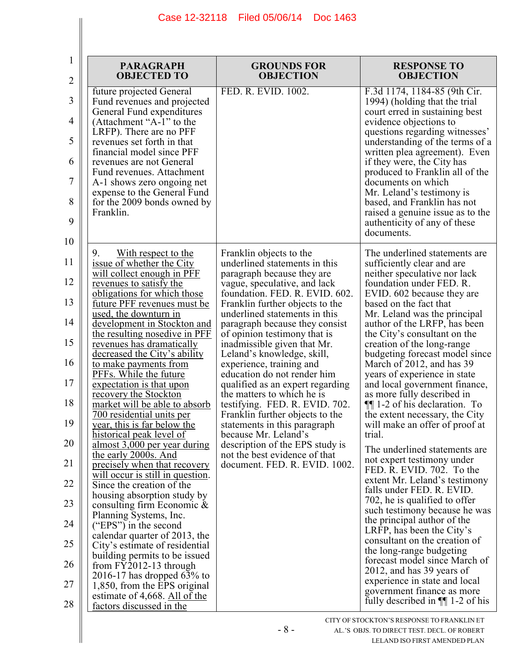| 1<br>$\overline{2}$                                                                    | <b>PARAGRAPH</b><br><b>OBJECTED TO</b>                                                                                                                                                                                                                                                                                                                                                                                                                                                                                                                                                                                                                                                                                                                                                                                                                                                                                                                          | <b>GROUNDS FOR</b><br><b>OBJECTION</b>                                                                                                                                                                                                                                                                                                                                                                                                                                                                                                                                                                                                                                                                                     | <b>RESPONSE TO</b><br><b>OBJECTION</b>                                                                                                                                                                                                                                                                                                                                                                                                                                                                                                                                                                                                                                                                                                                                                                                                                                                                                                                                               |
|----------------------------------------------------------------------------------------|-----------------------------------------------------------------------------------------------------------------------------------------------------------------------------------------------------------------------------------------------------------------------------------------------------------------------------------------------------------------------------------------------------------------------------------------------------------------------------------------------------------------------------------------------------------------------------------------------------------------------------------------------------------------------------------------------------------------------------------------------------------------------------------------------------------------------------------------------------------------------------------------------------------------------------------------------------------------|----------------------------------------------------------------------------------------------------------------------------------------------------------------------------------------------------------------------------------------------------------------------------------------------------------------------------------------------------------------------------------------------------------------------------------------------------------------------------------------------------------------------------------------------------------------------------------------------------------------------------------------------------------------------------------------------------------------------------|--------------------------------------------------------------------------------------------------------------------------------------------------------------------------------------------------------------------------------------------------------------------------------------------------------------------------------------------------------------------------------------------------------------------------------------------------------------------------------------------------------------------------------------------------------------------------------------------------------------------------------------------------------------------------------------------------------------------------------------------------------------------------------------------------------------------------------------------------------------------------------------------------------------------------------------------------------------------------------------|
| 3<br>4<br>5<br>6<br>7<br>8<br>9<br>10                                                  | future projected General<br>Fund revenues and projected<br>General Fund expenditures<br>(Attachment "A-1" to the<br>LRFP). There are no PFF<br>revenues set forth in that<br>financial model since PFF<br>revenues are not General<br>Fund revenues. Attachment<br>A-1 shows zero ongoing net<br>expense to the General Fund<br>for the 2009 bonds owned by<br>Franklin.                                                                                                                                                                                                                                                                                                                                                                                                                                                                                                                                                                                        | FED. R. EVID. 1002.                                                                                                                                                                                                                                                                                                                                                                                                                                                                                                                                                                                                                                                                                                        | F.3d 1174, 1184-85 (9th Cir.<br>1994) (holding that the trial<br>court erred in sustaining best<br>evidence objections to<br>questions regarding witnesses'<br>understanding of the terms of a<br>written plea agreement). Even<br>if they were, the City has<br>produced to Franklin all of the<br>documents on which<br>Mr. Leland's testimony is<br>based, and Franklin has not<br>raised a genuine issue as to the<br>authenticity of any of these<br>documents.                                                                                                                                                                                                                                                                                                                                                                                                                                                                                                                 |
| 11<br>12<br>13<br>14<br>15<br>16<br>17<br>18<br>19<br>20<br>21<br>22<br>23<br>24<br>25 | 9.<br><u>With respect to the</u><br>issue of whether the City<br>will collect enough in PFF<br>revenues to satisfy the<br>obligations for which those<br>future PFF revenues must be<br>used, the downturn in<br>development in Stockton and<br>the resulting nosedive in PFF<br>revenues has dramatically<br>decreased the City's ability<br>to make payments from<br>PFFs. While the future<br>expectation is that upon<br>recovery the Stockton<br>market will be able to absorb<br>700 residential units per<br>year, this is far below the<br>historical peak level of<br><u>almost 3,000 per year during</u><br>the early 2000s. And<br>precisely when that recovery<br>will occur is still in question.<br>Since the creation of the<br>housing absorption study by<br>consulting firm Economic &<br>Planning Systems, Inc.<br>("EPS") in the second<br>calendar quarter of 2013, the<br>City's estimate of residential<br>building permits to be issued | Franklin objects to the<br>underlined statements in this<br>paragraph because they are<br>vague, speculative, and lack<br>foundation. FED. R. EVID. 602.<br>Franklin further objects to the<br>underlined statements in this<br>paragraph because they consist<br>of opinion testimony that is<br>inadmissible given that Mr.<br>Leland's knowledge, skill,<br>experience, training and<br>education do not render him<br>qualified as an expert regarding<br>the matters to which he is<br>testifying. FED. R. EVID. 702.<br>Franklin further objects to the<br>statements in this paragraph<br>because Mr. Leland's<br>description of the EPS study is<br>not the best evidence of that<br>document. FED. R. EVID. 1002. | The underlined statements are<br>sufficiently clear and are<br>neither speculative nor lack<br>foundation under FED. R.<br>EVID. 602 because they are<br>based on the fact that<br>Mr. Leland was the principal<br>author of the LRFP, has been<br>the City's consultant on the<br>creation of the long-range<br>budgeting forecast model since<br>March of 2012, and has 39<br>years of experience in state<br>and local government finance,<br>as more fully described in<br>$\P$ [1-2 of his declaration. To<br>the extent necessary, the City<br>will make an offer of proof at<br>trial.<br>The underlined statements are.<br>not expert testimony under<br>FED. R. EVID. 702. To the<br>extent Mr. Leland's testimony<br>falls under FED. R. EVID.<br>702, he is qualified to offer<br>such testimony because he was<br>the principal author of the<br>LRFP, has been the City's<br>consultant on the creation of<br>the long-range budgeting<br>forecast model since March of |
| 26<br>27<br>28                                                                         | from $FY2012-13$ through<br>2016-17 has dropped $63\%$ to<br>1,850, from the EPS original<br>estimate of 4,668. All of the<br>factors discussed in the                                                                                                                                                                                                                                                                                                                                                                                                                                                                                                                                                                                                                                                                                                                                                                                                          |                                                                                                                                                                                                                                                                                                                                                                                                                                                                                                                                                                                                                                                                                                                            | 2012, and has 39 years of<br>experience in state and local<br>government finance as more<br>fully described in $\P$ 1-2 of his                                                                                                                                                                                                                                                                                                                                                                                                                                                                                                                                                                                                                                                                                                                                                                                                                                                       |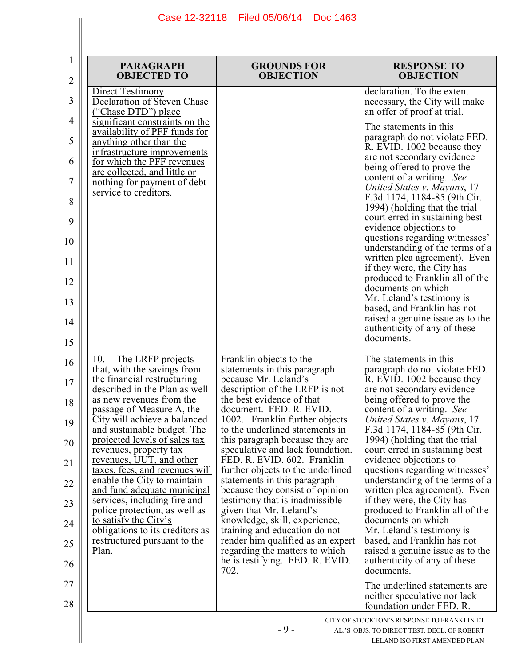| 1<br>2   | <b>PARAGRAPH</b><br><b>OBJECTED TO</b>                                                     | <b>GROUNDS FOR</b><br><b>OBJECTION</b>                                                 | <b>RESPONSE TO</b><br><b>OBJECTION</b>                                                         |
|----------|--------------------------------------------------------------------------------------------|----------------------------------------------------------------------------------------|------------------------------------------------------------------------------------------------|
| 3        | Direct Testimony<br>Declaration of Steven Chase<br>("Chase DTD") place                     |                                                                                        | declaration. To the extent<br>necessary, the City will make<br>an offer of proof at trial.     |
| 4<br>5   | significant constraints on the<br>availability of PFF funds for<br>anything other than the |                                                                                        | The statements in this<br>paragraph do not violate FED.                                        |
| 6        | infrastructure improvements<br>for which the PFF revenues                                  |                                                                                        | R. EVID. 1002 because they<br>are not secondary evidence                                       |
| 7        | are collected, and little or<br>nothing for payment of debt                                |                                                                                        | being offered to prove the<br>content of a writing. See                                        |
| 8        | service to creditors.                                                                      |                                                                                        | United States v. Mayans, 17<br>F.3d 1174, 1184-85 (9th Cir.<br>1994) (holding that the trial   |
| 9        |                                                                                            |                                                                                        | court erred in sustaining best<br>evidence objections to                                       |
| 10       |                                                                                            |                                                                                        | questions regarding witnesses'<br>understanding of the terms of a                              |
| 11       |                                                                                            |                                                                                        | written plea agreement). Even<br>if they were, the City has<br>produced to Franklin all of the |
| 12<br>13 |                                                                                            |                                                                                        | documents on which<br>Mr. Leland's testimony is                                                |
| 14       |                                                                                            |                                                                                        | based, and Franklin has not<br>raised a genuine issue as to the                                |
| 15       |                                                                                            |                                                                                        | authenticity of any of these<br>documents.                                                     |
| 16       | 10.<br>The LRFP projects<br>that, with the savings from                                    | Franklin objects to the<br>statements in this paragraph                                | The statements in this<br>paragraph do not violate FED.                                        |
| 17       | the financial restructuring<br>described in the Plan as well                               | because Mr. Leland's<br>description of the LRFP is not                                 | R. EVID. 1002 because they<br>are not secondary evidence                                       |
| 18       | as new revenues from the<br>passage of Measure A, the<br>City will achieve a balanced      | the best evidence of that<br>document. FED. R. EVID.<br>1002. Franklin further objects | being offered to prove the<br>content of a writing. See<br>United States v. Mayans, 17         |
| 19       | and sustainable budget. The<br>projected levels of sales tax                               | to the underlined statements in<br>this paragraph because they are                     | F.3d 1174, 1184-85 (9th Cir.<br>1994) (holding that the trial                                  |
| 20<br>21 | revenues, property tax<br>revenues, UUT, and other                                         | speculative and lack foundation.<br>FED. R. EVID. 602. Franklin                        | court erred in sustaining best<br>evidence objections to                                       |
| 22       | taxes, fees, and revenues will<br>enable the City to maintain                              | further objects to the underlined<br>statements in this paragraph                      | questions regarding witnesses'<br>understanding of the terms of a                              |
| 23       | and fund adequate municipal<br>services, including fire and                                | because they consist of opinion<br>testimony that is inadmissible.                     | written plea agreement). Even<br>if they were, the City has                                    |
| 24       | police protection, as well as<br>to satisfy the City's                                     | given that Mr. Leland's<br>knowledge, skill, experience,                               | produced to Franklin all of the<br>documents on which                                          |
| 25       | <u>obligations to its creditors as</u><br>restructured pursuant to the                     | training and education do not<br>render him qualified as an expert                     | Mr. Leland's testimony is<br>based, and Franklin has not                                       |
| 26       | Plan.                                                                                      | regarding the matters to which<br>he is testifying. FED. R. EVID.<br>702.              | raised a genuine issue as to the<br>authenticity of any of these<br>documents.                 |
| 27       |                                                                                            |                                                                                        | The underlined statements are<br>neither speculative nor lack                                  |
| 28       |                                                                                            |                                                                                        | foundation under FED. R.<br>CITY OF STOCKTON'S RESPONSE TO FRANKLIN ET                         |
|          |                                                                                            | $-9-$                                                                                  | AL.'S OBJS. TO DIRECT TEST. DECL. OF ROBERT<br>LELAND ISO FIRST AMENDED PLAN                   |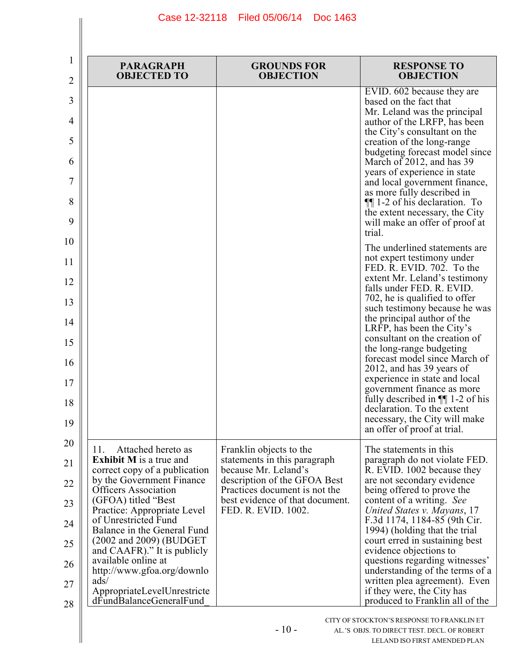| 1<br>2 | <b>PARAGRAPH</b><br><b>OBJECTED TO</b>                          | <b>GROUNDS FOR</b><br><b>OBJECTION</b>                        | <b>RESPONSE TO</b><br><b>OBJECTION</b>                                        |
|--------|-----------------------------------------------------------------|---------------------------------------------------------------|-------------------------------------------------------------------------------|
| 3      |                                                                 |                                                               | EVID. 602 because they are<br>based on the fact that                          |
| 4      |                                                                 |                                                               | Mr. Leland was the principal<br>author of the LRFP, has been                  |
| 5      |                                                                 |                                                               | the City's consultant on the<br>creation of the long-range                    |
| 6      |                                                                 |                                                               | budgeting forecast model since<br>March of 2012, and has 39                   |
| 7      |                                                                 |                                                               | years of experience in state<br>and local government finance,                 |
| 8      |                                                                 |                                                               | as more fully described in<br>$\P$ [1-2 of his declaration. To                |
| 9      |                                                                 |                                                               | the extent necessary, the City<br>will make an offer of proof at<br>trial.    |
| 10     |                                                                 |                                                               | The underlined statements are                                                 |
| 11     |                                                                 |                                                               | not expert testimony under<br>FED. R. EVID. 702. To the                       |
| 12     |                                                                 |                                                               | extent Mr. Leland's testimony<br>falls under FED. R. EVID.                    |
| 13     |                                                                 |                                                               | 702, he is qualified to offer<br>such testimony because he was                |
| 14     |                                                                 |                                                               | the principal author of the<br>LRFP, has been the City's                      |
| 15     |                                                                 |                                                               | consultant on the creation of<br>the long-range budgeting                     |
| 16     |                                                                 |                                                               | forecast model since March of<br>2012, and has 39 years of                    |
| 17     |                                                                 |                                                               | experience in state and local<br>government finance as more                   |
| 18     |                                                                 |                                                               | fully described in $\P$ 1-2 of his<br>declaration. To the extent              |
| 19     |                                                                 |                                                               | necessary, the City will make<br>an offer of proof at trial.                  |
| 20     | Attached hereto as<br>11.                                       | Franklin objects to the                                       | The statements in this                                                        |
| 21     | <b>Exhibit M</b> is a true and<br>correct copy of a publication | statements in this paragraph<br>because Mr. Leland's          | paragraph do not violate FED.<br>R. EVID. 1002 because they                   |
| 22     | by the Government Finance<br><b>Officers Association</b>        | description of the GFOA Best<br>Practices document is not the | are not secondary evidence<br>being offered to prove the                      |
| 23     | (GFOA) titled "Best<br>Practice: Appropriate Level              | best evidence of that document.<br>FED. R. EVID. 1002.        | content of a writing. See<br>United States v. Mayans, 17                      |
| 24     | of Unrestricted Fund<br>Balance in the General Fund             |                                                               | F.3d 1174, 1184-85 (9th Cir.<br>1994) (holding that the trial                 |
| 25     | (2002 and 2009) (BUDGET)<br>and CAAFR)." It is publicly         |                                                               | court erred in sustaining best<br>evidence objections to                      |
| 26     | available online at<br>http://www.gfoa.org/downlo               |                                                               | questions regarding witnesses'<br>understanding of the terms of a             |
| 27     | ads/<br>AppropriateLevelUnrestricte                             |                                                               | written plea agreement). Even<br>if they were, the City has                   |
| 28     | dFundBalanceGeneralFund                                         |                                                               | produced to Franklin all of the<br>CITY OF STOCKTON'S RESPONSE TO FRANKLIN ET |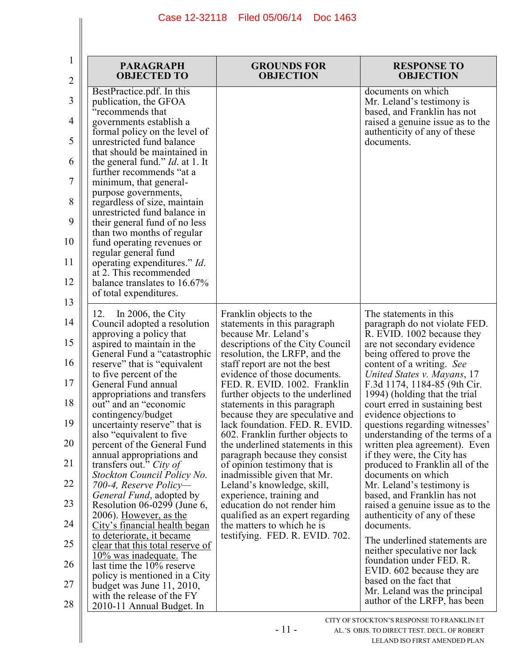| 1<br>$\overline{2}$ | <b>PARAGRAPH</b><br><b>OBJECTED TO</b>                                         | <b>GROUNDS FOR</b><br><b>OBJECTION</b>                                                                | <b>RESPONSE TO</b><br><b>OBJECTION</b>                                                      |
|---------------------|--------------------------------------------------------------------------------|-------------------------------------------------------------------------------------------------------|---------------------------------------------------------------------------------------------|
| 3                   | BestPractice.pdf. In this<br>publication, the GFOA<br>"recommends that         |                                                                                                       | documents on which<br>Mr. Leland's testimony is<br>based, and Franklin has not              |
| 4                   | governments establish a<br>formal policy on the level of                       |                                                                                                       | raised a genuine issue as to the<br>authenticity of any of these                            |
| 5                   | unrestricted fund balance<br>that should be maintained in                      |                                                                                                       | documents.                                                                                  |
| 6                   | the general fund." <i>Id.</i> at 1. It<br>further recommends "at a             |                                                                                                       |                                                                                             |
| 7                   | minimum, that general-<br>purpose governments,                                 |                                                                                                       |                                                                                             |
| 8                   | regardless of size, maintain<br>unrestricted fund balance in                   |                                                                                                       |                                                                                             |
| 9                   | their general fund of no less<br>than two months of regular                    |                                                                                                       |                                                                                             |
| 10                  | fund operating revenues or<br>regular general fund                             |                                                                                                       |                                                                                             |
| 11                  | operating expenditures." Id.<br>at 2. This recommended                         |                                                                                                       |                                                                                             |
| 12<br>13            | balance translates to 16.67%<br>of total expenditures.                         |                                                                                                       |                                                                                             |
| 14                  | 12.<br>In 2006, the City<br>Council adopted a resolution                       | Franklin objects to the<br>statements in this paragraph                                               | The statements in this<br>paragraph do not violate FED.                                     |
| 15                  | approving a policy that<br>aspired to maintain in the                          | because Mr. Leland's<br>descriptions of the City Council                                              | R. EVID. 1002 because they<br>are not secondary evidence                                    |
| 16                  | General Fund a "catastrophic"<br>reserve" that is "equivalent"                 | resolution, the LRFP, and the<br>staff report are not the best                                        | being offered to prove the<br>content of a writing. See                                     |
| 17                  | to five percent of the<br>General Fund annual                                  | evidence of those documents.<br>FED. R. EVID. 1002. Franklin                                          | United States v. Mayans, 17<br>F.3d 1174, 1184-85 (9th Cir.                                 |
| 18                  | appropriations and transfers<br>out" and an "economic                          | further objects to the underlined<br>statements in this paragraph                                     | 1994) (holding that the trial<br>court erred in sustaining best                             |
| 19                  | contingency/budget<br>uncertainty reserve" that is<br>also "equivalent to five | because they are speculative and<br>lack foundation. FED. R. EVID<br>602. Franklin further objects to | evidence objections to<br>questions regarding witnesses'<br>understanding of the terms of a |
| 20                  | percent of the General Fund<br>annual appropriations and                       | the underlined statements in this<br>paragraph because they consist                                   | written plea agreement). Even<br>if they were, the City has                                 |
| 21                  | transfers out." City of<br>Stockton Council Policy No.                         | of opinion testimony that is<br>inadmissible given that Mr.                                           | produced to Franklin all of the<br>documents on which                                       |
| 22                  | 700-4, Reserve Policy—<br><i>General Fund</i> , adopted by                     | Leland's knowledge, skill,<br>experience, training and                                                | Mr. Leland's testimony is<br>based, and Franklin has not                                    |
| 23                  | Resolution $06-0299$ (June 6,<br>2006). However, as the                        | education do not render him<br>qualified as an expert regarding                                       | raised a genuine issue as to the<br>authenticity of any of these                            |
| 24                  | City's financial health began<br>to deteriorate, it became                     | the matters to which he is<br>testifying. FED. R. EVID. 702.                                          | documents.                                                                                  |
| 25                  | clear that this total reserve of<br><u>10% was inadequate.</u> The             |                                                                                                       | The underlined statements are.<br>neither speculative nor lack                              |
| 26                  | last time the 10% reserve<br>policy is mentioned in a City                     |                                                                                                       | foundation under FED. R.<br>EVID. 602 because they are                                      |
| 27                  | budget was June 11, 2010,<br>with the release of the FY                        |                                                                                                       | based on the fact that<br>Mr. Leland was the principal                                      |
| 28                  | 2010-11 Annual Budget. In                                                      |                                                                                                       | author of the LRFP, has been<br>TITV OF STOCKTONI'S DESDONSE TO ED ANIKI IN ET              |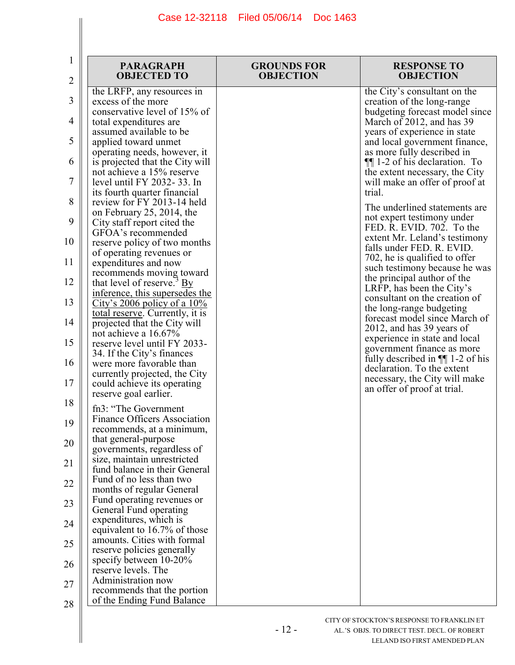| 1<br>$\overline{2}$ | <b>PARAGRAPH</b><br><b>OBJECTED TO</b>                                                              | <b>GROUNDS FOR</b><br><b>OBJECTION</b> | <b>RESPONSE TO</b><br><b>OBJECTION</b>                                                            |
|---------------------|-----------------------------------------------------------------------------------------------------|----------------------------------------|---------------------------------------------------------------------------------------------------|
| 3                   | the LRFP, any resources in<br>excess of the more                                                    |                                        | the City's consultant on the<br>creation of the long-range                                        |
| 4                   | conservative level of 15% of<br>total expenditures are<br>assumed available to be                   |                                        | budgeting forecast model since<br>March of 2012, and has 39<br>years of experience in state       |
| 5                   | applied toward unmet<br>operating needs, however, it                                                |                                        | and local government finance,<br>as more fully described in                                       |
| 6                   | is projected that the City will<br>not achieve a 15% reserve                                        |                                        | <b>II</b> 1-2 of his declaration. To<br>the extent necessary, the City                            |
| 7                   | level until FY 2032-33. In<br>its fourth quarter financial                                          |                                        | will make an offer of proof at<br>trial.                                                          |
| 8<br>9              | review for FY 2013-14 held<br>on February 25, 2014, the                                             |                                        | The underlined statements are<br>not expert testimony under                                       |
| 10                  | City staff report cited the<br>GFOA's recommended<br>reserve policy of two months                   |                                        | FED. R. EVID. 702. To the<br>extent Mr. Leland's testimony                                        |
| 11                  | of operating revenues or<br>expenditures and now                                                    |                                        | falls under FED. R. EVID.<br>702, he is qualified to offer<br>such testimony because he was       |
| 12                  | recommends moving toward<br>that level of reserve. <sup>3</sup> By                                  |                                        | the principal author of the<br>LRFP, has been the City's                                          |
| 13                  | inference, this supersedes the<br>City's 2006 policy of a $10\%$<br>total reserve. Currently, it is |                                        | consultant on the creation of<br>the long-range budgeting                                         |
| 14                  | projected that the City will<br>not achieve a 16.67%                                                |                                        | forecast model since March of<br>2012, and has 39 years of                                        |
| 15                  | reserve level until FY 2033-<br>34. If the City's finances                                          |                                        | experience in state and local<br>government finance as more<br>fully described in $\P$ 1-2 of his |
| 16                  | were more favorable than<br>currently projected, the City                                           |                                        | declaration. To the extent<br>necessary, the City will make                                       |
| 17<br>18            | could achieve its operating<br>reserve goal earlier.                                                |                                        | an offer of proof at trial.                                                                       |
| 19                  | fn3: "The Government<br><b>Finance Officers Association</b>                                         |                                        |                                                                                                   |
| 20                  | recommends, at a minimum,<br>that general-purpose<br>governments, regardless of                     |                                        |                                                                                                   |
| 21                  | size, maintain unrestricted<br>fund balance in their General                                        |                                        |                                                                                                   |
| 22                  | Fund of no less than two<br>months of regular General                                               |                                        |                                                                                                   |
| 23                  | Fund operating revenues or<br>General Fund operating                                                |                                        |                                                                                                   |
| 24                  | expenditures, which is<br>equivalent to 16.7% of those<br>amounts. Cities with formal               |                                        |                                                                                                   |
| 25                  | reserve policies generally<br>specify between 10-20%                                                |                                        |                                                                                                   |
| 26                  | reserve levels. The<br>Administration now                                                           |                                        |                                                                                                   |
| 27<br>28            | recommends that the portion<br>of the Ending Fund Balance                                           |                                        |                                                                                                   |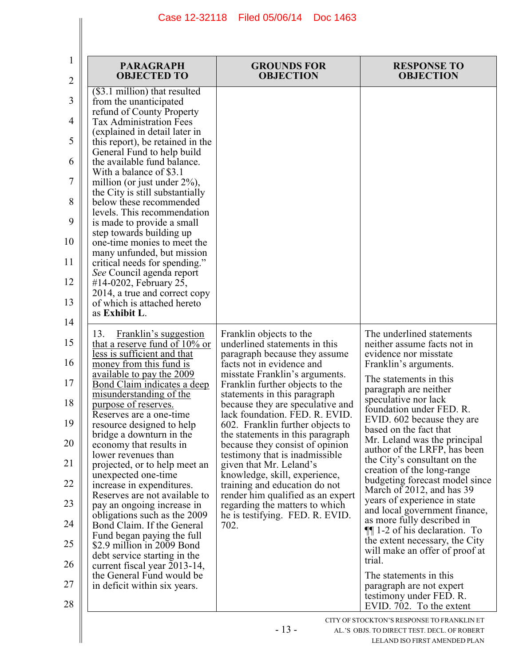| 1<br>2                                                                    | <b>PARAGRAPH</b><br><b>OBJECTED TO</b>                                                                                                                                                                                                                                                                                                                                                                                                                                                                                                                                                                                                                                                                                                                                                                                                            | <b>GROUNDS FOR</b><br><b>OBJECTION</b>                                                                                                                                                                                                          | <b>RESPONSE TO</b><br><b>OBJECTION</b>                                                                                                                      |
|---------------------------------------------------------------------------|---------------------------------------------------------------------------------------------------------------------------------------------------------------------------------------------------------------------------------------------------------------------------------------------------------------------------------------------------------------------------------------------------------------------------------------------------------------------------------------------------------------------------------------------------------------------------------------------------------------------------------------------------------------------------------------------------------------------------------------------------------------------------------------------------------------------------------------------------|-------------------------------------------------------------------------------------------------------------------------------------------------------------------------------------------------------------------------------------------------|-------------------------------------------------------------------------------------------------------------------------------------------------------------|
| 3<br>4<br>5<br>6<br>7<br>8<br>9<br>10<br>11<br>12<br>13<br>14<br>15<br>16 | (\$3.1 million) that resulted<br>from the unanticipated<br>refund of County Property<br><b>Tax Administration Fees</b><br>(explained in detail later in<br>this report), be retained in the<br>General Fund to help build<br>the available fund balance.<br>With a balance of \$3.1<br>million (or just under $2\%$ ),<br>the City is still substantially<br>below these recommended<br>levels. This recommendation<br>is made to provide a small<br>step towards building up<br>one-time monies to meet the<br>many unfunded, but mission<br>critical needs for spending."<br>See Council agenda report<br>#14-0202, February 25,<br>2014, a true and correct copy<br>of which is attached hereto<br>as Exhibit L.<br>13.<br>Franklin's suggestion<br>that a reserve fund of $10\%$ or<br>less is sufficient and that<br>money from this fund is | Franklin objects to the<br>underlined statements in this<br>paragraph because they assume<br>facts not in evidence and                                                                                                                          | The underlined statements<br>neither assume facts not in<br>evidence nor misstate<br>Franklin's arguments.                                                  |
| 17<br>18<br>19                                                            | <u>available to pay the 2009</u><br><u>Bond Claim indicates a deep</u><br>misunderstanding of the<br>purpose of reserves.<br>Reserves are a one-time<br>resource designed to help<br>bridge a downturn in the                                                                                                                                                                                                                                                                                                                                                                                                                                                                                                                                                                                                                                     | misstate Franklin's arguments.<br>Franklin further objects to the<br>statements in this paragraph<br>because they are speculative and<br>lack foundation. FED. R. EVID.<br>602. Franklin further objects to<br>the statements in this paragraph | The statements in this<br>paragraph are neither<br>speculative nor lack<br>foundation under FED. R.<br>EVID. 602 because they are<br>based on the fact that |
| 20<br>21                                                                  | economy that results in<br>lower revenues than<br>projected, or to help meet an                                                                                                                                                                                                                                                                                                                                                                                                                                                                                                                                                                                                                                                                                                                                                                   | because they consist of opinion<br>testimony that is inadmissible.<br>given that Mr. Leland's                                                                                                                                                   | Mr. Leland was the principal<br>author of the LRFP, has been<br>the City's consultant on the                                                                |
| 22                                                                        | unexpected one-time<br>increase in expenditures.                                                                                                                                                                                                                                                                                                                                                                                                                                                                                                                                                                                                                                                                                                                                                                                                  | knowledge, skill, experience,<br>training and education do not                                                                                                                                                                                  | creation of the long-range<br>budgeting forecast model since<br>March of 2012, and has 39                                                                   |
| 23                                                                        | Reserves are not available to<br>pay an ongoing increase in<br>obligations such as the 2009                                                                                                                                                                                                                                                                                                                                                                                                                                                                                                                                                                                                                                                                                                                                                       | render him qualified as an expert<br>regarding the matters to which<br>he is testifying. FED. R. EVID.                                                                                                                                          | years of experience in state<br>and local government finance,<br>as more fully described in                                                                 |
| 24<br>25                                                                  | Bond Claim. If the General<br>Fund began paying the full<br>\$2.9 million in 2009 Bond<br>debt service starting in the                                                                                                                                                                                                                                                                                                                                                                                                                                                                                                                                                                                                                                                                                                                            | 702.                                                                                                                                                                                                                                            | $\P$ 1-2 of his declaration. To<br>the extent necessary, the City<br>will make an offer of proof at                                                         |
| 26<br>27<br>28                                                            | current fiscal year 2013-14,<br>the General Fund would be<br>in deficit within six years.                                                                                                                                                                                                                                                                                                                                                                                                                                                                                                                                                                                                                                                                                                                                                         |                                                                                                                                                                                                                                                 | trial.<br>The statements in this<br>paragraph are not expert<br>testimony under FED. R.<br>EVID. 702. To the extent                                         |
|                                                                           |                                                                                                                                                                                                                                                                                                                                                                                                                                                                                                                                                                                                                                                                                                                                                                                                                                                   | $-13-$                                                                                                                                                                                                                                          | CITY OF STOCKTON'S RESPONSE TO FRANKLIN ET<br>AL.'S OBJS. TO DIRECT TEST. DECL. OF ROBERT<br>LELAND ISO FIRST AMENDED PLAN                                  |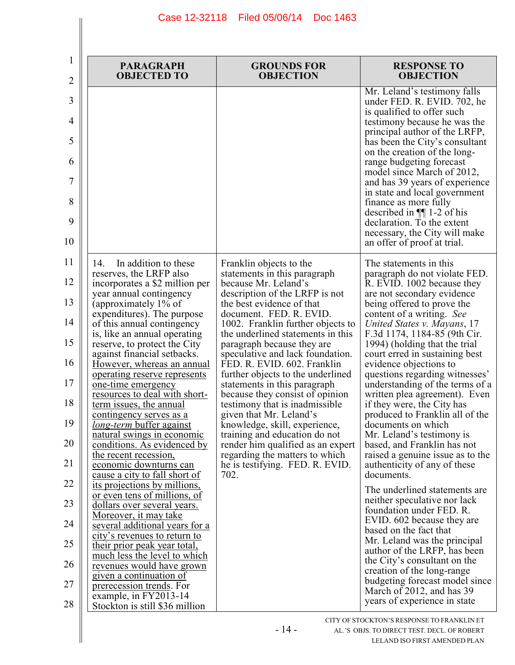| 1<br>2 | <b>PARAGRAPH</b><br><b>OBJECTED TO</b>                               | <b>GROUNDS FOR</b><br><b>OBJECTION</b>                             | <b>RESPONSE TO</b><br><b>OBJECTION</b>                                                                               |
|--------|----------------------------------------------------------------------|--------------------------------------------------------------------|----------------------------------------------------------------------------------------------------------------------|
| 3      |                                                                      |                                                                    | Mr. Leland's testimony falls<br>under FED. R. EVID. 702, he                                                          |
| 4      |                                                                      |                                                                    | is qualified to offer such<br>testimony because he was the                                                           |
| 5      |                                                                      |                                                                    | principal author of the LRFP,<br>has been the City's consultant                                                      |
| 6      |                                                                      |                                                                    | on the creation of the long-<br>range budgeting forecast                                                             |
| 7      |                                                                      |                                                                    | model since March of 2012,<br>and has 39 years of experience                                                         |
| 8<br>9 |                                                                      |                                                                    | in state and local government<br>finance as more fully<br>described in $\P$ 1-2 of his<br>declaration. To the extent |
| 10     |                                                                      |                                                                    | necessary, the City will make<br>an offer of proof at trial.                                                         |
| 11     | 14.<br>In addition to these                                          | Franklin objects to the                                            | The statements in this                                                                                               |
| 12     | reserves, the LRFP also<br>incorporates a \$2 million per            | statements in this paragraph<br>because Mr. Leland's               | paragraph do not violate FED.<br>R. EVID. 1002 because they                                                          |
| 13     | year annual contingency<br>(approximately 1% of                      | description of the LRFP is not<br>the best evidence of that        | are not secondary evidence<br>being offered to prove the                                                             |
| 14     | expenditures). The purpose<br>of this annual contingency             | document. FED. R. EVID.<br>1002. Franklin further objects to       | content of a writing. See<br>United States v. Mayans, 17                                                             |
| 15     | is, like an annual operating<br>reserve, to protect the City         | the underlined statements in this<br>paragraph because they are    | F.3d 1174, 1184-85 (9th Cir.<br>1994) (holding that the trial                                                        |
| 16     | against financial setbacks.<br>However, whereas an annual            | speculative and lack foundation.<br>FED. R. EVID. 602. Franklin    | court erred in sustaining best<br>evidence objections to                                                             |
| 17     | operating reserve represents<br>one-time emergency                   | further objects to the underlined<br>statements in this paragraph  | questions regarding witnesses'<br>understanding of the terms of a                                                    |
| 18     | resources to deal with short-<br>term issues, the annual             | because they consist of opinion<br>testimony that is inadmissible. | written plea agreement). Even<br>if they were, the City has                                                          |
| 19     | <u>contingency serves as a</u><br><i>long-term</i> buffer against    | given that Mr. Leland's<br>knowledge, skill, experience,           | produced to Franklin all of the<br>documents on which                                                                |
| 20     | natural swings in economic<br>conditions. As evidenced by            | training and education do not<br>render him qualified as an expert | Mr. Leland's testimony is<br>based, and Franklin has not                                                             |
| 21     | the recent recession.<br>economic downturns can                      | regarding the matters to which<br>he is testifying. FED. R. EVID.  | raised a genuine issue as to the<br>authenticity of any of these                                                     |
| 22     | <u>cause a city to fall short of</u><br>its projections by millions, | 702.                                                               | documents.                                                                                                           |
| 23     | or even tens of millions, of<br>dollars over several years.          |                                                                    | The underlined statements are<br>neither speculative nor lack                                                        |
| 24     | <u>Moreover, it may take</u>                                         |                                                                    | foundation under FED. R.<br>EVID. 602 because they are                                                               |
|        | several additional years for a<br>city's revenues to return to       |                                                                    | based on the fact that<br>Mr. Leland was the principal                                                               |
| 25     | their prior peak year total,<br>much less the level to which         |                                                                    | author of the LRFP, has been<br>the City's consultant on the                                                         |
| 26     | revenues would have grown<br>given a continuation of                 |                                                                    | creation of the long-range                                                                                           |
| 27     | prerecession trends. For<br>example, in FY2013-14                    |                                                                    | budgeting forecast model since<br>March of 2012, and has 39                                                          |
| $28\,$ | Stockton is still \$36 million                                       |                                                                    | years of experience in state                                                                                         |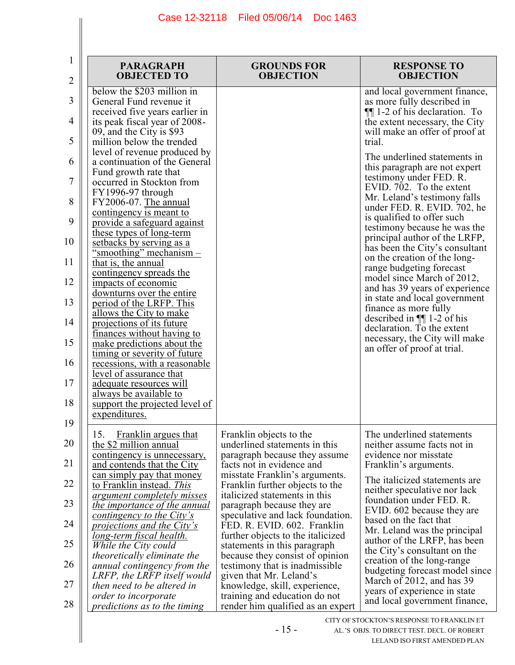| 1<br>$\overline{2}$ | <b>PARAGRAPH</b><br><b>OBJECTED TO</b>                                                   | <b>GROUNDS FOR</b><br><b>OBJECTION</b>                                                      | <b>RESPONSE TO</b><br><b>OBJECTION</b>                                                               |
|---------------------|------------------------------------------------------------------------------------------|---------------------------------------------------------------------------------------------|------------------------------------------------------------------------------------------------------|
| 3                   | below the \$203 million in<br>General Fund revenue it                                    |                                                                                             | and local government finance,                                                                        |
| 4                   | received five years earlier in<br>its peak fiscal year of 2008-                          |                                                                                             | as more fully described in<br><b>II</b> 1-2 of his declaration. To<br>the extent necessary, the City |
| 5                   | 09, and the City is \$93<br>million below the trended                                    |                                                                                             | will make an offer of proof at<br>trial.                                                             |
| 6                   | level of revenue produced by<br>a continuation of the General                            |                                                                                             | The underlined statements in<br>this paragraph are not expert                                        |
| 7                   | Fund growth rate that<br>occurred in Stockton from                                       |                                                                                             | testimony under FED. R.<br>EVID. 702. To the extent                                                  |
| 8                   | FY1996-97 through<br>FY2006-07. The annual                                               |                                                                                             | Mr. Leland's testimony falls<br>under FED. R. EVID. 702, he                                          |
| 9                   | contingency is meant to<br>provide a safeguard against<br>these types of long-term       |                                                                                             | is qualified to offer such<br>testimony because he was the                                           |
| 10                  | setbacks by serving as a<br>"smoothing" mechanism $-$                                    |                                                                                             | principal author of the LRFP,<br>has been the City's consultant                                      |
| 11                  | that is, the annual<br>contingency spreads the                                           |                                                                                             | on the creation of the long-<br>range budgeting forecast<br>model since March of 2012,               |
| 12                  | impacts of economic<br>downturns over the entire                                         |                                                                                             | and has 39 years of experience<br>in state and local government                                      |
| 13<br>14            | period of the LRFP. This<br>allows the City to make                                      |                                                                                             | finance as more fully<br>described in $\P$ 1-2 of his                                                |
| 15                  | projections of its future<br>finances without having to<br>make predictions about the    |                                                                                             | declaration. To the extent<br>necessary, the City will make                                          |
| 16                  | timing or severity of future<br>recessions, with a reasonable                            |                                                                                             | an offer of proof at trial.                                                                          |
| 17                  | level of assurance that<br>adequate resources will                                       |                                                                                             |                                                                                                      |
| 18                  | always be available to<br>support the projected level of                                 |                                                                                             |                                                                                                      |
| 19                  | expenditures.<br>15.<br>Franklin argues that                                             |                                                                                             | The underlined statements                                                                            |
| 20                  | the \$2 million annual<br>contingency is unnecessary,                                    | Franklin objects to the<br>underlined statements in this<br>paragraph because they assume   | neither assume facts not in<br>evidence nor misstate                                                 |
| 21                  | and contends that the City<br>can simply pay that money                                  | facts not in evidence and<br>misstate Franklin's arguments.                                 | Franklin's arguments.                                                                                |
| 22                  | to Franklin instead. This<br><u>argument completely misses</u>                           | Franklin further objects to the<br>italicized statements in this                            | The italicized statements are.<br>neither speculative nor lack<br>foundation under FED. R.           |
| 23                  | the importance of the annual<br>contingency to the City's                                | paragraph because they are<br>speculative and lack foundation.                              | EVID. 602 because they are<br>based on the fact that                                                 |
| 24                  | <i>projections and the City's</i><br><u>long-term fiscal health.</u>                     | FED. R. EVID. 602. Franklin<br>further objects to the italicized                            | Mr. Leland was the principal<br>author of the LRFP, has been                                         |
| 25<br>26            | While the City could<br><i>theoretically eliminate the</i>                               | statements in this paragraph<br>because they consist of opinion                             | the City's consultant on the<br>creation of the long-range                                           |
| 27                  | annual contingency from the<br>LRFP, the LRFP itself would<br>then need to be altered in | testimony that is inadmissible.<br>given that Mr. Leland's<br>knowledge, skill, experience, | budgeting forecast model since<br>March of 2012, and has 39                                          |
| 28                  | order to incorporate<br>predictions as to the timing                                     | training and education do not<br>render him qualified as an expert                          | years of experience in state<br>and local government finance,                                        |
|                     |                                                                                          |                                                                                             | CITY OF STOCKTON'S RESPONSE TO FRANKLIN ET                                                           |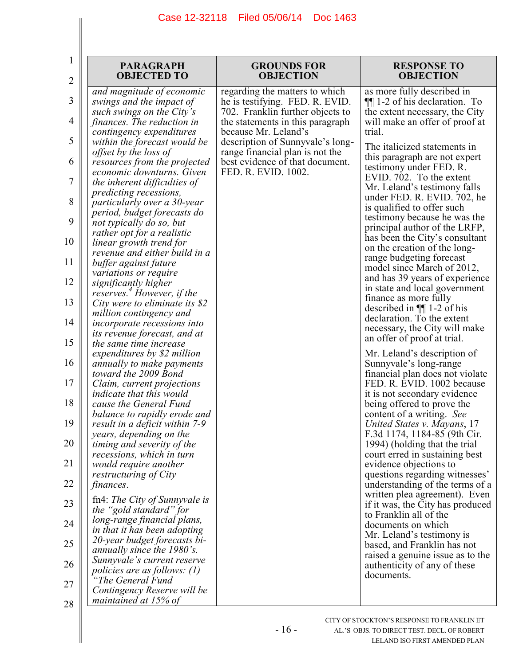| 1<br>$\overline{c}$ | <b>PARAGRAPH</b><br><b>OBJECTED TO</b>                                                      | <b>GROUNDS FOR</b><br><b>OBJECTION</b>                                                                | <b>RESPONSE TO</b><br><b>OBJECTION</b>                                                          |
|---------------------|---------------------------------------------------------------------------------------------|-------------------------------------------------------------------------------------------------------|-------------------------------------------------------------------------------------------------|
| 3                   | and magnitude of economic<br>swings and the impact of<br>such swings on the City's          | regarding the matters to which<br>he is testifying. FED. R. EVID.<br>702. Franklin further objects to | as more fully described in<br>$\P$ 1-2 of his declaration. To<br>the extent necessary, the City |
| 4                   | finances. The reduction in<br>contingency expenditures                                      | the statements in this paragraph<br>because Mr. Leland's                                              | will make an offer of proof at<br>trial.                                                        |
| 5                   | within the forecast would be<br>offset by the loss of                                       | description of Sunnyvale's long-<br>range financial plan is not the                                   | The italicized statements in<br>this paragraph are not expert                                   |
| 6                   | resources from the projected<br>economic downturns. Given                                   | best evidence of that document.<br>FED. R. EVID. 1002.                                                | testimony under FED. R.<br>EVID. 702. To the extent                                             |
| 7<br>8              | the inherent difficulties of<br>predicting recessions,<br>particularly over a 30-year       |                                                                                                       | Mr. Leland's testimony falls<br>under FED. R. EVID. 702, he                                     |
| 9                   | period, budget forecasts do<br>not typically do so, but                                     |                                                                                                       | is qualified to offer such<br>testimony because he was the                                      |
| 10                  | rather opt for a realistic<br>linear growth trend for                                       |                                                                                                       | principal author of the LRFP,<br>has been the City's consultant                                 |
| 11                  | revenue and either build in a<br>buffer against future                                      |                                                                                                       | on the creation of the long-<br>range budgeting forecast<br>model since March of 2012,          |
| 12                  | variations or require<br>significantly higher<br>reserves. <sup>4</sup> However, if the     |                                                                                                       | and has 39 years of experience<br>in state and local government                                 |
| 13                  | City were to eliminate its $$2$<br>million contingency and                                  |                                                                                                       | finance as more fully<br>described in $\P$ 1-2 of his                                           |
| 14                  | incorporate recessions into<br>its revenue forecast, and at                                 |                                                                                                       | declaration. To the extent<br>necessary, the City will make                                     |
| 15                  | the same time increase<br>expenditures by \$2 million                                       |                                                                                                       | an offer of proof at trial.<br>Mr. Leland's description of                                      |
| 16<br>17            | annually to make payments<br>toward the 2009 Bond                                           |                                                                                                       | Sunnyvale's long-range<br>financial plan does not violate<br>FED. R. EVID. 1002 because         |
| 18                  | Claim, current projections<br><i>indicate that this would</i><br>cause the General Fund     |                                                                                                       | it is not secondary evidence<br>being offered to prove the                                      |
| 19                  | balance to rapidly erode and<br>result in a deficit within 7-9                              |                                                                                                       | content of a writing. See<br>United States v. Mayans, 17                                        |
| 20                  | years, depending on the<br>timing and severity of the                                       |                                                                                                       | F.3d 1174, 1184-85 (9th Cir.<br>1994) (holding that the trial                                   |
| 21                  | recessions, which in turn<br>would require another                                          |                                                                                                       | court erred in sustaining best<br>evidence objections to<br>questions regarding witnesses'      |
| 22                  | <i>restructuring of City</i><br>finances.                                                   |                                                                                                       | understanding of the terms of a<br>written plea agreement). Even                                |
| 23                  | fn4: The City of Sunnyvale is<br>the "gold standard" for                                    |                                                                                                       | if it was, the City has produced<br>to Franklin all of the                                      |
| 24                  | long-range financial plans,<br>in that it has been adopting<br>20-year budget forecasts bi- |                                                                                                       | documents on which<br>Mr. Leland's testimony is                                                 |
| 25<br>26            | annually since the 1980's.<br>Sunnyvale's current reserve                                   |                                                                                                       | based, and Franklin has not<br>raised a genuine issue as to the                                 |
| 27                  | policies are as follows: $(1)$<br>'The General Fund                                         |                                                                                                       | authenticity of any of these<br>documents.                                                      |
| 28                  | Contingency Reserve will be<br>maintained at 15% of                                         |                                                                                                       |                                                                                                 |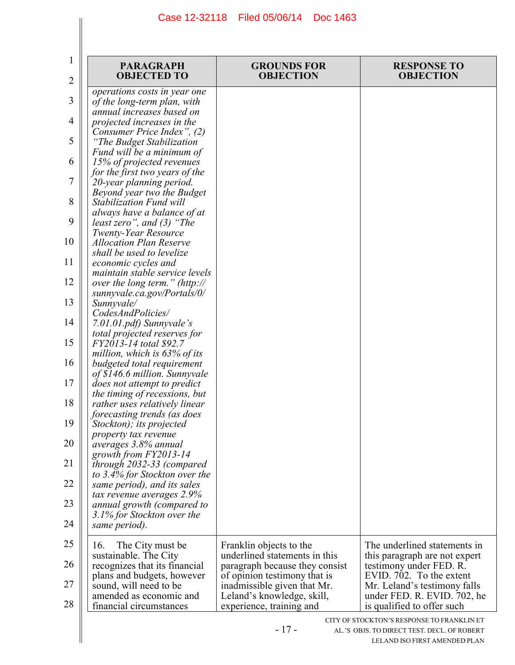I

| 2  | <b>PARAGRAPH</b><br><b>OBJECTED TO</b>                          | <b>GROUNDS FOR</b><br><b>OBJECTION</b>                          | <b>RESPONSE TO</b><br><b>OBJECTION</b>                                                                                     |
|----|-----------------------------------------------------------------|-----------------------------------------------------------------|----------------------------------------------------------------------------------------------------------------------------|
| 3  | operations costs in year one<br>of the long-term plan, with     |                                                                 |                                                                                                                            |
| 4  | annual increases based on<br>projected increases in the         |                                                                 |                                                                                                                            |
| 5  | Consumer Price Index", (2)<br>"The Budget Stabilization         |                                                                 |                                                                                                                            |
| 6  | Fund will be a minimum of<br>15% of projected revenues          |                                                                 |                                                                                                                            |
| 7  | for the first two years of the<br>20-year planning period.      |                                                                 |                                                                                                                            |
| 8  | Beyond year two the Budget<br><b>Stabilization Fund will</b>    |                                                                 |                                                                                                                            |
| 9  | always have a balance of at<br>least zero", and $(3)$ "The      |                                                                 |                                                                                                                            |
| 10 | <b>Twenty-Year Resource</b><br><b>Allocation Plan Reserve</b>   |                                                                 |                                                                                                                            |
| 11 | shall be used to levelize<br>economic cycles and                |                                                                 |                                                                                                                            |
| 12 | maintain stable service levels<br>over the long term." (http:// |                                                                 |                                                                                                                            |
| 13 | sunnyvale.ca.gov/Portals/0/<br>Sunnyvale/                       |                                                                 |                                                                                                                            |
| 14 | CodesAndPolicies/<br>7.01.01.pdf) Sunnyvale's                   |                                                                 |                                                                                                                            |
| 15 | total projected reserves for<br>FY2013-14 total \$92.7          |                                                                 |                                                                                                                            |
| 16 | million, which is 63% of its<br>budgeted total requirement      |                                                                 |                                                                                                                            |
| 17 | of \$146.6 million. Sunnyvale<br>does not attempt to predict    |                                                                 |                                                                                                                            |
| 18 | the timing of recessions, but<br>rather uses relatively linear  |                                                                 |                                                                                                                            |
| 19 | forecasting trends (as does<br>Stockton); its projected         |                                                                 |                                                                                                                            |
| 20 | property tax revenue<br>averages 3.8% annual                    |                                                                 |                                                                                                                            |
| 21 | growth from FY2013-14<br>through 2032-33 (compared              |                                                                 |                                                                                                                            |
| 22 | to 3.4% for Stockton over the<br>same period), and its sales    |                                                                 |                                                                                                                            |
| 23 | tax revenue averages 2.9%<br>annual growth (compared to         |                                                                 |                                                                                                                            |
| 24 | 3.1% for Stockton over the<br>same period).                     |                                                                 |                                                                                                                            |
| 25 | The City must be<br>16.                                         | Franklin objects to the                                         | The underlined statements in                                                                                               |
| 26 | sustainable. The City<br>recognizes that its financial          | underlined statements in this<br>paragraph because they consist | this paragraph are not expert<br>testimony under FED. R.                                                                   |
| 27 | plans and budgets, however<br>sound, will need to be            | of opinion testimony that is<br>inadmissible given that Mr.     | EVID. 702. To the extent<br>Mr. Leland's testimony falls                                                                   |
| 28 | amended as economic and<br>financial circumstances              | Leland's knowledge, skill,<br>experience, training and          | under FED. R. EVID. 702, he<br>is qualified to offer such                                                                  |
|    |                                                                 | $-17-$                                                          | CITY OF STOCKTON'S RESPONSE TO FRANKLIN ET<br>AL.'S OBJS. TO DIRECT TEST. DECL. OF ROBERT<br>LELAND ISO FIRST AMENDED PLAN |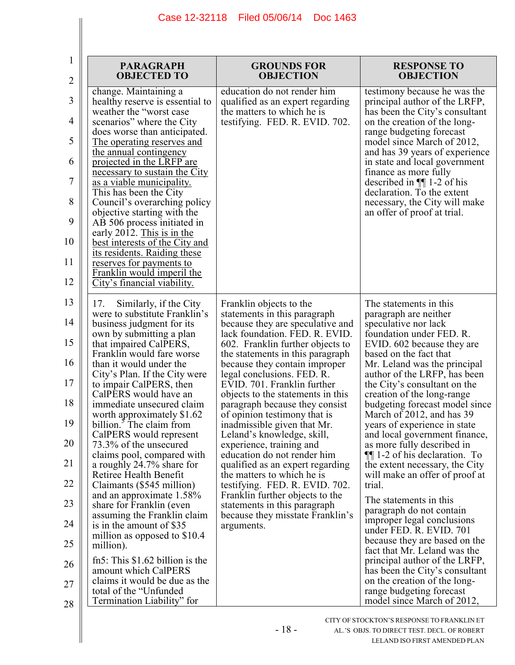| 1<br>2   | <b>PARAGRAPH</b><br><b>OBJECTED TO</b>                                                      | <b>GROUNDS FOR</b><br><b>OBJECTION</b>                                                             | <b>RESPONSE TO</b><br><b>OBJECTION</b>                                                          |
|----------|---------------------------------------------------------------------------------------------|----------------------------------------------------------------------------------------------------|-------------------------------------------------------------------------------------------------|
| 3        | change. Maintaining a<br>healthy reserve is essential to<br>weather the "worst case"        | education do not render him<br>qualified as an expert regarding<br>the matters to which he is      | testimony because he was the<br>principal author of the LRFP,<br>has been the City's consultant |
| 4        | scenarios" where the City<br>does worse than anticipated.                                   | testifying. FED. R. EVID. 702.                                                                     | on the creation of the long-<br>range budgeting forecast                                        |
| 5        | <u>The operating reserves and</u><br>the annual contingency                                 |                                                                                                    | model since March of 2012,<br>and has 39 years of experience                                    |
| 6        | projected in the LRFP are<br>necessary to sustain the City                                  |                                                                                                    | in state and local government<br>finance as more fully                                          |
| 7        | <u>as a viable municipality.</u><br>This has been the City                                  |                                                                                                    | described in $\P$ 1-2 of his<br>declaration. To the extent                                      |
| 8<br>9   | Council's overarching policy<br>objective starting with the                                 |                                                                                                    | necessary, the City will make<br>an offer of proof at trial.                                    |
| 10       | AB 506 process initiated in<br>early 2012. This is in the<br>best interests of the City and |                                                                                                    |                                                                                                 |
| 11       | its residents. Raiding these<br>reserves for payments to                                    |                                                                                                    |                                                                                                 |
| 12       | Franklin would imperil the<br>City's financial viability.                                   |                                                                                                    |                                                                                                 |
| 13       | 17.<br>Similarly, if the City                                                               | Franklin objects to the                                                                            | The statements in this                                                                          |
| 14       | were to substitute Franklin's<br>business judgment for its<br>own by submitting a plan      | statements in this paragraph<br>because they are speculative and<br>lack foundation. FED. R. EVID. | paragraph are neither<br>speculative nor lack<br>foundation under FED. R.                       |
| 15       | that impaired CalPERS,<br>Franklin would fare worse                                         | 602. Franklin further objects to<br>the statements in this paragraph                               | EVID. 602 because they are<br>based on the fact that                                            |
| 16       | than it would under the<br>City's Plan. If the City were                                    | because they contain improper<br>legal conclusions. FED. R.                                        | Mr. Leland was the principal<br>author of the LRFP, has been                                    |
| 17<br>18 | to impair CalPERS, then<br>CalPERS would have an<br>immediate unsecured claim               | EVID. 701. Franklin further<br>objects to the statements in this<br>paragraph because they consist | the City's consultant on the<br>creation of the long-range<br>budgeting forecast model since    |
| 19       | worth approximately \$1.62<br>billion. <sup>3</sup> The claim from                          | of opinion testimony that is<br>inadmissible given that Mr.                                        | March of 2012, and has 39<br>years of experience in state                                       |
| 20       | CalPERS would represent<br>73.3% of the unsecured                                           | Leland's knowledge, skill,<br>experience, training and                                             | and local government finance,<br>as more fully described in                                     |
| 21       | claims pool, compared with<br>a roughly 24.7% share for                                     | education do not render him<br>qualified as an expert regarding                                    | $\P$ 1-2 of his declaration. To<br>the extent necessary, the City                               |
| 22       | Retiree Health Benefit<br>Claimants (\$545 million)                                         | the matters to which he is<br>testifying. FED. R. EVID. 702.                                       | will make an offer of proof at<br>trial.                                                        |
| 23       | and an approximate $1.58\%$<br>share for Franklin (even                                     | Franklin further objects to the<br>statements in this paragraph                                    | The statements in this                                                                          |
| 24       | assuming the Franklin claim<br>is in the amount of \$35                                     | because they misstate Franklin's<br>arguments.                                                     | paragraph do not contain<br>improper legal conclusions                                          |
| 25       | million as opposed to \$10.4<br>million).                                                   |                                                                                                    | under FED. R. EVID. 701<br>because they are based on the                                        |
| 26       | fn5: This $$1.62$ billion is the<br>amount which CalPERS                                    |                                                                                                    | fact that Mr. Leland was the<br>principal author of the LRFP,<br>has been the City's consultant |
| 27       | claims it would be due as the<br>total of the "Unfunded                                     |                                                                                                    | on the creation of the long-<br>range budgeting forecast                                        |
| 28       | Termination Liability" for                                                                  |                                                                                                    | model since March of 2012,                                                                      |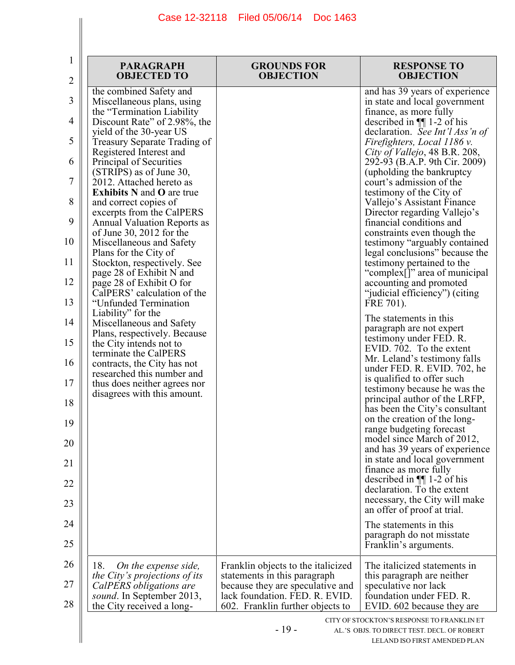| <b>PARAGRAPH</b><br><b>OBJECTED TO</b>                                                                                                                                                                                                                                                                                                                                                                                                                                                                                                                                                                                                                       | <b>GROUNDS FOR</b><br><b>OBJECTION</b>                                                                                                                                       | <b>RESPONSE TO</b><br><b>OBJECTION</b>                                                                                                                                                                                                                                                                                                                                                                                                                                                                                                                                                                                                                                                                        |
|--------------------------------------------------------------------------------------------------------------------------------------------------------------------------------------------------------------------------------------------------------------------------------------------------------------------------------------------------------------------------------------------------------------------------------------------------------------------------------------------------------------------------------------------------------------------------------------------------------------------------------------------------------------|------------------------------------------------------------------------------------------------------------------------------------------------------------------------------|---------------------------------------------------------------------------------------------------------------------------------------------------------------------------------------------------------------------------------------------------------------------------------------------------------------------------------------------------------------------------------------------------------------------------------------------------------------------------------------------------------------------------------------------------------------------------------------------------------------------------------------------------------------------------------------------------------------|
| the combined Safety and<br>Miscellaneous plans, using<br>the "Termination Liability"<br>Discount Rate" of 2.98%, the<br>yield of the 30-year US<br>Treasury Separate Trading of<br>Registered Interest and<br>Principal of Securities<br>(STRIPS) as of June 30,<br>2012. Attached hereto as<br><b>Exhibits N and O are true</b><br>and correct copies of<br>excerpts from the CalPERS<br><b>Annual Valuation Reports as</b><br>of June 30, 2012 for the<br>Miscellaneous and Safety<br>Plans for the City of<br>Stockton, respectively. See<br>page 28 of Exhibit N and<br>page 28 of Exhibit O for<br>CalPERS' calculation of the<br>"Unfunded Termination |                                                                                                                                                                              | and has 39 years of experience<br>in state and local government<br>finance, as more fully<br>described in $\P$ 1-2 of his<br>declaration. See Int'l Ass'n of<br>Firefighters, Local 1186 v.<br>City of Vallejo, 48 B.R. 208,<br>292-93 (B.A.P. 9th Cir. 2009)<br>(upholding the bankruptcy<br>court's admission of the<br>testimony of the City of<br>Vallejo's Assistant Finance<br>Director regarding Vallejo's<br>financial conditions and<br>constraints even though the<br>testimony "arguably contained<br>legal conclusions" because the<br>testimony pertained to the<br>"complex[]" area of municipal<br>accounting and promoted<br>"judicial efficiency") (citing<br>FRE 701).                      |
| Liability" for the<br>Miscellaneous and Safety<br>Plans, respectively. Because<br>the City intends not to<br>terminate the CalPERS<br>contracts, the City has not<br>researched this number and<br>thus does neither agrees nor<br>disagrees with this amount.                                                                                                                                                                                                                                                                                                                                                                                               |                                                                                                                                                                              | The statements in this<br>paragraph are not expert<br>testimony under FED. R.<br>EVID. 702. To the extent<br>Mr. Leland's testimony falls<br>under FED. R. EVID. 702, he<br>is qualified to offer such<br>testimony because he was the<br>principal author of the LRFP,<br>has been the City's consultant<br>on the creation of the long-<br>range budgeting forecast<br>model since March of 2012,<br>and has 39 years of experience<br>in state and local government<br>finance as more fully<br>described in $\P$ 1-2 of his<br>declaration. To the extent<br>necessary, the City will make<br>an offer of proof at trial.<br>The statements in this<br>paragraph do not misstate<br>Franklin's arguments. |
| 18.<br>On the expense side,<br>the City's projections of its<br>CalPERS obligations are<br>sound. In September 2013,<br>the City received a long-                                                                                                                                                                                                                                                                                                                                                                                                                                                                                                            | Franklin objects to the italicized<br>statements in this paragraph<br>because they are speculative and<br>lack foundation. FED. R. EVID.<br>602. Franklin further objects to | The italicized statements in<br>this paragraph are neither<br>speculative nor lack<br>foundation under FED. R.<br>EVID. 602 because they are                                                                                                                                                                                                                                                                                                                                                                                                                                                                                                                                                                  |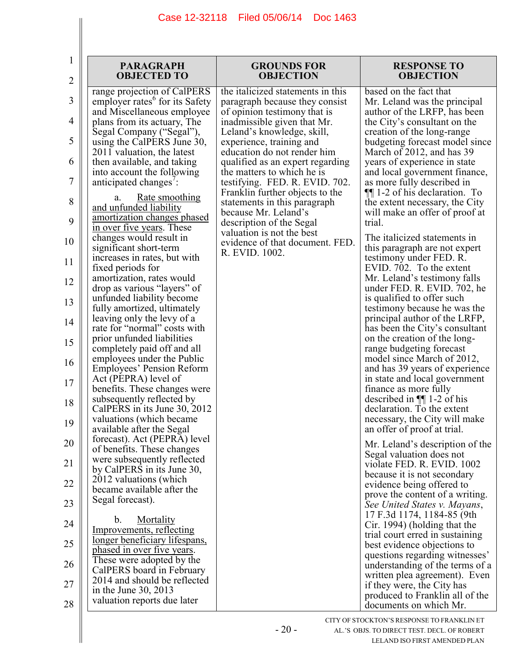| 1<br>$\overline{2}$ | <b>PARAGRAPH</b><br><b>OBJECTED TO</b>                                                  | <b>GROUNDS FOR</b><br><b>OBJECTION</b>                                                | <b>RESPONSE TO</b><br><b>OBJECTION</b>                                                     |
|---------------------|-----------------------------------------------------------------------------------------|---------------------------------------------------------------------------------------|--------------------------------------------------------------------------------------------|
| 3                   | range projection of CalPERS<br>employer rates <sup>6</sup> for its Safety               | the italicized statements in this<br>paragraph because they consist                   | based on the fact that<br>Mr. Leland was the principal                                     |
| 4                   | and Miscellaneous employee<br>plans from its actuary, The                               | of opinion testimony that is<br>inadmissible given that Mr.                           | author of the LRFP, has been<br>the City's consultant on the                               |
| 5                   | Segal Company ("Segal"),<br>using the CalPERS June 30,<br>2011 valuation, the latest    | Leland's knowledge, skill,<br>experience, training and<br>education do not render him | creation of the long-range<br>budgeting forecast model since<br>March of 2012, and has 39  |
| 6                   | then available, and taking<br>into account the following                                | qualified as an expert regarding<br>the matters to which he is                        | years of experience in state<br>and local government finance,                              |
| 7                   | anticipated changes':                                                                   | testifying. FED. R. EVID. 702.<br>Franklin further objects to the                     | as more fully described in<br>$\P$ 1-2 of his declaration. To                              |
| 8<br>9              | <u>Rate smoothing</u><br>a.<br>and unfunded liability<br>amortization changes phased    | statements in this paragraph<br>because Mr. Leland's<br>description of the Segal      | the extent necessary, the City<br>will make an offer of proof at<br>trial.                 |
| 10                  | in over five years. These<br>changes would result in                                    | valuation is not the best<br>evidence of that document. FED.                          | The italicized statements in                                                               |
| 11                  | significant short-term<br>increases in rates, but with<br>fixed periods for             | R. EVID. 1002.                                                                        | this paragraph are not expert<br>testimony under FED. R.<br>EVID. 702. To the extent       |
| 12                  | amortization, rates would<br>drop as various "layers" of                                |                                                                                       | Mr. Leland's testimony falls<br>under FED. R. EVID. 702, he                                |
| 13                  | unfunded liability become<br>fully amortized, ultimately                                |                                                                                       | is qualified to offer such<br>testimony because he was the                                 |
| 14                  | leaving only the levy of a<br>rate for "normal" costs with                              |                                                                                       | principal author of the LRFP,<br>has been the City's consultant                            |
| 15                  | prior unfunded liabilities<br>completely paid off and all<br>employees under the Public |                                                                                       | on the creation of the long-<br>range budgeting forecast<br>model since March of 2012,     |
| 16<br>17            | Employees' Pension Reform<br>Act (PEPRA) level of                                       |                                                                                       | and has 39 years of experience<br>in state and local government                            |
| 18                  | benefits. These changes were<br>subsequently reflected by                               |                                                                                       | finance as more fully<br>described in $\P$ 1-2 of his                                      |
| 19                  | CalPERS in its June 30, 2012<br>valuations (which became<br>available after the Segal   |                                                                                       | declaration. To the extent<br>necessary, the City will make<br>an offer of proof at trial. |
| 20                  | forecast). Act (PEPRA) level<br>of benefits. These changes                              |                                                                                       | Mr. Leland's description of the                                                            |
| 21                  | were subsequently reflected<br>by CalPERS in its June 30,                               |                                                                                       | Segal valuation does not<br>violate FED. R. EVID. 1002<br>because it is not secondary      |
| 22                  | 2012 valuations (which<br>became available after the                                    |                                                                                       | evidence being offered to<br>prove the content of a writing.                               |
| 23                  | Segal forecast).                                                                        |                                                                                       | See United States v. Mayans,<br>17 F.3d 1174, 1184-85 (9th                                 |
| 24                  | Mortality<br>b.<br>Improvements, reflecting<br>longer beneficiary lifespans,            |                                                                                       | Cir. 1994) (holding that the<br>trial court erred in sustaining                            |
| 25                  | phased in over five years.<br>These were adopted by the                                 |                                                                                       | best evidence objections to<br>questions regarding witnesses'                              |
| 26                  | CalPERS board in February<br>2014 and should be reflected                               |                                                                                       | understanding of the terms of a<br>written plea agreement). Even                           |
| 27<br>28            | in the June 30, 2013<br>valuation reports due later                                     |                                                                                       | if they were, the City has<br>produced to Franklin all of the<br>documents on which Mr.    |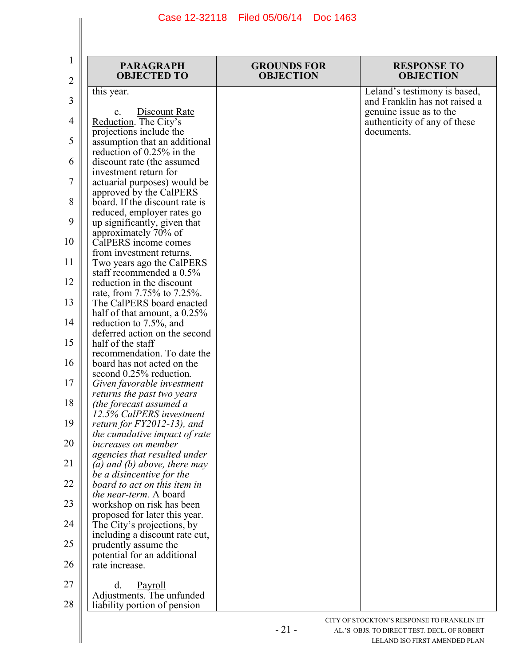| 1<br>2 | <b>PARAGRAPH</b><br><b>OBJECTED TO</b>                       | <b>GROUNDS FOR</b><br><b>OBJECTION</b> | <b>RESPONSE TO</b><br><b>OBJECTION</b>                  |
|--------|--------------------------------------------------------------|----------------------------------------|---------------------------------------------------------|
|        | this year.                                                   |                                        | Leland's testimony is based,                            |
| 3      |                                                              |                                        | and Franklin has not raised a                           |
| 4      | Discount Rate<br>$\mathbf{c}$ .<br>Reduction. The City's     |                                        | genuine issue as to the<br>authenticity of any of these |
|        | projections include the                                      |                                        | documents.                                              |
| 5      | assumption that an additional                                |                                        |                                                         |
| 6      | reduction of 0.25% in the                                    |                                        |                                                         |
|        | discount rate (the assumed<br>investment return for          |                                        |                                                         |
| 7      | actuarial purposes) would be                                 |                                        |                                                         |
|        | approved by the CalPERS                                      |                                        |                                                         |
| 8      | board. If the discount rate is                               |                                        |                                                         |
| 9      | reduced, employer rates go<br>up significantly, given that   |                                        |                                                         |
|        | approximately 70% of                                         |                                        |                                                         |
| 10     | CalPERS income comes                                         |                                        |                                                         |
| 11     | from investment returns.                                     |                                        |                                                         |
|        | Two years ago the CalPERS<br>staff recommended a 0.5%        |                                        |                                                         |
| 12     | reduction in the discount                                    |                                        |                                                         |
|        | rate, from 7.75% to 7.25%.                                   |                                        |                                                         |
| 13     | The CalPERS board enacted                                    |                                        |                                                         |
| 14     | half of that amount, a $0.25\%$<br>reduction to 7.5%, and    |                                        |                                                         |
|        | deferred action on the second                                |                                        |                                                         |
| 15     | half of the staff                                            |                                        |                                                         |
| 16     | recommendation. To date the<br>board has not acted on the    |                                        |                                                         |
|        | second 0.25% reduction.                                      |                                        |                                                         |
| 17     | Given favorable investment                                   |                                        |                                                         |
|        | returns the past two years                                   |                                        |                                                         |
| 18     | (the forecast assumed a<br>12.5% CalPERS investment          |                                        |                                                         |
| 19     | return for $FY2012-13$ ), and                                |                                        |                                                         |
|        | the cumulative impact of rate                                |                                        |                                                         |
| 20     | <i>increases on member</i>                                   |                                        |                                                         |
| 21     | agencies that resulted under<br>(a) and (b) above, there may |                                        |                                                         |
|        | be a disincentive for the                                    |                                        |                                                         |
| 22     | board to act on this item in                                 |                                        |                                                         |
| 23     | the near-term. A board                                       |                                        |                                                         |
|        | workshop on risk has been<br>proposed for later this year.   |                                        |                                                         |
| 24     | The City's projections, by                                   |                                        |                                                         |
|        | including a discount rate cut,                               |                                        |                                                         |
| 25     | prudently assume the<br>potential for an additional          |                                        |                                                         |
| 26     | rate increase.                                               |                                        |                                                         |
|        |                                                              |                                        |                                                         |
| 27     | Payroll<br>d.                                                |                                        |                                                         |
| 28     | Adjustments. The unfunded<br>liability portion of pension    |                                        |                                                         |
|        |                                                              |                                        |                                                         |
|        |                                                              | $\mathbf{\Omega}$                      | CITY OF STOCKTON'S RESPONSE TO FRANKLIN ET              |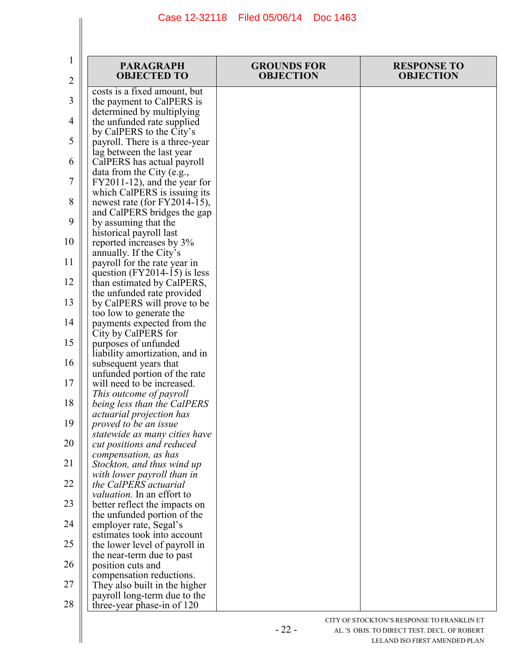| 1<br>2   | <b>PARAGRAPH</b><br><b>OBJECTED TO</b>                                                    | <b>GROUNDS FOR</b><br><b>OBJECTION</b> | <b>RESPONSE TO</b><br><b>OBJECTION</b> |
|----------|-------------------------------------------------------------------------------------------|----------------------------------------|----------------------------------------|
| 3        | costs is a fixed amount, but<br>the payment to CalPERS is                                 |                                        |                                        |
| 4        | determined by multiplying<br>the unfunded rate supplied                                   |                                        |                                        |
| 5        | by CalPERS to the City's<br>payroll. There is a three-year                                |                                        |                                        |
| 6        | lag between the last year<br>CalPERS has actual payroll                                   |                                        |                                        |
| $\tau$   | data from the City (e.g.,<br>FY2011-12), and the year for<br>which CalPERS is issuing its |                                        |                                        |
| 8        | newest rate (for FY2014-15),<br>and CalPERS bridges the gap                               |                                        |                                        |
| 9        | by assuming that the<br>historical payroll last                                           |                                        |                                        |
| 10       | reported increases by 3%<br>annually. If the City's                                       |                                        |                                        |
| 11       | payroll for the rate year in<br>question $(FY2014-15)$ is less                            |                                        |                                        |
| 12       | than estimated by CalPERS,<br>the unfunded rate provided                                  |                                        |                                        |
| 13<br>14 | by CalPERS will prove to be<br>too low to generate the                                    |                                        |                                        |
| 15       | payments expected from the<br>City by CalPERS for<br>purposes of unfunded                 |                                        |                                        |
| 16       | liability amortization, and in<br>subsequent years that                                   |                                        |                                        |
| 17       | unfunded portion of the rate<br>will need to be increased.                                |                                        |                                        |
| 18       | This outcome of payroll<br>being less than the CalPERS                                    |                                        |                                        |
| 19       | actuarial projection has<br>proved to be an issue                                         |                                        |                                        |
| 20       | statewide as many cities have<br>cut positions and reduced                                |                                        |                                        |
| 21       | compensation, as has<br>Stockton, and thus wind up                                        |                                        |                                        |
| 22       | with lower payroll than in<br>the CalPERS actuarial<br><i>valuation</i> . In an effort to |                                        |                                        |
| 23       | better reflect the impacts on<br>the unfunded portion of the                              |                                        |                                        |
| 24       | employer rate, Segal's<br>estimates took into account                                     |                                        |                                        |
| 25       | the lower level of payroll in<br>the near-term due to past                                |                                        |                                        |
| 26       | position cuts and<br>compensation reductions.                                             |                                        |                                        |
| 27       | They also built in the higher<br>payroll long-term due to the                             |                                        |                                        |
| 28       | three-year phase-in of 120                                                                |                                        |                                        |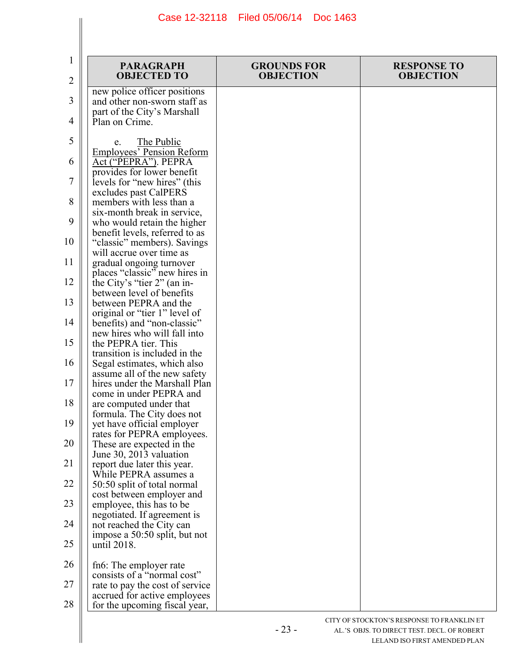| 1              | <b>PARAGRAPH</b><br><b>OBJECTED TO</b>                                                      | <b>GROUNDS FOR</b><br><b>OBJECTION</b> | <b>RESPONSE TO</b><br><b>OBJECTION</b> |
|----------------|---------------------------------------------------------------------------------------------|----------------------------------------|----------------------------------------|
| $\overline{2}$ |                                                                                             |                                        |                                        |
| 3              | new police officer positions<br>and other non-sworn staff as<br>part of the City's Marshall |                                        |                                        |
| 4              | Plan on Crime.                                                                              |                                        |                                        |
| 5              | The Public<br>e.<br><b>Employees' Pension Reform</b>                                        |                                        |                                        |
| 6              | Act ("PEPRA"). PEPRA<br>provides for lower benefit                                          |                                        |                                        |
| 7              | levels for "new hires" (this<br>excludes past CalPERS                                       |                                        |                                        |
| 8              | members with less than a<br>six-month break in service,                                     |                                        |                                        |
| 9              | who would retain the higher<br>benefit levels, referred to as                               |                                        |                                        |
| 10             | "classic" members). Savings<br>will accrue over time as                                     |                                        |                                        |
| 11             | gradual ongoing turnover<br>places "classic" new hires in                                   |                                        |                                        |
| 12             | the City's "tier 2" (an in-<br>between level of benefits                                    |                                        |                                        |
| 13             | between PEPRA and the<br>original or "tier 1" level of                                      |                                        |                                        |
| 14             | benefits) and "non-classic"<br>new hires who will fall into                                 |                                        |                                        |
| 15             | the PEPRA tier. This<br>transition is included in the                                       |                                        |                                        |
| 16             | Segal estimates, which also<br>assume all of the new safety                                 |                                        |                                        |
| 17             | hires under the Marshall Plan<br>come in under PEPRA and                                    |                                        |                                        |
| 18             | are computed under that<br>formula. The City does not                                       |                                        |                                        |
| 19             | yet have official employer<br>rates for PEPRA employees.                                    |                                        |                                        |
| 20             | These are expected in the<br>June 30, 2013 valuation                                        |                                        |                                        |
| 21             | report due later this year.<br>While PEPRA assumes a                                        |                                        |                                        |
| 22             | 50:50 split of total normal<br>cost between employer and                                    |                                        |                                        |
| 23             | employee, this has to be<br>negotiated. If agreement is                                     |                                        |                                        |
| 24             | not reached the City can<br>impose a 50:50 split, but not                                   |                                        |                                        |
| 25             | until 2018.                                                                                 |                                        |                                        |
| 26             | fn6: The employer rate<br>consists of a "normal cost"                                       |                                        |                                        |
| 27             | rate to pay the cost of service<br>accrued for active employees                             |                                        |                                        |
| 28             | for the upcoming fiscal year,                                                               |                                        |                                        |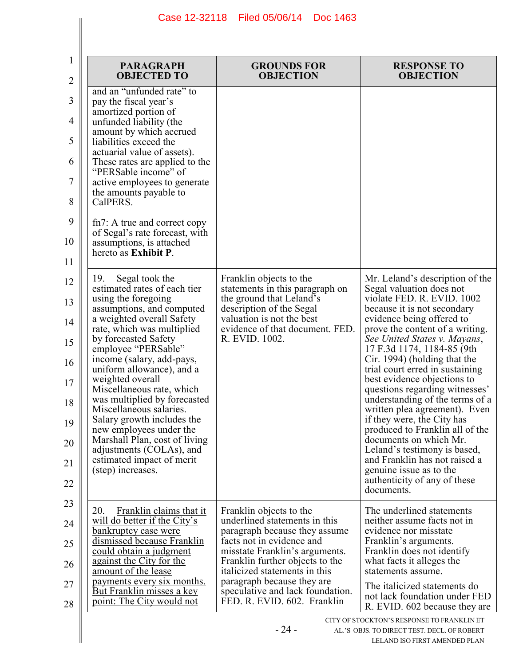| <b>PARAGRAPH</b><br><b>OBJECTED TO</b>                                                                                                                                                                                                                                                                                                                                                                                                                                                                                                                                                                                                                                                                                                                                                                                                                                                                                                                                                                               | <b>GROUNDS FOR</b><br><b>OBJECTION</b>                                                                                                                                                                                                                     | <b>RESPONSE TO</b><br><b>OBJECTION</b>                                                                                                                                                                                                                                                                                                                                                                                                                                                                                                                                                                                                                                                              |
|----------------------------------------------------------------------------------------------------------------------------------------------------------------------------------------------------------------------------------------------------------------------------------------------------------------------------------------------------------------------------------------------------------------------------------------------------------------------------------------------------------------------------------------------------------------------------------------------------------------------------------------------------------------------------------------------------------------------------------------------------------------------------------------------------------------------------------------------------------------------------------------------------------------------------------------------------------------------------------------------------------------------|------------------------------------------------------------------------------------------------------------------------------------------------------------------------------------------------------------------------------------------------------------|-----------------------------------------------------------------------------------------------------------------------------------------------------------------------------------------------------------------------------------------------------------------------------------------------------------------------------------------------------------------------------------------------------------------------------------------------------------------------------------------------------------------------------------------------------------------------------------------------------------------------------------------------------------------------------------------------------|
| and an "unfunded rate" to<br>pay the fiscal year's<br>amortized portion of<br>unfunded liability (the<br>amount by which accrued<br>liabilities exceed the<br>actuarial value of assets).<br>These rates are applied to the<br>"PERSable income" of<br>active employees to generate<br>the amounts payable to<br>CalPERS.<br>fn7: A true and correct copy<br>of Segal's rate forecast, with<br>assumptions, is attached<br>hereto as Exhibit P.<br>19.<br>Segal took the<br>estimated rates of each tier<br>using the foregoing<br>assumptions, and computed<br>a weighted overall Safety<br>rate, which was multiplied<br>by forecasted Safety<br>employee "PERSable"<br>income (salary, add-pays,<br>uniform allowance), and a<br>weighted overall<br>Miscellaneous rate, which<br>was multiplied by forecasted<br>Miscellaneous salaries.<br>Salary growth includes the<br>new employees under the<br>Marshall Plan, cost of living<br>adjustments (COLAs), and<br>estimated impact of merit<br>(step) increases. | Franklin objects to the<br>statements in this paragraph on<br>the ground that Leland's<br>description of the Segal<br>valuation is not the best<br>evidence of that document. FED.<br>R. EVID. 1002.                                                       | Mr. Leland's description of the<br>Segal valuation does not<br>violate FED. R. EVID. 1002<br>because it is not secondary<br>evidence being offered to<br>prove the content of a writing.<br>See United States v. Mayans,<br>17 F.3d 1174, 1184-85 (9th<br>Cir. 1994) (holding that the<br>trial court erred in sustaining<br>best evidence objections to<br>questions regarding witnesses'<br>understanding of the terms of a<br>written plea agreement). Even<br>if they were, the City has<br>produced to Franklin all of the<br>documents on which Mr.<br>Leland's testimony is based,<br>and Franklin has not raised a<br>genuine issue as to the<br>authenticity of any of these<br>documents. |
| 20.<br>Franklin claims that it<br>will do better if the City's<br>bankruptcy case were<br>dismissed because Franklin<br>could obtain a judgment<br>against the City for the<br>amount of the lease<br>payments every six months.                                                                                                                                                                                                                                                                                                                                                                                                                                                                                                                                                                                                                                                                                                                                                                                     | Franklin objects to the<br>underlined statements in this<br>paragraph because they assume<br>facts not in evidence and<br>misstate Franklin's arguments.<br>Franklin further objects to the<br>italicized statements in this<br>paragraph because they are | The underlined statements<br>neither assume facts not in<br>evidence nor misstate<br>Franklin's arguments.<br>Franklin does not identify<br>what facts it alleges the<br>statements assume.                                                                                                                                                                                                                                                                                                                                                                                                                                                                                                         |
| But Franklin misses a key<br>point: The City would not                                                                                                                                                                                                                                                                                                                                                                                                                                                                                                                                                                                                                                                                                                                                                                                                                                                                                                                                                               | speculative and lack foundation.<br>FED. R. EVID. 602. Franklin                                                                                                                                                                                            | The italicized statements do<br>not lack foundation under FED<br>R. EVID. 602 because they are                                                                                                                                                                                                                                                                                                                                                                                                                                                                                                                                                                                                      |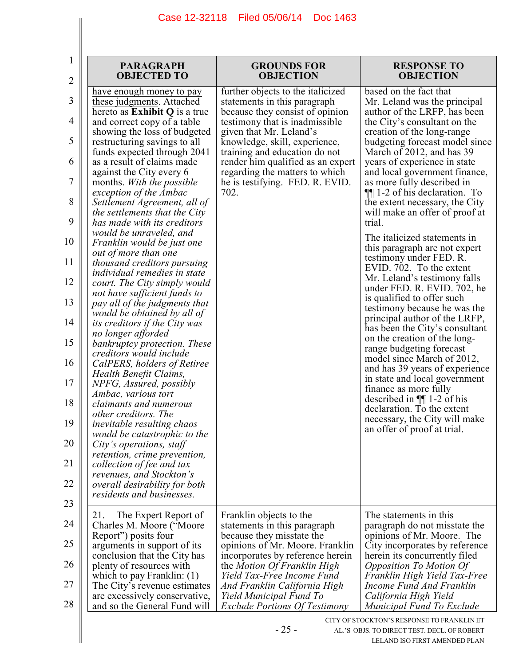$\mathbf{I}$ 

I

| <b>PARAGRAPH</b><br><b>OBJECTED TO</b>                                                                                                                                                                                                                                                                                                                                                                                                                                                                                                                                                                                                                                                                                                                                                                                                                                                                                                                                                                                                                                                                                                                                                                                                                                            | <b>GROUNDS FOR</b><br><b>OBJECTION</b>                                                                                                                                                                                                                                                                                                                 | <b>RESPONSE TO</b><br><b>OBJECTION</b>                                                                                                                                                                                                                                                                                                                                                                                                                                                                                                                                                                                                                                                                                                                                                                                                                                                                                                                                                                                                                                           |
|-----------------------------------------------------------------------------------------------------------------------------------------------------------------------------------------------------------------------------------------------------------------------------------------------------------------------------------------------------------------------------------------------------------------------------------------------------------------------------------------------------------------------------------------------------------------------------------------------------------------------------------------------------------------------------------------------------------------------------------------------------------------------------------------------------------------------------------------------------------------------------------------------------------------------------------------------------------------------------------------------------------------------------------------------------------------------------------------------------------------------------------------------------------------------------------------------------------------------------------------------------------------------------------|--------------------------------------------------------------------------------------------------------------------------------------------------------------------------------------------------------------------------------------------------------------------------------------------------------------------------------------------------------|----------------------------------------------------------------------------------------------------------------------------------------------------------------------------------------------------------------------------------------------------------------------------------------------------------------------------------------------------------------------------------------------------------------------------------------------------------------------------------------------------------------------------------------------------------------------------------------------------------------------------------------------------------------------------------------------------------------------------------------------------------------------------------------------------------------------------------------------------------------------------------------------------------------------------------------------------------------------------------------------------------------------------------------------------------------------------------|
| have enough money to pay<br>these judgments. Attached<br>hereto as Exhibit Q is a true<br>and correct copy of a table<br>showing the loss of budgeted<br>restructuring savings to all<br>funds expected through 2041<br>as a result of claims made<br>against the City every 6<br>months. With the possible<br>exception of the Ambac<br>Settlement Agreement, all of<br>the settlements that the City<br>has made with its creditors<br>would be unraveled, and<br>Franklin would be just one<br>out of more than one<br>thousand creditors pursuing<br><i>individual remedies in state</i><br>court. The City simply would<br>not have sufficient funds to<br>pay all of the judgments that<br>would be obtained by all of<br><i>its creditors if the City was</i><br>no longer afforded<br>bankruptcy protection. These<br>creditors would include<br>CalPERS, holders of Retiree<br>Health Benefit Claims,<br>NPFG, Assured, possibly<br>Ambac, various tort<br><i>claimants and numerous</i><br>other creditors. The<br><i>inevitable resulting chaos</i><br>would be catastrophic to the<br>City's operations, staff<br>retention, crime prevention,<br>collection of fee and tax<br>revenues, and Stockton's<br>overall desirability for both<br>residents and businesses. | further objects to the italicized<br>statements in this paragraph<br>because they consist of opinion<br>testimony that is inadmissible.<br>given that Mr. Leland's<br>knowledge, skill, experience,<br>training and education do not<br>render him qualified as an expert<br>regarding the matters to which<br>he is testifying. FED. R. EVID.<br>702. | based on the fact that<br>Mr. Leland was the principal<br>author of the LRFP, has been<br>the City's consultant on the<br>creation of the long-range<br>budgeting forecast model since<br>March of 2012, and has 39<br>years of experience in state<br>and local government finance,<br>as more fully described in<br>$\P$ [1-2 of his declaration. To<br>the extent necessary, the City<br>will make an offer of proof at<br>trial.<br>The italicized statements in<br>this paragraph are not expert<br>testimony under FED. R.<br>EVID. 702. To the extent<br>Mr. Leland's testimony falls<br>under FED. R. EVID. 702, he<br>is qualified to offer such<br>testimony because he was the<br>principal author of the LRFP,<br>has been the City's consultant<br>on the creation of the long-<br>range budgeting forecast<br>model since March of 2012,<br>and has 39 years of experience<br>in state and local government<br>finance as more fully<br>described in $\P$ 1-2 of his<br>declaration. To the extent<br>necessary, the City will make<br>an offer of proof at trial. |
| 21.<br>The Expert Report of<br>Charles M. Moore ("Moore"<br>Report") posits four<br>arguments in support of its<br>conclusion that the City has<br>plenty of resources with<br>which to pay Franklin: $(1)$<br>The City's revenue estimates<br>are excessively conservative,<br>and so the General Fund will                                                                                                                                                                                                                                                                                                                                                                                                                                                                                                                                                                                                                                                                                                                                                                                                                                                                                                                                                                      | Franklin objects to the<br>statements in this paragraph<br>because they misstate the<br>opinions of Mr. Moore. Franklin<br>incorporates by reference herein<br>the Motion Of Franklin High<br>Yield Tax-Free Income Fund<br>And Franklin California High<br>Yield Municipal Fund To<br><b>Exclude Portions Of Testimony</b>                            | The statements in this<br>paragraph do not misstate the<br>opinions of Mr. Moore. The<br>City incorporates by reference<br>herein its concurrently filed<br>Opposition To Motion Of<br>Franklin High Yield Tax-Free<br>Income Fund And Franklin<br>California High Yield<br>Municipal Fund To Exclude                                                                                                                                                                                                                                                                                                                                                                                                                                                                                                                                                                                                                                                                                                                                                                            |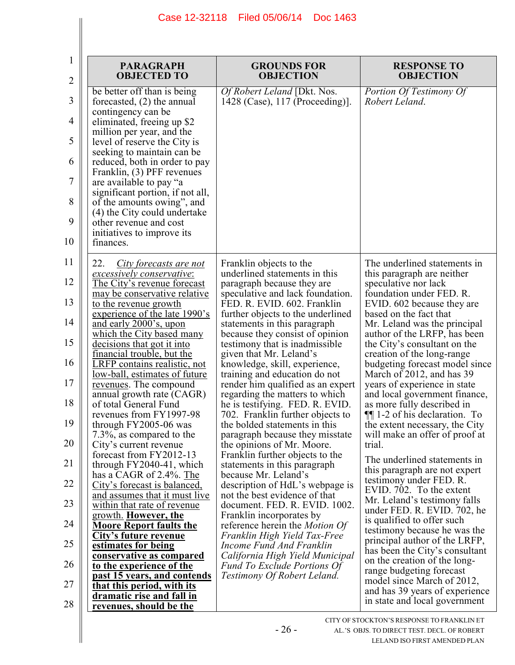| 1        | <b>PARAGRAPH</b>                                                                         | <b>GROUNDS FOR</b>                                                                                     | <b>RESPONSE TO</b>                                                                          |
|----------|------------------------------------------------------------------------------------------|--------------------------------------------------------------------------------------------------------|---------------------------------------------------------------------------------------------|
| 2        | <b>OBJECTED TO</b>                                                                       | <b>OBJECTION</b>                                                                                       | <b>OBJECTION</b>                                                                            |
| 3        | be better off than is being<br>forecasted, $(2)$ the annual<br>contingency can be        | Of Robert Leland [Dkt. Nos.<br>1428 (Case), 117 (Proceeding)].                                         | Portion Of Testimony Of<br>Robert Leland.                                                   |
| 4        | eliminated, freeing up \$2<br>million per year, and the                                  |                                                                                                        |                                                                                             |
| 5        | level of reserve the City is<br>seeking to maintain can be                               |                                                                                                        |                                                                                             |
| 6        | reduced, both in order to pay<br>Franklin, (3) PFF revenues                              |                                                                                                        |                                                                                             |
| 7        | are available to pay "a<br>significant portion, if not all,                              |                                                                                                        |                                                                                             |
| 8        | of the amounts owing", and<br>(4) the City could undertake                               |                                                                                                        |                                                                                             |
| 9<br>10  | other revenue and cost<br>initiatives to improve its<br>finances.                        |                                                                                                        |                                                                                             |
| 11       | 22.<br>City forecasts are not                                                            | Franklin objects to the<br>underlined statements in this                                               | The underlined statements in                                                                |
| 12       | excessively conservative:<br>The City's revenue forecast<br>may be conservative relative | paragraph because they are<br>speculative and lack foundation.                                         | this paragraph are neither<br>speculative nor lack<br>foundation under FED. R.              |
| 13       | to the revenue growth                                                                    | FED. R. EVID. 602. Franklin                                                                            | EVID. 602 because they are                                                                  |
|          | experience of the late 1990's                                                            | further objects to the underlined                                                                      | based on the fact that                                                                      |
| 14       | and early 2000's, upon                                                                   | statements in this paragraph                                                                           | Mr. Leland was the principal                                                                |
|          | which the City based many                                                                | because they consist of opinion                                                                        | author of the LRFP, has been                                                                |
| 15       | decisions that got it into                                                               | testimony that is inadmissible.                                                                        | the City's consultant on the                                                                |
|          | financial trouble, but the                                                               | given that Mr. Leland's                                                                                | creation of the long-range                                                                  |
| 16       | <b>LRFP</b> contains realistic, not                                                      | knowledge, skill, experience,                                                                          | budgeting forecast model since                                                              |
|          | low-ball, estimates of future                                                            | training and education do not                                                                          | March of 2012, and has 39                                                                   |
| 17<br>18 | revenues. The compound<br>annual growth rate (CAGR)<br>of total General Fund             | render him qualified as an expert<br>regarding the matters to which<br>he is testifying. FED. R. EVID. | years of experience in state<br>and local government finance,<br>as more fully described in |
| 19       | revenues from FY1997-98                                                                  | 702. Franklin further objects to                                                                       | $\P$ [1-2 of his declaration. To                                                            |
|          | through FY2005-06 was                                                                    | the bolded statements in this                                                                          | the extent necessary, the City                                                              |
| 20       | 7.3%, as compared to the                                                                 | paragraph because they misstate                                                                        | will make an offer of proof at                                                              |
|          | City's current revenue                                                                   | the opinions of Mr. Moore.                                                                             | trial.                                                                                      |
| 21       | forecast from FY2012-13                                                                  | Franklin further objects to the                                                                        | The underlined statements in                                                                |
|          | through $FY2040-41$ , which                                                              | statements in this paragraph                                                                           | this paragraph are not expert                                                               |
| 22       | has a CAGR of 2.4%. The                                                                  | because Mr. Leland's                                                                                   | testimony under FED. R.                                                                     |
|          | City's forecast is balanced,                                                             | description of HdL's webpage is                                                                        | EVID. 702. To the extent                                                                    |
| 23       | and assumes that it must live                                                            | not the best evidence of that                                                                          | Mr. Leland's testimony falls                                                                |
|          | within that rate of revenue                                                              | document. FED. R. EVID. 1002.                                                                          | under FED. R. EVID. 702, he                                                                 |
| 24       | growth. However, the                                                                     | Franklin incorporates by                                                                               | is qualified to offer such                                                                  |
|          | <b>Moore Report faults the</b>                                                           | reference herein the <i>Motion Of</i>                                                                  | testimony because he was the                                                                |
| 25       | City's future revenue                                                                    | Franklin High Yield Tax-Free                                                                           | principal author of the LRFP,                                                               |
|          | estimates for being                                                                      | Income Fund And Franklin                                                                               | has been the City's consultant                                                              |
| 26       | <u>conservative as compared</u>                                                          | California High Yield Municipal                                                                        | on the creation of the long-                                                                |
|          | to the experience of the                                                                 | <b>Fund To Exclude Portions Of</b>                                                                     | range budgeting forecast                                                                    |
| 27       | past 15 years, and contends<br><u>that this period, with its</u>                         | Testimony Of Robert Leland.                                                                            | model since March of 2012,<br>and has 39 years of experience                                |
| 28       | dramatic rise and fall in<br>revenues, should be the                                     |                                                                                                        | in state and local government                                                               |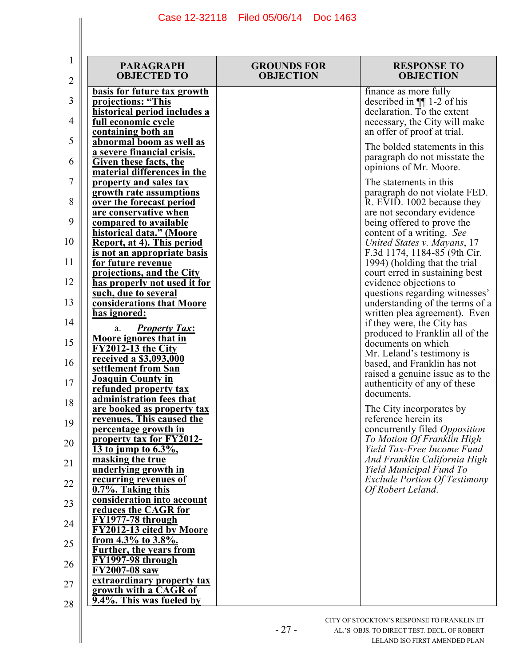| 1<br>$\overline{2}$ | <b>PARAGRAPH</b><br><b>OBJECTED TO</b>                                                                                         | <b>GROUNDS FOR</b><br><b>OBJECTION</b> | <b>RESPONSE TO</b><br><b>OBJECTION</b>                                                                                                              |
|---------------------|--------------------------------------------------------------------------------------------------------------------------------|----------------------------------------|-----------------------------------------------------------------------------------------------------------------------------------------------------|
| 3<br>4              | basis for future tax growth<br>projections: "This<br>historical period includes a<br>full economic cycle<br>containing both an |                                        | finance as more fully<br>described in $\P$ 1-2 of his<br>declaration. To the extent<br>necessary, the City will make<br>an offer of proof at trial. |
| 5<br>6              | abnormal boom as well as<br>a severe financial crisis.<br><b>Given these facts, the</b><br>material differences in the         |                                        | The bolded statements in this<br>paragraph do not misstate the<br>opinions of Mr. Moore.                                                            |
| 7<br>8              | property and sales tax<br>growth rate assumptions<br>over the forecast period<br>are conservative when                         |                                        | The statements in this<br>paragraph do not violate FED.<br>R. EVID. 1002 because they<br>are not secondary evidence                                 |
| 9<br>10             | compared to available<br>historical data." (Moore<br>Report, at 4). This period<br>is not an appropriate basis                 |                                        | being offered to prove the<br>content of a writing. See<br>United States v. Mayans, 17<br>F.3d 1174, 1184-85 (9th Cir.                              |
| 11<br>12            | for future revenue<br>projections, and the City<br>has properly not used it for<br>such, due to several                        |                                        | 1994) (holding that the trial<br>court erred in sustaining best<br>evidence objections to<br>questions regarding witnesses'                         |
| 13<br>14            | considerations that Moore<br><u>has ignored:</u><br><b>Property Tax:</b><br>a.<br><b>Moore ignores that in</b>                 |                                        | understanding of the terms of a<br>written plea agreement). Even<br>if they were, the City has<br>produced to Franklin all of the                   |
| 15<br>16            | <b>FY2012-13 the City</b><br><u>received a \$3,093,000</u><br>settlement from San<br><b>Joaquin County in</b>                  |                                        | documents on which<br>Mr. Leland's testimony is<br>based, and Franklin has not<br>raised a genuine issue as to the                                  |
| 17<br>18            | refunded property tax<br>administration fees that<br>are booked as property tax                                                |                                        | authenticity of any of these<br>documents.<br>The City incorporates by                                                                              |
| 19<br>20            | revenues. This caused the<br>percentage growth in<br>property tax for FY2012-<br>13 to jump to $6.3\%$ ,                       |                                        | reference herein its<br>concurrently filed Opposition<br>To Motion Of Franklin High<br>Yield Tax-Free Income Fund                                   |
| 21<br>22            | masking the true<br>underlying growth in<br>recurring revenues of<br>0.7%. Taking this                                         |                                        | And Franklin California High<br>Yield Municipal Fund To<br><b>Exclude Portion Of Testimony</b><br>Of Robert Leland.                                 |
| 23<br>24            | consideration into account<br>reduces the CAGR for<br>FY1977-78 through                                                        |                                        |                                                                                                                                                     |
| 25<br>26            | FY2012-13 cited by Moore<br>from 4.3% to 3.8%.<br><b>Further, the years from</b><br>$\overline{\mathrm{FY1997-98}}$ through    |                                        |                                                                                                                                                     |
| 27<br>28            | FY2007-08 saw<br>extraordinary property tax<br>growth with a CAGR of<br>9.4%. This was fueled by                               |                                        |                                                                                                                                                     |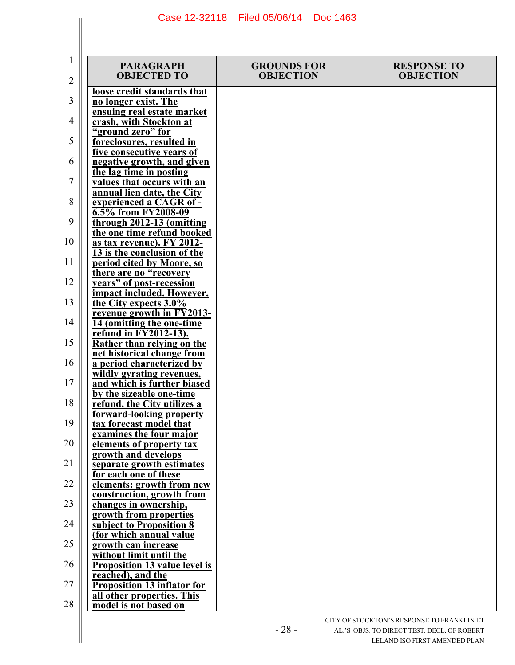| 1<br>2 | <b>PARAGRAPH</b><br><b>OBJECTED TO</b>                           | <b>GROUNDS FOR</b><br><b>OBJECTION</b> | <b>RESPONSE TO</b><br><b>OBJECTION</b> |
|--------|------------------------------------------------------------------|----------------------------------------|----------------------------------------|
|        | loose credit standards that                                      |                                        |                                        |
| 3      | no longer exist. The<br>ensuing real estate market               |                                        |                                        |
| 4      | crash, with Stockton at                                          |                                        |                                        |
|        | "ground zero" for                                                |                                        |                                        |
| 5      | foreclosures, resulted in                                        |                                        |                                        |
| 6      | five consecutive years of<br>negative growth, and given          |                                        |                                        |
|        | the lag time in posting                                          |                                        |                                        |
| 7      | values that occurs with an                                       |                                        |                                        |
|        | annual lien date, the City                                       |                                        |                                        |
| 8      | experienced a CAGR of -                                          |                                        |                                        |
| 9      | 6.5% from FY2008-09<br>through 2012-13 (omitting                 |                                        |                                        |
|        | the one time refund booked                                       |                                        |                                        |
| 10     | as tax revenue). FY 2012-                                        |                                        |                                        |
|        | 13 is the conclusion of the                                      |                                        |                                        |
| 11     | period cited by Moore, so                                        |                                        |                                        |
| 12     | there are no "recovery                                           |                                        |                                        |
|        | years" of post-recession<br>impact included. However,            |                                        |                                        |
| 13     | the City expects 3.0%                                            |                                        |                                        |
|        | revenue growth in FY2013-                                        |                                        |                                        |
| 14     | 14 (omitting the one-time                                        |                                        |                                        |
| 15     | refund in FY2012-13).                                            |                                        |                                        |
|        | Rather than relying on the<br>net historical change from         |                                        |                                        |
| 16     | a period characterized by                                        |                                        |                                        |
|        | wildly gyrating revenues.                                        |                                        |                                        |
| 17     | and which is further biased                                      |                                        |                                        |
|        | by the sizeable one-time                                         |                                        |                                        |
| 18     | refund, the City utilizes a<br>forward-looking property          |                                        |                                        |
| 19     | tax forecast model that                                          |                                        |                                        |
|        | examines the four major                                          |                                        |                                        |
| 20     | elements of property tax                                         |                                        |                                        |
| 21     | growth and develops                                              |                                        |                                        |
|        | separate growth estimates<br>for each one of these               |                                        |                                        |
| 22     | elements: growth from new                                        |                                        |                                        |
|        | construction, growth from                                        |                                        |                                        |
| 23     | changes in ownership,                                            |                                        |                                        |
| 24     | growth from properties<br>subject to Proposition 8               |                                        |                                        |
|        | (for which annual value                                          |                                        |                                        |
| 25     | growth can increase                                              |                                        |                                        |
|        | without limit until the                                          |                                        |                                        |
| 26     | <b>Proposition 13 value level is</b>                             |                                        |                                        |
| 27     | reached), and the                                                |                                        |                                        |
|        | <b>Proposition 13 inflator for</b><br>all other properties. This |                                        |                                        |
| 28     | model is not based on                                            |                                        |                                        |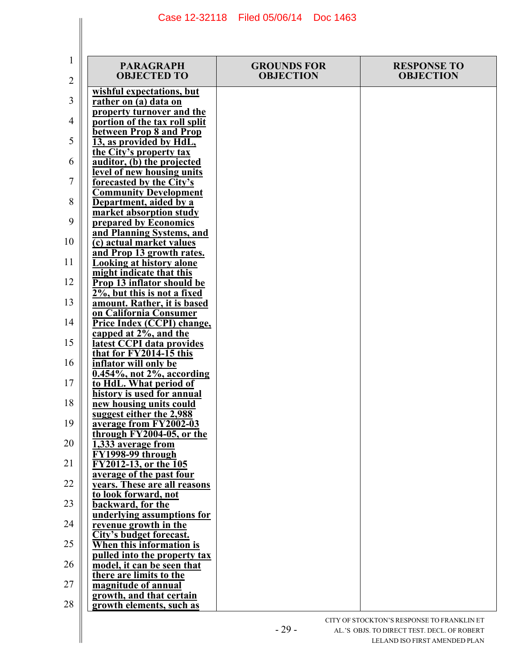| 1<br>2 | <b>PARAGRAPH</b><br><b>OBJECTED TO</b>                                        | <b>GROUNDS FOR</b><br><b>OBJECTION</b> | <b>RESPONSE TO</b><br><b>OBJECTION</b> |
|--------|-------------------------------------------------------------------------------|----------------------------------------|----------------------------------------|
| 3      | wishful expectations, but<br>rather on (a) data on                            |                                        |                                        |
| 4      | property turnover and the<br>portion of the tax roll split                    |                                        |                                        |
| 5      | between Prop 8 and Prop<br>13, as provided by HdL,                            |                                        |                                        |
| 6      | the City's property tax<br>auditor, (b) the projected                         |                                        |                                        |
| 7      | level of new housing units<br>forecasted by the City's                        |                                        |                                        |
| 8      | <b>Community Development</b><br>Department, aided by a                        |                                        |                                        |
| 9      | market absorption study<br>prepared by Economics                              |                                        |                                        |
| 10     | and Planning Systems, and<br>(c) actual market values                         |                                        |                                        |
| 11     | and Prop 13 growth rates.<br><b>Looking at history alone</b>                  |                                        |                                        |
| 12     | might indicate that this<br>Prop 13 inflator should be                        |                                        |                                        |
| 13     | $2\%$ , but this is not a fixed<br>amount. Rather, it is based                |                                        |                                        |
| 14     | on California Consumer<br>Price Index (CCPI) change,                          |                                        |                                        |
| 15     | capped at 2%, and the<br>latest CCPI data provides<br>that for FY2014-15 this |                                        |                                        |
| 16     | inflator will only be<br>$0.454\%$ , not $2\%$ , according                    |                                        |                                        |
| 17     | to HdL. What period of<br>history is used for annual                          |                                        |                                        |
| 18     | new housing units could<br>suggest either the 2,988                           |                                        |                                        |
| 19     | average from FY2002-03<br>through FY2004-05, or the                           |                                        |                                        |
| 20     | 1,333 average from<br>FY1998-99 through                                       |                                        |                                        |
| 21     | FY2012-13, or the 105<br>average of the past four                             |                                        |                                        |
| 22     | years. These are all reasons<br>to look forward, not                          |                                        |                                        |
| 23     | backward, for the<br>underlying assumptions for                               |                                        |                                        |
| 24     | revenue growth in the<br>City's budget forecast.                              |                                        |                                        |
| 25     | When this information is<br>pulled into the property tax                      |                                        |                                        |
| 26     | model, it can be seen that<br>there are limits to the                         |                                        |                                        |
| 27     | magnitude of annual<br>growth, and that certain                               |                                        |                                        |
| 28     | growth elements, such as                                                      |                                        |                                        |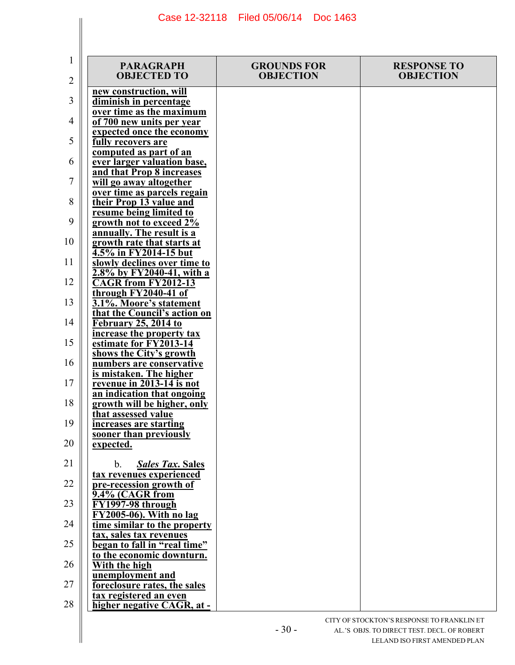| 1<br>2   | <b>PARAGRAPH</b><br><b>OBJECTED TO</b>                                                        | <b>GROUNDS FOR</b><br><b>OBJECTION</b> | <b>RESPONSE TO</b><br><b>OBJECTION</b> |
|----------|-----------------------------------------------------------------------------------------------|----------------------------------------|----------------------------------------|
| 3        | new construction, will<br>diminish in percentage                                              |                                        |                                        |
| 4        | over time as the maximum<br>of 700 new units per year                                         |                                        |                                        |
| 5        | expected once the economy<br>fully recovers are                                               |                                        |                                        |
| 6        | computed as part of an<br>ever larger valuation base,                                         |                                        |                                        |
| 7        | and that Prop 8 increases<br>will go away altogether<br>over time as parcels regain           |                                        |                                        |
| 8        | their Prop 13 value and<br>resume being limited to                                            |                                        |                                        |
| 9        | growth not to exceed 2%<br>annually. The result is a                                          |                                        |                                        |
| 10       | growth rate that starts at<br>4.5% in FY2014-15 but                                           |                                        |                                        |
| 11<br>12 | slowly declines over time to<br>$2.8\%$ by FY2040-41, with a<br>CAGR from FY2012-13           |                                        |                                        |
| 13       | through FY2040-41 of<br>3.1%. Moore's statement                                               |                                        |                                        |
| 14       | that the Council's action on<br>February 25, 2014 to                                          |                                        |                                        |
| 15       | increase the property tax<br>estimate for FY2013-14                                           |                                        |                                        |
| 16       | shows the City's growth<br>numbers are conservative                                           |                                        |                                        |
| 17       | is mistaken. The higher<br>revenue in 2013-14 is not<br>an indication that ongoing            |                                        |                                        |
| 18       | growth will be higher, only<br>that assessed value                                            |                                        |                                        |
| 19       | increases are starting<br>sooner than previously                                              |                                        |                                        |
| 20       | expected.                                                                                     |                                        |                                        |
| 21<br>22 | $b_{\cdot}$<br><b>Sales Tax. Sales</b><br>tax revenues experienced<br>pre-recession growth of |                                        |                                        |
| 23       | 9.4% (CAGR from<br>FY1997-98 through                                                          |                                        |                                        |
| 24       | $\overline{FY2005-06}$ . With no lag<br>time similar to the property                          |                                        |                                        |
| 25       | tax, sales tax revenues<br>began to fall in "real time"                                       |                                        |                                        |
| 26       | to the economic downturn.<br>With the high                                                    |                                        |                                        |
| 27       | unemployment and<br>foreclosure rates, the sales                                              |                                        |                                        |
| 28       | tax registered an even<br>higher negative CAGR, at -                                          |                                        |                                        |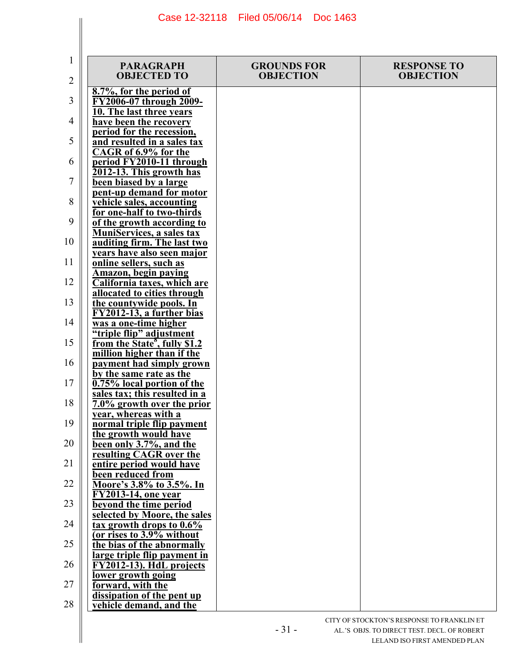| 1<br>$\overline{2}$ | <b>PARAGRAPH</b><br><b>OBJECTED TO</b>                                                              | <b>GROUNDS FOR</b><br><b>OBJECTION</b> | <b>RESPONSE TO</b><br><b>OBJECTION</b> |
|---------------------|-----------------------------------------------------------------------------------------------------|----------------------------------------|----------------------------------------|
| 3                   | 8.7%, for the period of<br>FY2006-07 through 2009-                                                  |                                        |                                        |
| 4                   | 10. The last three years<br>have been the recovery<br>period for the recession,                     |                                        |                                        |
| 5                   | and resulted in a sales tax<br>CAGR of 6.9% for the                                                 |                                        |                                        |
| 6                   | period FY2010-11 through<br>2012-13. This growth has                                                |                                        |                                        |
| 7                   | been biased by a large<br>pent-up demand for motor                                                  |                                        |                                        |
| 8<br>9              | vehicle sales, accounting<br>for one-half to two-thirds<br>of the growth according to               |                                        |                                        |
| 10                  | <b>MuniServices, a sales tax</b><br>auditing firm. The last two                                     |                                        |                                        |
| 11                  | vears have also seen major<br>online sellers, such as                                               |                                        |                                        |
| 12                  | <b>Amazon</b> , begin paying<br><b>California taxes, which are</b><br>allocated to cities through   |                                        |                                        |
| 13                  | the countywide pools. In<br>FY2012-13, a further bias                                               |                                        |                                        |
| 14                  | was a one-time higher<br>"triple flip" adjustment                                                   |                                        |                                        |
| 15<br>16            | from the State <sup>8</sup> , fully \$1.2<br>million higher than if the<br>payment had simply grown |                                        |                                        |
| 17                  | by the same rate as the<br>0.75% local portion of the                                               |                                        |                                        |
| 18                  | sales tax; this resulted in a<br>7.0% growth over the prior                                         |                                        |                                        |
| 19                  | year, whereas with a<br>normal triple flip payment<br>the growth would have                         |                                        |                                        |
| 20                  | been only 3.7%, and the<br>resulting CAGR over the                                                  |                                        |                                        |
| 21                  | entire period would have<br>been reduced from                                                       |                                        |                                        |
| 22<br>23            | Moore's 3.8% to 3.5%. In<br>FY2013-14, one year<br>beyond the time period                           |                                        |                                        |
| 24                  | selected by Moore, the sales<br>tax growth drops to 0.6%                                            |                                        |                                        |
| 25                  | (or rises to 3.9% without<br>the bias of the abnormally                                             |                                        |                                        |
| 26                  | large triple flip payment in<br>FY2012-13). HdL projects<br>lower growth going                      |                                        |                                        |
| 27                  | forward, with the<br>dissipation of the pent up                                                     |                                        |                                        |
| 28                  | vehicle demand, and the                                                                             |                                        |                                        |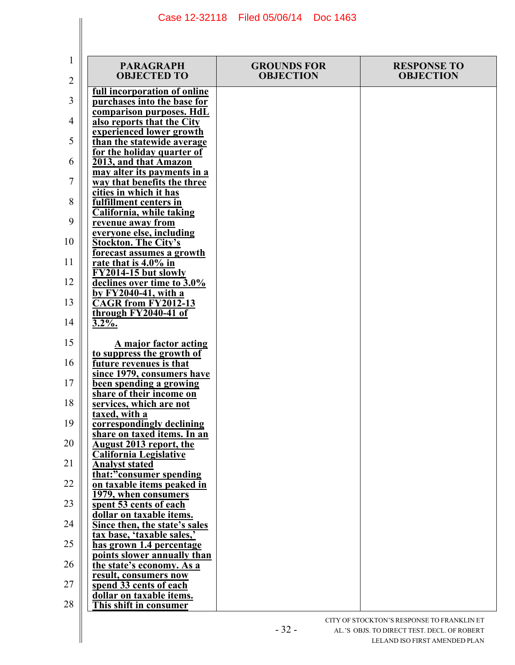| 1<br>2   | <b>PARAGRAPH</b><br><b>OBJECTED TO</b>                                             | <b>GROUNDS FOR</b><br><b>OBJECTION</b> | <b>RESPONSE TO</b><br><b>OBJECTION</b> |
|----------|------------------------------------------------------------------------------------|----------------------------------------|----------------------------------------|
| 3        | <u>full incorporation of online</u><br>purchases into the base for                 |                                        |                                        |
| 4        | comparison purposes. HdL<br>also reports that the City                             |                                        |                                        |
| 5        | experienced lower growth<br>than the statewide average                             |                                        |                                        |
| 6        | for the holiday quarter of<br>2013, and that Amazon<br>may alter its payments in a |                                        |                                        |
| 7        | way that benefits the three<br>cities in which it has                              |                                        |                                        |
| 8        | fulfillment centers in<br>California, while taking                                 |                                        |                                        |
| 9        | revenue away from<br>everyone else, including                                      |                                        |                                        |
| 10<br>11 | <b>Stockton. The City's</b><br>forecast assumes a growth                           |                                        |                                        |
| 12       | rate that is $4.0\%$ in<br>FY2014-15 but slowly<br>declines over time to 3.0%      |                                        |                                        |
| 13       | by $F\overline{Y2040-41}$ , with a<br><b>CAGR</b> from FY2012-13                   |                                        |                                        |
| 14       | through FY2040-41 of<br>$3.2\%$ .                                                  |                                        |                                        |
| 15       | A major factor acting<br>to suppress the growth of                                 |                                        |                                        |
| 16       | future revenues is that<br>since 1979, consumers have                              |                                        |                                        |
| 17       | been spending a growing<br>share of their income on                                |                                        |                                        |
| 18       | services, which are not<br>taxed, with a                                           |                                        |                                        |
| 19<br>20 | correspondingly declining<br>share on taxed items. In an                           |                                        |                                        |
| 21       | August 2013 report, the<br><b>California Legislative</b><br><b>Analyst stated</b>  |                                        |                                        |
| 22       | that:"consumer spending<br>on taxable items peaked in                              |                                        |                                        |
| 23       | 1979, when consumers<br>spent 53 cents of each                                     |                                        |                                        |
| 24       | dollar on taxable items.<br>Since then, the state's sales                          |                                        |                                        |
| 25       | tax base, 'taxable sales,'<br>has grown 1.4 percentage                             |                                        |                                        |
| 26       | points slower annually than<br>the state's economy. As a<br>result, consumers now  |                                        |                                        |
| 27       | spend 33 cents of each<br>dollar on taxable items.                                 |                                        |                                        |
| 28       | This shift in consumer                                                             |                                        |                                        |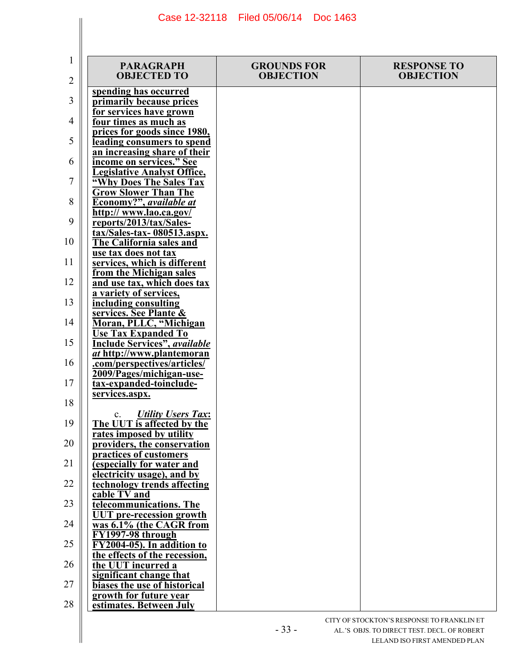| 1<br>2   | <b>PARAGRAPH</b><br><b>OBJECTED TO</b>                                                | <b>GROUNDS FOR</b><br><b>OBJECTION</b> | <b>RESPONSE TO</b><br><b>OBJECTION</b> |
|----------|---------------------------------------------------------------------------------------|----------------------------------------|----------------------------------------|
| 3        | spending has occurred<br>primarily because prices                                     |                                        |                                        |
| 4        | for services have grown<br>four times as much as                                      |                                        |                                        |
| 5        | prices for goods since 1980,<br>leading consumers to spend                            |                                        |                                        |
| 6        | an increasing share of their<br>income on services." See                              |                                        |                                        |
| 7        | <b>Legislative Analyst Office,</b><br>"Why Does The Sales Tax                         |                                        |                                        |
| 8        | <b>Grow Slower Than The</b><br>Economy?", available at                                |                                        |                                        |
| 9        | http:// www.lao.ca.gov/<br>reports/2013/tax/Sales-<br>tax/Sales-tax-080513.aspx.      |                                        |                                        |
| 10       | <b>The California sales and</b><br>use tax does not tax                               |                                        |                                        |
| 11       | services, which is different<br>from the Michigan sales                               |                                        |                                        |
| 12       | and use tax, which does tax<br>a variety of services,                                 |                                        |                                        |
| 13       | including consulting<br>services. See Plante &                                        |                                        |                                        |
| 14       | Moran, PLLC, "Michigan<br><b>Use Tax Expanded To</b>                                  |                                        |                                        |
| 15       | <b>Include Services"</b> , <i>available</i><br><i>at</i> http://www.plantemoran       |                                        |                                        |
| 16       | .com/perspectives/articles/<br>2009/Pages/michigan-use-                               |                                        |                                        |
| 17       | tax-expanded-toinclude-<br>services.aspx.                                             |                                        |                                        |
| 18<br>19 | <b>Utility Users Tax:</b><br>$c_{\cdot}$                                              |                                        |                                        |
| 20       | The UUT is affected by the<br>rates imposed by utility<br>providers, the conservation |                                        |                                        |
| 21       | practices of customers<br>(especially for water and                                   |                                        |                                        |
| 22       | electricity usage), and by<br>technology trends affecting                             |                                        |                                        |
| 23       | cable TV and<br>telecommunications. The                                               |                                        |                                        |
| 24       | <b>UUT</b> pre-recession growth<br>was 6.1% (the CAGR from                            |                                        |                                        |
| 25       | FY1997-98 through<br>FY2004-05). In addition to                                       |                                        |                                        |
| 26       | the effects of the recession,<br>the UUT incurred a                                   |                                        |                                        |
| 27       | significant change that<br>biases the use of historical                               |                                        |                                        |
| 28       | growth for future year<br>estimates. Between July                                     |                                        |                                        |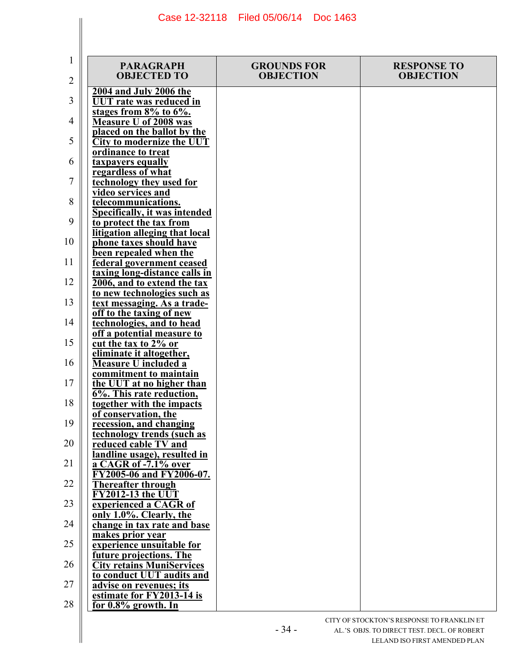| 1<br>2   | <b>PARAGRAPH</b><br><b>OBJECTED TO</b>                                                   | <b>GROUNDS FOR</b><br><b>OBJECTION</b> | <b>RESPONSE TO</b><br><b>OBJECTION</b> |
|----------|------------------------------------------------------------------------------------------|----------------------------------------|----------------------------------------|
| 3        | 2004 and July 2006 the<br><b>UUT</b> rate was reduced in                                 |                                        |                                        |
| 4        | stages from $8\%$ to $6\%$ .<br><b>Measure U of 2008 was</b>                             |                                        |                                        |
| 5        | placed on the ballot by the<br><b>City to modernize the UUT</b>                          |                                        |                                        |
| 6        | ordinance to treat<br>taxpayers equally                                                  |                                        |                                        |
| 7        | regardless of what<br>technology they used for                                           |                                        |                                        |
| 8        | video services and<br>telecommunications.                                                |                                        |                                        |
| 9        | Specifically, it was intended<br>to protect the tax from                                 |                                        |                                        |
| 10       | litigation alleging that local<br>phone taxes should have                                |                                        |                                        |
| 11       | been repealed when the<br>federal government ceased                                      |                                        |                                        |
| 12       | taxing long-distance calls in<br>2006, and to extend the tax                             |                                        |                                        |
| 13       | to new technologies such as<br>text messaging. As a trade-                               |                                        |                                        |
| 14       | off to the taxing of new<br>technologies, and to head<br>off a potential measure to      |                                        |                                        |
| 15       | cut the tax to 2% or<br>eliminate it altogether,                                         |                                        |                                        |
| 16       | <b>Measure U included a</b><br>commitment to maintain                                    |                                        |                                        |
| 17       | the UUT at no higher than<br>6%. This rate reduction,                                    |                                        |                                        |
| 18       | together with the impacts<br>of conservation, the                                        |                                        |                                        |
| 19       | recession, and changing<br>technology trends (such as                                    |                                        |                                        |
| 20       | reduced cable TV and<br>landline usage), resulted in                                     |                                        |                                        |
| 21       | a CAGR of -7.1% over<br>FY2005-06 and FY2006-07.                                         |                                        |                                        |
| 22       | <b>Thereafter through</b><br><b>FY2012-13 the UUT</b>                                    |                                        |                                        |
| 23       | experienced a CAGR of<br>only 1.0%. Clearly, the                                         |                                        |                                        |
| 24<br>25 | change in tax rate and base<br>makes prior year                                          |                                        |                                        |
| 26       | experience unsuitable for<br>future projections. The<br><b>City retains MuniServices</b> |                                        |                                        |
| 27       | to conduct UUT audits and<br>advise on revenues; its                                     |                                        |                                        |
| 28       | estimate for FY2013-14 is<br>for $0.8\%$ growth. In                                      |                                        |                                        |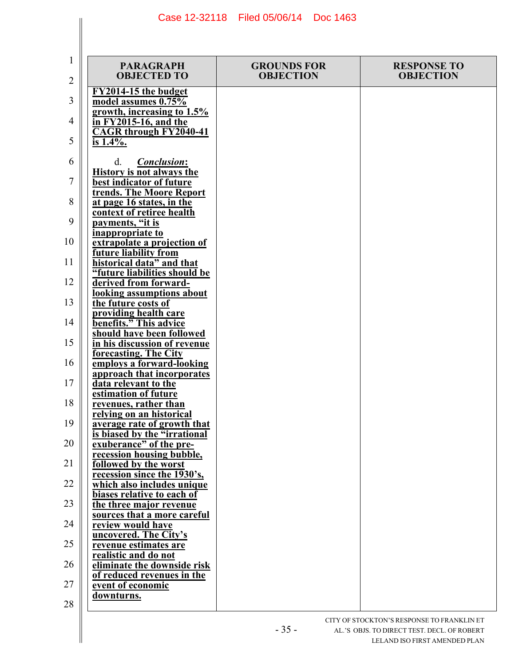| 1<br>2   | <b>PARAGRAPH</b><br><b>OBJECTED TO</b>                                                                | <b>GROUNDS FOR</b><br><b>OBJECTION</b> | <b>RESPONSE TO</b><br><b>OBJECTION</b> |
|----------|-------------------------------------------------------------------------------------------------------|----------------------------------------|----------------------------------------|
| 3        | FY2014-15 the budget<br>model assumes 0.75%                                                           |                                        |                                        |
| 4        | growth, increasing to $1.5\%$<br>in $\overline{FY2015-16}$ , and the<br><b>CAGR</b> through FY2040-41 |                                        |                                        |
| 5        | is 1.4%.                                                                                              |                                        |                                        |
| 6        | <b>Conclusion:</b><br>d.<br><b>History is not always the</b>                                          |                                        |                                        |
| 7<br>8   | best indicator of future<br>trends. The Moore Report<br>at page 16 states, in the                     |                                        |                                        |
| 9        | context of retiree health<br>payments, "it is                                                         |                                        |                                        |
| 10       | inappropriate to<br>extrapolate a projection of                                                       |                                        |                                        |
| 11       | <b>future liability from</b><br>historical data" and that<br>"future liabilities should be            |                                        |                                        |
| 12       | derived from forward-<br>looking assumptions about                                                    |                                        |                                        |
| 13       | the future costs of<br>providing health care                                                          |                                        |                                        |
| 14<br>15 | benefits." This advice<br>should have been followed<br><u>in his discussion of revenue</u>            |                                        |                                        |
| 16       | forecasting. The City<br>employs a forward-looking                                                    |                                        |                                        |
| 17       | approach that incorporates<br>data relevant to the<br>estimation of future                            |                                        |                                        |
| 18       | revenues, rather than<br>relying on an historical                                                     |                                        |                                        |
| 19       | average rate of growth that<br>is biased by the "irrational"                                          |                                        |                                        |
| 20<br>21 | exuberance" of the pre-<br>recession housing bubble,<br>followed by the worst                         |                                        |                                        |
| 22       | recession since the 1930's,<br>which also includes unique                                             |                                        |                                        |
| 23       | biases relative to each of<br>the three major revenue                                                 |                                        |                                        |
| 24       | sources that a more careful<br>review would have<br>uncovered. The City's                             |                                        |                                        |
| 25       | revenue estimates are<br>realistic and do not                                                         |                                        |                                        |
| 26<br>27 | eliminate the downside risk<br>of reduced revenues in the                                             |                                        |                                        |
| 28       | event of economic<br>downturns.                                                                       |                                        |                                        |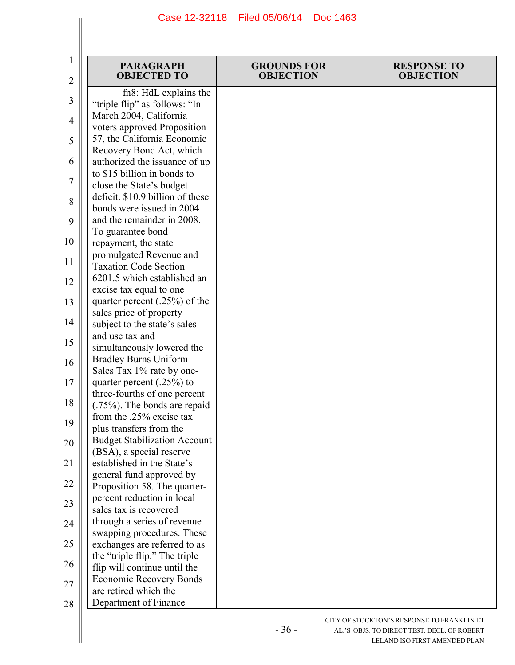| 1<br>2         | <b>PARAGRAPH</b><br><b>OBJECTED TO</b>                       | <b>GROUNDS FOR</b><br><b>OBJECTION</b> | <b>RESPONSE TO</b><br><b>OBJECTION</b> |
|----------------|--------------------------------------------------------------|----------------------------------------|----------------------------------------|
|                | fn8: HdL explains the                                        |                                        |                                        |
| 3              | "triple flip" as follows: "In                                |                                        |                                        |
| $\overline{4}$ | March 2004, California                                       |                                        |                                        |
|                | voters approved Proposition                                  |                                        |                                        |
| 5              | 57, the California Economic                                  |                                        |                                        |
|                | Recovery Bond Act, which                                     |                                        |                                        |
| 6              | authorized the issuance of up<br>to \$15 billion in bonds to |                                        |                                        |
| 7              | close the State's budget                                     |                                        |                                        |
|                | deficit. \$10.9 billion of these                             |                                        |                                        |
| 8              | bonds were issued in 2004                                    |                                        |                                        |
| 9              | and the remainder in 2008.                                   |                                        |                                        |
|                | To guarantee bond                                            |                                        |                                        |
| 10             | repayment, the state                                         |                                        |                                        |
|                | promulgated Revenue and                                      |                                        |                                        |
| 11             | <b>Taxation Code Section</b>                                 |                                        |                                        |
| 12             | 6201.5 which established an                                  |                                        |                                        |
|                | excise tax equal to one                                      |                                        |                                        |
| 13             | quarter percent (.25%) of the                                |                                        |                                        |
|                | sales price of property                                      |                                        |                                        |
| 14             | subject to the state's sales                                 |                                        |                                        |
| 15             | and use tax and                                              |                                        |                                        |
|                | simultaneously lowered the                                   |                                        |                                        |
| 16             | <b>Bradley Burns Uniform</b><br>Sales Tax 1% rate by one-    |                                        |                                        |
| 17             | quarter percent $(.25%)$ to                                  |                                        |                                        |
|                | three-fourths of one percent                                 |                                        |                                        |
| 18             | (.75%). The bonds are repaid                                 |                                        |                                        |
|                | from the .25% excise tax                                     |                                        |                                        |
| 19             | plus transfers from the                                      |                                        |                                        |
| 20             | <b>Budget Stabilization Account</b>                          |                                        |                                        |
|                | (BSA), a special reserve                                     |                                        |                                        |
| 21             | established in the State's                                   |                                        |                                        |
|                | general fund approved by                                     |                                        |                                        |
| 22             | Proposition 58. The quarter-                                 |                                        |                                        |
| 23             | percent reduction in local                                   |                                        |                                        |
|                | sales tax is recovered                                       |                                        |                                        |
| 24             | through a series of revenue                                  |                                        |                                        |
| 25             | swapping procedures. These<br>exchanges are referred to as   |                                        |                                        |
|                | the "triple flip." The triple                                |                                        |                                        |
| 26             | flip will continue until the                                 |                                        |                                        |
|                | <b>Economic Recovery Bonds</b>                               |                                        |                                        |
| 27             | are retired which the                                        |                                        |                                        |
| 28             | Department of Finance                                        |                                        |                                        |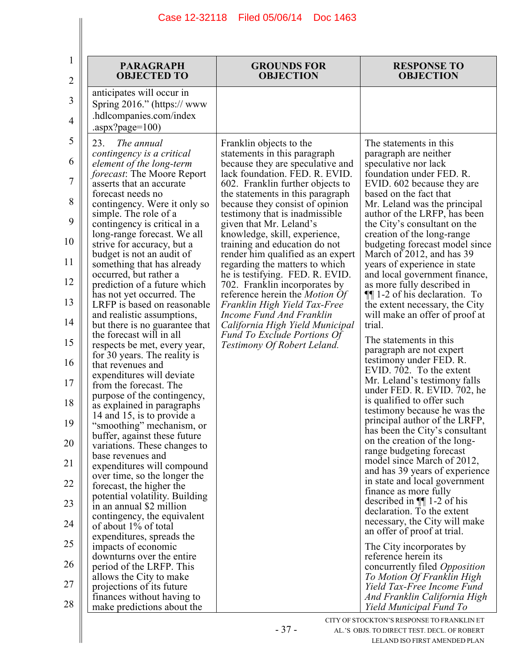| 1<br>$\overline{2}$ | <b>PARAGRAPH</b><br><b>OBJECTED TO</b>                                                                       | <b>GROUNDS FOR</b><br><b>OBJECTION</b>                                                             | <b>RESPONSE TO</b><br><b>OBJECTION</b>                                                      |
|---------------------|--------------------------------------------------------------------------------------------------------------|----------------------------------------------------------------------------------------------------|---------------------------------------------------------------------------------------------|
| 3<br>$\overline{4}$ | anticipates will occur in<br>Spring $2016$ ." (https://www<br>.hdlcompanies.com/index<br>.aspx?page= $100$ ) |                                                                                                    |                                                                                             |
| 5                   | The annual<br>23.                                                                                            | Franklin objects to the                                                                            | The statements in this                                                                      |
| 6                   | contingency is a critical<br>element of the long-term<br><i>forecast</i> : The Moore Report                  | statements in this paragraph<br>because they are speculative and<br>lack foundation. FED. R. EVID. | paragraph are neither<br>speculative nor lack<br>foundation under FED. R.                   |
| 7                   | asserts that an accurate<br>forecast needs no                                                                | 602. Franklin further objects to<br>the statements in this paragraph                               | EVID. 602 because they are<br>based on the fact that                                        |
| 8                   | contingency. Were it only so<br>simple. The role of a                                                        | because they consist of opinion<br>testimony that is inadmissible.                                 | Mr. Leland was the principal<br>author of the LRFP, has been                                |
| 9                   | contingency is critical in a<br>long-range forecast. We all                                                  | given that Mr. Leland's<br>knowledge, skill, experience,                                           | the City's consultant on the<br>creation of the long-range                                  |
| 10<br>11            | strive for accuracy, but a<br>budget is not an audit of                                                      | training and education do not<br>render him qualified as an expert                                 | budgeting forecast model since<br>March of 2012, and has 39                                 |
| 12                  | something that has already<br>occurred, but rather a<br>prediction of a future which                         | regarding the matters to which<br>he is testifying. FED. R. EVID.<br>702. Franklin incorporates by | years of experience in state<br>and local government finance,<br>as more fully described in |
| 13                  | has not yet occurred. The<br>LRFP is based on reasonable                                                     | reference herein the <i>Motion Of</i><br>Franklin High Yield Tax-Free                              | $\P$ 1-2 of his declaration. To<br>the extent necessary, the City                           |
| 14                  | and realistic assumptions,<br>but there is no guarantee that                                                 | Income Fund And Franklin<br>California High Yield Municipal                                        | will make an offer of proof at<br>trial.                                                    |
| 15                  | the forecast will in all<br>respects be met, every year,                                                     | <b>Fund To Exclude Portions Of</b><br>Testimony Of Robert Leland.                                  | The statements in this<br>paragraph are not expert                                          |
| 16                  | for 30 years. The reality is<br>that revenues and                                                            |                                                                                                    | testimony under FED. R.<br>EVID. 702. To the extent                                         |
| 17                  | expenditures will deviate<br>from the forecast. The<br>purpose of the contingency,                           |                                                                                                    | Mr. Leland's testimony falls<br>under FED. R. EVID. 702, he                                 |
| 18                  | as explained in paragraphs<br>14 and 15, is to provide a                                                     |                                                                                                    | is qualified to offer such<br>testimony because he was the                                  |
| 19                  | "smoothing" mechanism, or<br>buffer, against these future                                                    |                                                                                                    | principal author of the LRFP,<br>has been the City's consultant                             |
| 20                  | variations. These changes to<br>base revenues and                                                            |                                                                                                    | on the creation of the long-<br>range budgeting forecast<br>model since March of 2012,      |
| 21                  | expenditures will compound<br>over time, so the longer the                                                   |                                                                                                    | and has 39 years of experience<br>in state and local government                             |
| 22<br>23            | forecast, the higher the<br>potential volatility. Building                                                   |                                                                                                    | finance as more fully<br>described in $\P$ 1-2 of his                                       |
| 24                  | in an annual \$2 million<br>contingency, the equivalent<br>of about 1% of total                              |                                                                                                    | declaration. To the extent<br>necessary, the City will make                                 |
| 25                  | expenditures, spreads the<br>impacts of economic                                                             |                                                                                                    | an offer of proof at trial.<br>The City incorporates by                                     |
| 26                  | downturns over the entire<br>period of the LRFP. This                                                        |                                                                                                    | reference herein its<br>concurrently filed <i>Opposition</i>                                |
| 27                  | allows the City to make<br>projections of its future                                                         |                                                                                                    | To Motion Of Franklin High<br>Yield Tax-Free Income Fund                                    |
| 28                  | finances without having to<br>make predictions about the                                                     |                                                                                                    | And Franklin California High<br>Yield Municipal Fund To                                     |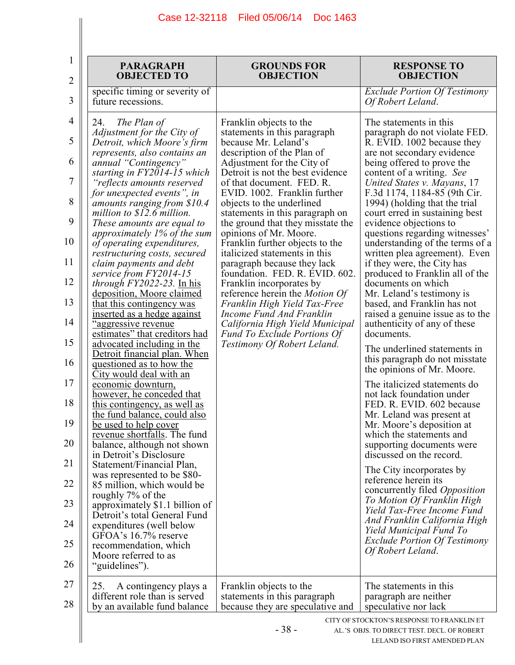$\mathbf{I}$ 

 $\parallel$ 

| <b>PARAGRAPH</b><br><b>OBJECTED TO</b>                                                                                                                                                                                                                                                                                                                                                                                                                                                                                                                                                                                                                                                                                                                                                                                                                                                                                                                                                                                                                                                                                                                                                                                                                                                                                                                 | <b>GROUNDS FOR</b><br><b>OBJECTION</b>                                                                                                                                                                                                                                                                                                                                                                                                                                                                                                                                                                                                                                                                                                             | <b>RESPONSE TO</b><br><b>OBJECTION</b>                                                                                                                                                                                                                                                                                                                                                                                                                                                                                                                                                                                                                                                                                                                                                                                                                                                                                                                                                                                                                                                                                                                                                                                                                                                                        |
|--------------------------------------------------------------------------------------------------------------------------------------------------------------------------------------------------------------------------------------------------------------------------------------------------------------------------------------------------------------------------------------------------------------------------------------------------------------------------------------------------------------------------------------------------------------------------------------------------------------------------------------------------------------------------------------------------------------------------------------------------------------------------------------------------------------------------------------------------------------------------------------------------------------------------------------------------------------------------------------------------------------------------------------------------------------------------------------------------------------------------------------------------------------------------------------------------------------------------------------------------------------------------------------------------------------------------------------------------------|----------------------------------------------------------------------------------------------------------------------------------------------------------------------------------------------------------------------------------------------------------------------------------------------------------------------------------------------------------------------------------------------------------------------------------------------------------------------------------------------------------------------------------------------------------------------------------------------------------------------------------------------------------------------------------------------------------------------------------------------------|---------------------------------------------------------------------------------------------------------------------------------------------------------------------------------------------------------------------------------------------------------------------------------------------------------------------------------------------------------------------------------------------------------------------------------------------------------------------------------------------------------------------------------------------------------------------------------------------------------------------------------------------------------------------------------------------------------------------------------------------------------------------------------------------------------------------------------------------------------------------------------------------------------------------------------------------------------------------------------------------------------------------------------------------------------------------------------------------------------------------------------------------------------------------------------------------------------------------------------------------------------------------------------------------------------------|
| specific timing or severity of<br>future recessions.                                                                                                                                                                                                                                                                                                                                                                                                                                                                                                                                                                                                                                                                                                                                                                                                                                                                                                                                                                                                                                                                                                                                                                                                                                                                                                   |                                                                                                                                                                                                                                                                                                                                                                                                                                                                                                                                                                                                                                                                                                                                                    | <b>Exclude Portion Of Testimony</b><br>Of Robert Leland.                                                                                                                                                                                                                                                                                                                                                                                                                                                                                                                                                                                                                                                                                                                                                                                                                                                                                                                                                                                                                                                                                                                                                                                                                                                      |
| The Plan of<br>24.<br>Adjustment for the City of<br>Detroit, which Moore's firm<br>represents, also contains an<br>annual "Contingency"<br>starting in FY2014-15 which<br>"reflects amounts reserved<br>for unexpected events", in<br>amounts ranging from \$10.4<br>million to $$12.6$ million.<br>These amounts are equal to<br>approximately 1% of the sum<br>of operating expenditures,<br>restructuring costs, secured<br>claim payments and debt<br>service from FY2014-15<br><i>through FY2022-23.</i> In his<br>deposition, Moore claimed<br>that this contingency was<br>inserted as a hedge against<br><u>"aggressive revenue</u><br>estimates" that creditors had<br>advocated including in the<br>Detroit financial plan. When<br><u>questioned as to how the</u><br>City would deal with an<br>economic downturn,<br>however, he conceded that<br>this contingency, as well as<br>the fund balance, could also<br>be used to help cover<br>revenue shortfalls. The fund<br>balance, although not shown<br>in Detroit's Disclosure<br>Statement/Financial Plan,<br>was represented to be \$80-<br>85 million, which would be<br>roughly 7% of the<br>approximately \$1.1 billion of<br>Detroit's total General Fund<br>expenditures (well below<br>GFOA's 16.7% reserve<br>recommendation, which<br>Moore referred to as<br>"guidelines"). | Franklin objects to the<br>statements in this paragraph<br>because Mr. Leland's<br>description of the Plan of<br>Adjustment for the City of<br>Detroit is not the best evidence<br>of that document. FED. R.<br>EVID. 1002. Franklin further<br>objects to the underlined<br>statements in this paragraph on<br>the ground that they misstate the<br>opinions of Mr. Moore.<br>Franklin further objects to the<br>italicized statements in this<br>paragraph because they lack<br>foundation. FED. R. EVID. 602.<br>Franklin incorporates by<br>reference herein the Motion Of<br>Franklin High Yield Tax-Free<br>Income Fund And Franklin<br>California High Yield Municipal<br><b>Fund To Exclude Portions Of</b><br>Testimony Of Robert Leland. | The statements in this<br>paragraph do not violate FED.<br>R. EVID. 1002 because they<br>are not secondary evidence<br>being offered to prove the<br>content of a writing. See<br>United States v. Mayans, 17<br>F.3d 1174, 1184-85 (9th Cir.<br>1994) (holding that the trial<br>court erred in sustaining best<br>evidence objections to<br>questions regarding witnesses'<br>understanding of the terms of a<br>written plea agreement). Even<br>if they were, the City has<br>produced to Franklin all of the<br>documents on which<br>Mr. Leland's testimony is<br>based, and Franklin has not<br>raised a genuine issue as to the<br>authenticity of any of these<br>documents.<br>The underlined statements in<br>this paragraph do not misstate<br>the opinions of Mr. Moore.<br>The italicized statements do<br>not lack foundation under<br>FED. R. EVID. 602 because<br>Mr. Leland was present at<br>Mr. Moore's deposition at<br>which the statements and<br>supporting documents were<br>discussed on the record.<br>The City incorporates by<br>reference herein its<br>concurrently filed <i>Opposition</i><br>To Motion Of Franklin High<br>Yield Tax-Free Income Fund<br>And Franklin California High<br>Yield Municipal Fund To<br><b>Exclude Portion Of Testimony</b><br>Of Robert Leland. |
| A contingency plays a<br>25.<br>different role than is served<br>by an available fund balance                                                                                                                                                                                                                                                                                                                                                                                                                                                                                                                                                                                                                                                                                                                                                                                                                                                                                                                                                                                                                                                                                                                                                                                                                                                          | Franklin objects to the<br>statements in this paragraph<br>because they are speculative and                                                                                                                                                                                                                                                                                                                                                                                                                                                                                                                                                                                                                                                        | The statements in this<br>paragraph are neither<br>speculative nor lack                                                                                                                                                                                                                                                                                                                                                                                                                                                                                                                                                                                                                                                                                                                                                                                                                                                                                                                                                                                                                                                                                                                                                                                                                                       |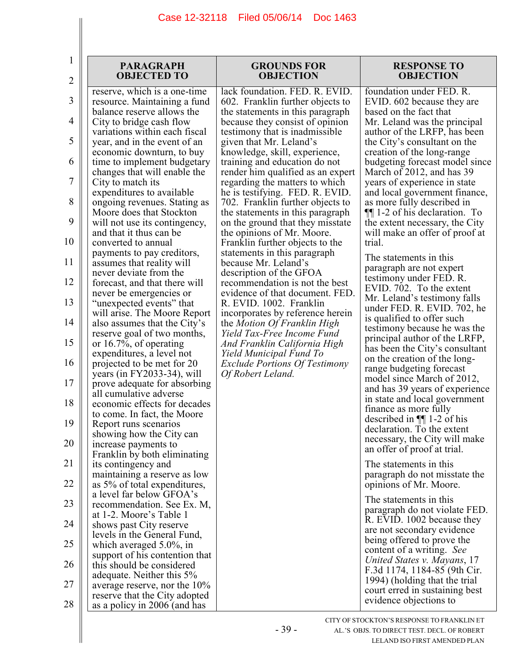| 1              | <b>PARAGRAPH</b><br><b>OBJECTED TO</b>                        | <b>GROUNDS FOR</b><br><b>OBJECTION</b>                               | <b>RESPONSE TO</b><br><b>OBJECTION</b>                           |
|----------------|---------------------------------------------------------------|----------------------------------------------------------------------|------------------------------------------------------------------|
| $\overline{2}$ |                                                               |                                                                      |                                                                  |
| 3              | reserve, which is a one-time<br>resource. Maintaining a fund  | lack foundation. FED. R. EVID.<br>602. Franklin further objects to   | foundation under FED. R.<br>EVID. 602 because they are           |
| 4              | balance reserve allows the<br>City to bridge cash flow        | the statements in this paragraph<br>because they consist of opinion  | based on the fact that<br>Mr. Leland was the principal           |
| 5              | variations within each fiscal<br>year, and in the event of an | testimony that is inadmissible.<br>given that Mr. Leland's           | author of the LRFP, has been<br>the City's consultant on the     |
| 6              | economic downturn, to buy<br>time to implement budgetary      | knowledge, skill, experience,<br>training and education do not       | creation of the long-range<br>budgeting forecast model since     |
| 7              | changes that will enable the<br>City to match its             | render him qualified as an expert<br>regarding the matters to which  | March of 2012, and has 39<br>years of experience in state        |
| 8              | expenditures to available                                     | he is testifying. FED. R. EVID.                                      | and local government finance,                                    |
|                | ongoing revenues. Stating as<br>Moore does that Stockton      | 702. Franklin further objects to<br>the statements in this paragraph | as more fully described in<br>$\P$ 1-2 of his declaration. To    |
| 9              | will not use its contingency,<br>and that it thus can be      | on the ground that they misstate<br>the opinions of Mr. Moore.       | the extent necessary, the City<br>will make an offer of proof at |
| 10             | converted to annual<br>payments to pay creditors,             | Franklin further objects to the<br>statements in this paragraph      | trial.<br>The statements in this                                 |
| 11             | assumes that reality will<br>never deviate from the           | because Mr. Leland's<br>description of the GFOA                      | paragraph are not expert<br>testimony under FED. R.              |
| 12             | forecast, and that there will<br>never be emergencies or      | recommendation is not the best<br>evidence of that document. FED.    | EVID. 702. To the extent                                         |
| 13             | "unexpected events" that<br>will arise. The Moore Report      | R. EVID. 1002. Franklin<br>incorporates by reference herein          | Mr. Leland's testimony falls<br>under FED. R. EVID. 702, he      |
| 14             | also assumes that the City's<br>reserve goal of two months,   | the Motion Of Franklin High<br>Yield Tax-Free Income Fund            | is qualified to offer such<br>testimony because he was the       |
| 15             | or 16.7%, of operating<br>expenditures, a level not           | And Franklin California High<br>Yield Municipal Fund To              | principal author of the LRFP,<br>has been the City's consultant  |
| 16             | projected to be met for 20<br>years (in $FY2033-34$ ), will   | <b>Exclude Portions Of Testimony</b><br>Of Robert Leland.            | on the creation of the long-<br>range budgeting forecast         |
| 17             | prove adequate for absorbing<br>all cumulative adverse        |                                                                      | model since March of 2012,<br>and has 39 years of experience     |
| 18             | economic effects for decades                                  |                                                                      | in state and local government<br>finance as more fully           |
| 19             | to come. In fact, the Moore<br>Report runs scenarios          |                                                                      | described in $\P$ 1-2 of his<br>declaration. To the extent       |
| 20             | showing how the City can<br>increase payments to              |                                                                      | necessary, the City will make<br>an offer of proof at trial.     |
| 21             | Franklin by both eliminating<br>its contingency and           |                                                                      | The statements in this                                           |
| 22             | maintaining a reserve as low<br>as 5% of total expenditures,  |                                                                      | paragraph do not misstate the<br>opinions of Mr. Moore.          |
| 23             | a level far below GFOA's<br>recommendation. See Ex. M,        |                                                                      | The statements in this                                           |
| 24             | at 1-2. Moore's Table 1<br>shows past City reserve            |                                                                      | paragraph do not violate FED.<br>R. EVID. 1002 because they      |
| 25             | levels in the General Fund,                                   |                                                                      | are not secondary evidence<br>being offered to prove the         |
|                | which averaged 5.0%, in<br>support of his contention that     |                                                                      | content of a writing. See<br>United States v. Mayans, 17         |
| 26             | this should be considered<br>adequate. Neither this 5%        |                                                                      | F.3d 1174, 1184-85 (9th Cir.                                     |
| 27             | average reserve, nor the $10\%$                               |                                                                      | 1994) (holding that the trial<br>court erred in sustaining best  |
| 28             | reserve that the City adopted<br>as a policy in 2006 (and has |                                                                      | evidence objections to                                           |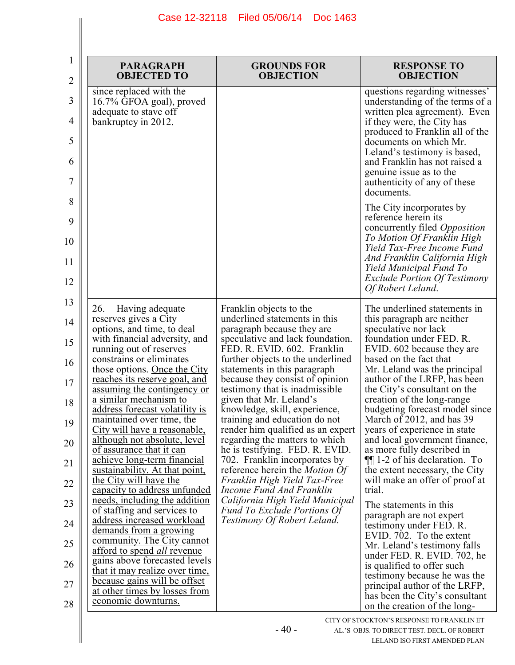| 1<br>2   | <b>PARAGRAPH</b><br><b>OBJECTED TO</b>                                                              | <b>GROUNDS FOR</b><br><b>OBJECTION</b>                                                                 | <b>RESPONSE TO</b><br><b>OBJECTION</b>                                                              |
|----------|-----------------------------------------------------------------------------------------------------|--------------------------------------------------------------------------------------------------------|-----------------------------------------------------------------------------------------------------|
| 3        | since replaced with the<br>16.7% GFOA goal), proved<br>adequate to stave off                        |                                                                                                        | questions regarding witnesses'<br>understanding of the terms of a<br>written plea agreement). Even  |
| 4        | bankruptcy in 2012.                                                                                 |                                                                                                        | if they were, the City has<br>produced to Franklin all of the                                       |
| 5        |                                                                                                     |                                                                                                        | documents on which Mr.<br>Leland's testimony is based,                                              |
| 6        |                                                                                                     |                                                                                                        | and Franklin has not raised a<br>genuine issue as to the                                            |
| 7        |                                                                                                     |                                                                                                        | authenticity of any of these<br>documents.                                                          |
| 8<br>9   |                                                                                                     |                                                                                                        | The City incorporates by<br>reference herein its                                                    |
| 10       |                                                                                                     |                                                                                                        | concurrently filed Opposition<br>To Motion Of Franklin High<br>Yield Tax-Free Income Fund           |
| 11       |                                                                                                     |                                                                                                        | And Franklin California High<br>Yield Municipal Fund To                                             |
| 12       |                                                                                                     |                                                                                                        | <b>Exclude Portion Of Testimony</b><br>Of Robert Leland.                                            |
| 13       | 26.<br>Having adequate<br>reserves gives a City                                                     | Franklin objects to the<br>underlined statements in this                                               | The underlined statements in<br>this paragraph are neither                                          |
| 14<br>15 | options, and time, to deal<br>with financial adversity, and                                         | paragraph because they are<br>speculative and lack foundation.                                         | speculative nor lack<br>foundation under FED. R.                                                    |
| 16       | running out of reserves<br>constrains or eliminates                                                 | FED. R. EVID. 602. Franklin<br>further objects to the underlined                                       | EVID. 602 because they are<br>based on the fact that                                                |
| 17       | those options. Once the City<br><u>reaches</u> its reserve goal, and<br>assuming the contingency or | statements in this paragraph<br>because they consist of opinion<br>testimony that is inadmissible.     | Mr. Leland was the principal<br>author of the LRFP, has been<br>the City's consultant on the        |
| 18       | a similar mechanism to<br>address forecast volatility is                                            | given that Mr. Leland's<br>knowledge, skill, experience,                                               | creation of the long-range<br>budgeting forecast model since                                        |
| 19       | maintained over time, the<br>City will have a reasonable,                                           | training and education do not<br>render him qualified as an expert                                     | March of 2012, and has 39<br>years of experience in state                                           |
| 20       | although not absolute, level<br>of assurance that it can                                            | regarding the matters to which<br>he is testifying. FED. R. EVID.                                      | and local government finance,<br>as more fully described in                                         |
| 21       | achieve long-term financial<br>sustainability. At that point,<br>the City will have the             | 702. Franklin incorporates by<br>reference herein the <i>Motion Of</i><br>Franklin High Yield Tax-Free | $\P$ 1-2 of his declaration. To<br>the extent necessary, the City<br>will make an offer of proof at |
| 22       | capacity to address unfunded<br>needs, including the addition                                       | Income Fund And Franklin<br>California High Yield Municipal                                            | trial.                                                                                              |
| 23       | of staffing and services to<br>address increased workload                                           | <b>Fund To Exclude Portions Of</b><br>Testimony Of Robert Leland.                                      | The statements in this<br>paragraph are not expert                                                  |
| 24<br>25 | demands from a growing<br>community. The City cannot                                                |                                                                                                        | testimony under FED. R.<br>EVID. 702. To the extent                                                 |
| 26       | afford to spend <i>all</i> revenue<br>gains above forecasted levels                                 |                                                                                                        | Mr. Leland's testimony falls<br>under FED. R. EVID. 702, he                                         |
| 27       | that it may realize over time.<br>because gains will be offset                                      |                                                                                                        | is qualified to offer such<br>testimony because he was the                                          |
| 28       | at other times by losses from<br>economic downturns.                                                |                                                                                                        | principal author of the LRFP,<br>has been the City's consultant<br>on the creation of the long-     |
|          |                                                                                                     |                                                                                                        | CITY OF STOCKTON'S RESPONSE TO FRANKLIN ET                                                          |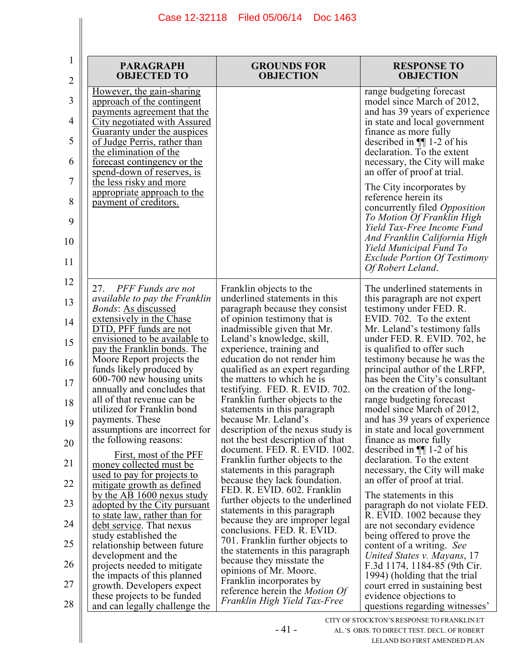| 1                     | <b>PARAGRAPH</b>                                                                                                                                                                                                                                                                                                                           | <b>GROUNDS FOR</b>                                                                                 | <b>RESPONSE TO</b>                                                                                                                                                                                                                                                                                           |
|-----------------------|--------------------------------------------------------------------------------------------------------------------------------------------------------------------------------------------------------------------------------------------------------------------------------------------------------------------------------------------|----------------------------------------------------------------------------------------------------|--------------------------------------------------------------------------------------------------------------------------------------------------------------------------------------------------------------------------------------------------------------------------------------------------------------|
| 2                     | <b>OBJECTED TO</b>                                                                                                                                                                                                                                                                                                                         | <b>OBJECTION</b>                                                                                   | <b>OBJECTION</b>                                                                                                                                                                                                                                                                                             |
| 3<br>4<br>5<br>6<br>7 | <u>However, the gain-sharing</u><br>approach of the contingent<br><u>payments agreement that the</u><br><b>City negotiated with Assured</b><br><u>Guaranty under the auspices</u><br>of Judge Perris, rather than<br>the elimination of the<br><u>forecast contingency or the</u><br>spend-down of reserves, is<br>the less risky and more |                                                                                                    | range budgeting forecast<br>model since March of 2012,<br>and has 39 years of experience<br>in state and local government<br>finance as more fully<br>described in $\P$ 1-2 of his<br>declaration. To the extent<br>necessary, the City will make<br>an offer of proof at trial.<br>The City incorporates by |
| 8<br>9<br>10<br>11    | appropriate approach to the<br>payment of creditors.                                                                                                                                                                                                                                                                                       |                                                                                                    | reference herein its<br>concurrently filed Opposition<br>To Motion Of Franklin High<br>Yield Tax-Free Income Fund<br>And Franklin California High<br>Yield Municipal Fund To<br><b>Exclude Portion Of Testimony</b><br>Of Robert Leland.                                                                     |
| 12                    | PFF Funds are not<br>27.<br><i>available to pay the Franklin</i>                                                                                                                                                                                                                                                                           | Franklin objects to the<br>underlined statements in this                                           | The underlined statements in<br>this paragraph are not expert                                                                                                                                                                                                                                                |
| 13                    | <i>Bonds:</i> As discussed                                                                                                                                                                                                                                                                                                                 | paragraph because they consist                                                                     | testimony under FED. R.                                                                                                                                                                                                                                                                                      |
| 14                    | extensively in the Chase                                                                                                                                                                                                                                                                                                                   | of opinion testimony that is                                                                       | EVID. 702. To the extent                                                                                                                                                                                                                                                                                     |
| 15                    | DTD, PFF funds are not                                                                                                                                                                                                                                                                                                                     | inadmissible given that Mr.                                                                        | Mr. Leland's testimony falls                                                                                                                                                                                                                                                                                 |
|                       | envisioned to be available to                                                                                                                                                                                                                                                                                                              | Leland's knowledge, skill,                                                                         | under FED. R. EVID. 702, he                                                                                                                                                                                                                                                                                  |
|                       | pay the Franklin bonds. The                                                                                                                                                                                                                                                                                                                | experience, training and                                                                           | is qualified to offer such                                                                                                                                                                                                                                                                                   |
| 16                    | Moore Report projects the                                                                                                                                                                                                                                                                                                                  | education do not render him                                                                        | testimony because he was the                                                                                                                                                                                                                                                                                 |
|                       | funds likely produced by                                                                                                                                                                                                                                                                                                                   | qualified as an expert regarding                                                                   | principal author of the LRFP,                                                                                                                                                                                                                                                                                |
| 17                    | 600-700 new housing units                                                                                                                                                                                                                                                                                                                  | the matters to which he is                                                                         | has been the City's consultant                                                                                                                                                                                                                                                                               |
|                       | annually and concludes that                                                                                                                                                                                                                                                                                                                | testifying. FED. R. EVID. 702.                                                                     | on the creation of the long-                                                                                                                                                                                                                                                                                 |
| 18                    | all of that revenue can be                                                                                                                                                                                                                                                                                                                 | Franklin further objects to the                                                                    | range budgeting forecast                                                                                                                                                                                                                                                                                     |
|                       | utilized for Franklin bond                                                                                                                                                                                                                                                                                                                 | statements in this paragraph                                                                       | model since March of 2012,                                                                                                                                                                                                                                                                                   |
| 19                    | payments. These                                                                                                                                                                                                                                                                                                                            | because Mr. Leland's                                                                               | and has 39 years of experience                                                                                                                                                                                                                                                                               |
|                       | assumptions are incorrect for                                                                                                                                                                                                                                                                                                              | description of the nexus study is                                                                  | in state and local government                                                                                                                                                                                                                                                                                |
|                       | the following reasons:                                                                                                                                                                                                                                                                                                                     | not the best description of that                                                                   | finance as more fully                                                                                                                                                                                                                                                                                        |
| 20                    | First, most of the PFF                                                                                                                                                                                                                                                                                                                     | document. FED. R. EVID. 1002.                                                                      | described in $\P$ 1-2 of his                                                                                                                                                                                                                                                                                 |
| 21                    |                                                                                                                                                                                                                                                                                                                                            | Franklin further objects to the                                                                    | declaration. To the extent                                                                                                                                                                                                                                                                                   |
| 22                    | money collected must be<br>used to pay for projects to<br><u>mitigate growth as defined</u>                                                                                                                                                                                                                                                | statements in this paragraph<br>because they lack foundation.                                      | necessary, the City will make<br>an offer of proof at trial.                                                                                                                                                                                                                                                 |
| 23                    | by the AB 1600 nexus study                                                                                                                                                                                                                                                                                                                 | FED. R. EVID. 602. Franklin                                                                        | The statements in this                                                                                                                                                                                                                                                                                       |
|                       | adopted by the City pursuant                                                                                                                                                                                                                                                                                                               | further objects to the underlined                                                                  | paragraph do not violate FED.                                                                                                                                                                                                                                                                                |
| 24                    | to state law, rather than for                                                                                                                                                                                                                                                                                                              | statements in this paragraph                                                                       | R. EVID. 1002 because they                                                                                                                                                                                                                                                                                   |
|                       | debt service. That nexus                                                                                                                                                                                                                                                                                                                   | because they are improper legal                                                                    | are not secondary evidence                                                                                                                                                                                                                                                                                   |
| 25                    | study established the<br>relationship between future                                                                                                                                                                                                                                                                                       | conclusions. FED. R. EVID.<br>701. Franklin further objects to<br>the statements in this paragraph | being offered to prove the<br>content of a writing. See                                                                                                                                                                                                                                                      |
| 26                    | development and the                                                                                                                                                                                                                                                                                                                        | because they misstate the                                                                          | United States v. Mayans, 17                                                                                                                                                                                                                                                                                  |
|                       | projects needed to mitigate                                                                                                                                                                                                                                                                                                                | opinions of Mr. Moore.                                                                             | F.3d 1174, 1184-85 (9th Cir.                                                                                                                                                                                                                                                                                 |
| 27                    | the impacts of this planned                                                                                                                                                                                                                                                                                                                | Franklin incorporates by                                                                           | 1994) (holding that the trial                                                                                                                                                                                                                                                                                |
|                       | growth. Developers expect                                                                                                                                                                                                                                                                                                                  | reference herein the Motion Of                                                                     | court erred in sustaining best                                                                                                                                                                                                                                                                               |
| 28                    | these projects to be funded<br>and can legally challenge the                                                                                                                                                                                                                                                                               | Franklin High Yield Tax-Free                                                                       | evidence objections to<br>questions regarding witnesses'<br>V OF STOCKTONES BESDONISE TO ED ANIXI IN ET                                                                                                                                                                                                      |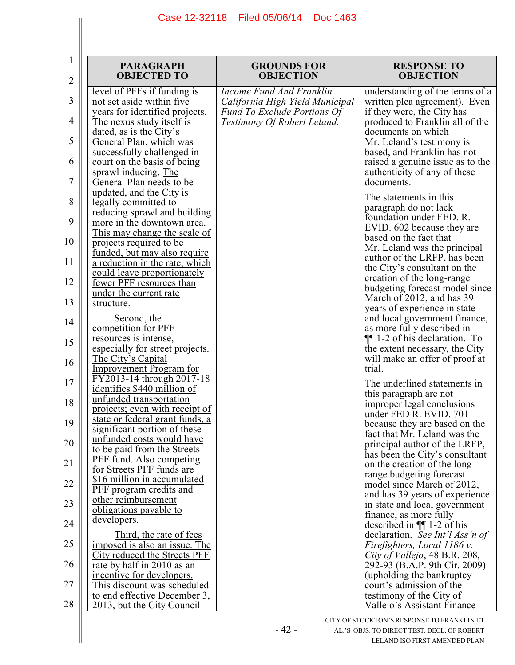| 1<br>2 | <b>PARAGRAPH</b><br><b>OBJECTED TO</b>                                                   | <b>GROUNDS FOR</b><br><b>OBJECTION</b>                            | <b>RESPONSE TO</b><br><b>OBJECTION</b>                            |
|--------|------------------------------------------------------------------------------------------|-------------------------------------------------------------------|-------------------------------------------------------------------|
| 3      | level of PFFs if funding is<br>not set aside within five                                 | Income Fund And Franklin<br>California High Yield Municipal       | understanding of the terms of a<br>written plea agreement). Even  |
| 4      | years for identified projects.<br>The nexus study itself is                              | <b>Fund To Exclude Portions Of</b><br>Testimony Of Robert Leland. | if they were, the City has<br>produced to Franklin all of the     |
| 5      | dated, as is the City's<br>General Plan, which was                                       |                                                                   | documents on which<br>Mr. Leland's testimony is                   |
| 6      | successfully challenged in<br>court on the basis of being                                |                                                                   | based, and Franklin has not<br>raised a genuine issue as to the   |
| 7      | sprawl inducing. The<br><b>General Plan needs to be</b>                                  |                                                                   | authenticity of any of these<br>documents.                        |
| 8      | updated, and the City is<br>legally committed to<br><u>reducing sprawl and building</u>  |                                                                   | The statements in this<br>paragraph do not lack                   |
| 9      | more in the downtown area.<br>This may change the scale of                               |                                                                   | foundation under FED. R.<br>EVID. 602 because they are            |
| 10     | projects required to be<br><u>funded, but may also require</u>                           |                                                                   | based on the fact that<br>Mr. Leland was the principal            |
| 11     | a reduction in the rate, which<br>could leave proportionately                            |                                                                   | author of the LRFP, has been<br>the City's consultant on the      |
| 12     | fewer PFF resources than<br>under the current rate                                       |                                                                   | creation of the long-range<br>budgeting forecast model since      |
| 13     | structure.                                                                               |                                                                   | March of 2012, and has 39<br>years of experience in state         |
| 14     | Second, the<br>competition for PFF                                                       |                                                                   | and local government finance,<br>as more fully described in       |
| 15     | resources is intense,<br>especially for street projects.                                 |                                                                   | $\P$ 1-2 of his declaration. To<br>the extent necessary, the City |
| 16     | <u>The City's Capital</u><br><b>Improvement Program for</b><br>FY2013-14 through 2017-18 |                                                                   | will make an offer of proof at<br>trial.                          |
| 17     | identifies \$440 million of<br>unfunded transportation                                   |                                                                   | The underlined statements in<br>this paragraph are not            |
| 18     | projects; even with receipt of<br>state or federal grant funds, a                        |                                                                   | improper legal conclusions<br>under FED R. EVID. 701              |
| 19     | significant portion of these<br>unfunded costs would have                                |                                                                   | because they are based on the<br>fact that Mr. Leland was the     |
| 20     | to be paid from the Streets<br><b>PFF</b> fund. Also competing                           |                                                                   | principal author of the LRFP,<br>has been the City's consultant   |
| 21     | for Streets PFF funds are<br>\$16 million in accumulated                                 |                                                                   | on the creation of the long-<br>range budgeting forecast          |
| 22     | <b>PFF</b> program credits and<br>other reimbursement                                    |                                                                   | model since March of 2012,<br>and has 39 years of experience      |
| 23     | obligations payable to<br>developers.                                                    |                                                                   | in state and local government<br>finance, as more fully           |
| 24     | Third, the rate of fees                                                                  |                                                                   | described in $\P$ 1-2 of his<br>declaration. See Int'l Ass'n of   |
| 25     | imposed is also an issue. The<br>City reduced the Streets PFF                            |                                                                   | Firefighters, Local 1186 v.<br>City of Vallejo, 48 B.R. 208,      |
| 26     | rate by half in 2010 as an<br>incentive for developers.                                  |                                                                   | 292-93 (B.A.P. 9th Cir. 2009)<br>(upholding the bankruptcy)       |
| 27     | This discount was scheduled<br>to end effective December 3,                              |                                                                   | court's admission of the<br>testimony of the City of              |
| 28     | 2013, but the City Council                                                               |                                                                   | Vallejo's Assistant Finance                                       |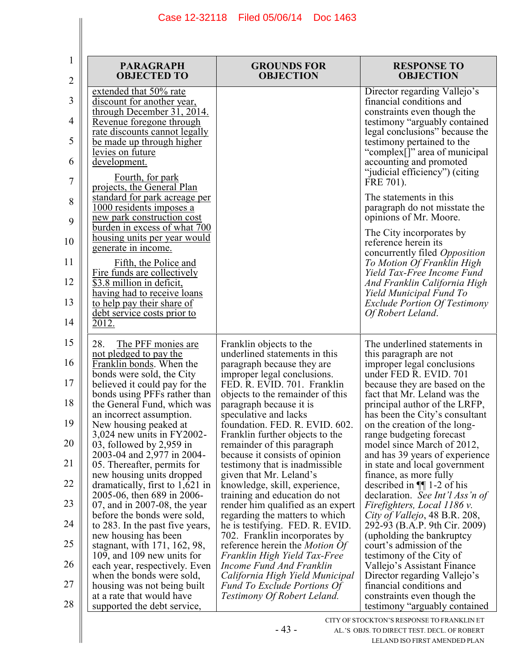| 1              | <b>PARAGRAPH</b>                                                                                 | <b>GROUNDS FOR</b>                                                                     | <b>RESPONSE TO</b>                                                                      |
|----------------|--------------------------------------------------------------------------------------------------|----------------------------------------------------------------------------------------|-----------------------------------------------------------------------------------------|
| $\overline{2}$ | <b>OBJECTED TO</b>                                                                               | <b>OBJECTION</b>                                                                       | <b>OBJECTION</b>                                                                        |
| 3              | extended that 50% rate<br>discount for another year,<br>through December $3\overline{1}$ , 2014. |                                                                                        | Director regarding Vallejo's<br>financial conditions and<br>constraints even though the |
| 4              | Revenue foregone through                                                                         |                                                                                        | testimony "arguably contained                                                           |
| 5              | rate discounts cannot legally                                                                    |                                                                                        | legal conclusions" because the                                                          |
| 6              | be made up through higher<br>levies on future<br>development.                                    |                                                                                        | testimony pertained to the<br>"complex[]" area of municipal<br>accounting and promoted  |
| 7              | Fourth, for park<br>projects, the General Plan                                                   |                                                                                        | "judicial efficiency") (citing<br>FRE 701).                                             |
| 8<br>9         | standard for park acreage per<br>1000 residents imposes a<br>new park construction cost          |                                                                                        | The statements in this<br>paragraph do not misstate the<br>opinions of Mr. Moore.       |
| 10             | burden in excess of what 700<br><u>housing units per year would</u>                              |                                                                                        | The City incorporates by<br>reference herein its                                        |
| 11             | generate in income.<br>Fifth, the Police and                                                     |                                                                                        | concurrently filed Opposition<br>To Motion Of Franklin High                             |
| 12             | Fire funds are collectively<br>\$3.8 million in deficit,                                         |                                                                                        | Yield Tax-Free Income Fund<br>And Franklin California High                              |
| 13             | having had to receive loans<br>to help pay their share of<br>debt service costs prior to         |                                                                                        | Yield Municipal Fund To<br><b>Exclude Portion Of Testimony</b><br>Of Robert Leland.     |
| 14             | 2012.                                                                                            |                                                                                        |                                                                                         |
| 15<br>16       | 28.<br>The PFF monies are<br>not pledged to pay the<br>Franklin bonds. When the                  | Franklin objects to the<br>underlined statements in this<br>paragraph because they are | The underlined statements in<br>this paragraph are not<br>improper legal conclusions    |
| 17             | bonds were sold, the City                                                                        | improper legal conclusions.                                                            | under FED R. EVID. 701                                                                  |
|                | believed it could pay for the                                                                    | FED. R. EVID. 701. Franklin                                                            | because they are based on the                                                           |
|                | bonds using PFFs rather than                                                                     | objects to the remainder of this                                                       | fact that Mr. Leland was the                                                            |
| 18             | the General Fund, which was                                                                      | paragraph because it is                                                                | principal author of the LRFP,                                                           |
|                | an incorrect assumption.                                                                         | speculative and lacks                                                                  | has been the City's consultant                                                          |
| 19             | New housing peaked at                                                                            | foundation. FED. R. EVID. 602                                                          | on the creation of the long-                                                            |
|                | $3,024$ new units in FY2002-                                                                     | Franklin further objects to the                                                        | range budgeting forecast                                                                |
| 20             | 03, followed by 2,959 in                                                                         | remainder of this paragraph                                                            | model since March of 2012,                                                              |
| 21             | 2003-04 and 2,977 in 2004-                                                                       | because it consists of opinion                                                         | and has 39 years of experience                                                          |
| 22             | 05. Thereafter, permits for                                                                      | testimony that is inadmissible.                                                        | in state and local government                                                           |
|                | new housing units dropped                                                                        | given that Mr. Leland's                                                                | finance, as more fully                                                                  |
|                | dramatically, first to 1,621 in                                                                  | knowledge, skill, experience,                                                          | described in $\P$ 1-2 of his                                                            |
| 23             | 2005-06, then 689 in 2006-                                                                       | training and education do not                                                          | declaration. See Int'l Ass'n of                                                         |
|                | 07, and in 2007-08, the year                                                                     | render him qualified as an expert                                                      | Firefighters, Local 1186 v.                                                             |
| 24             | before the bonds were sold,                                                                      | regarding the matters to which                                                         | City of Vallejo, 48 B.R. 208,                                                           |
|                | to 283. In the past five years,                                                                  | he is testifying. FED. R. EVID.                                                        | 292-93 (B.A.P. 9th Cir. 2009)                                                           |
| 25             | new housing has been                                                                             | 702. Franklin incorporates by                                                          | (upholding the bankruptcy)                                                              |
|                | stagnant, with 171, 162, 98,                                                                     | reference herein the <i>Motion Of</i>                                                  | court's admission of the                                                                |
| 26             | 109, and 109 new units for                                                                       | Franklin High Yield Tax-Free                                                           | testimony of the City of                                                                |
|                | each year, respectively. Even                                                                    | Income Fund And Franklin                                                               | Vallejo's Assistant Finance                                                             |
| 27             | when the bonds were sold,                                                                        | California High Yield Municipal                                                        | Director regarding Vallejo's                                                            |
|                | housing was not being built                                                                      | <b>Fund To Exclude Portions Of</b>                                                     | financial conditions and                                                                |
| 28             | at a rate that would have<br>supported the debt service,                                         | Testimony Of Robert Leland.                                                            | constraints even though the<br>testimony "arguably contained"                           |
|                |                                                                                                  |                                                                                        | CITY OF STOCKTON'S RESPONSE TO FRANKLIN ET                                              |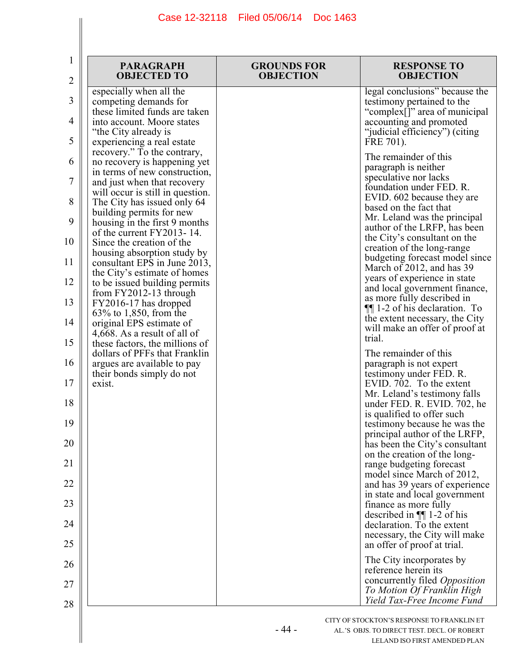| 1<br>$\overline{2}$ | <b>PARAGRAPH</b><br><b>OBJECTED TO</b>                                                          | <b>GROUNDS FOR</b><br><b>OBJECTION</b> | <b>RESPONSE TO</b><br><b>OBJECTION</b>                                                               |
|---------------------|-------------------------------------------------------------------------------------------------|----------------------------------------|------------------------------------------------------------------------------------------------------|
| 3                   | especially when all the<br>competing demands for<br>these limited funds are taken               |                                        | legal conclusions" because the<br>testimony pertained to the<br>"complex[]" area of municipal        |
| 4<br>5              | into account. Moore states<br>"the City already is                                              |                                        | accounting and promoted<br>"judicial efficiency") (citing                                            |
|                     | experiencing a real estate<br>recovery." To the contrary,                                       |                                        | FRE 701).<br>The remainder of this                                                                   |
| 6<br>7              | no recovery is happening yet<br>in terms of new construction,<br>and just when that recovery    |                                        | paragraph is neither<br>speculative nor lacks                                                        |
| 8                   | will occur is still in question.<br>The City has issued only 64                                 |                                        | foundation under FED. R.<br>EVID. 602 because they are<br>based on the fact that                     |
| 9                   | building permits for new<br>housing in the first 9 months                                       |                                        | Mr. Leland was the principal<br>author of the LRFP, has been                                         |
| 10                  | of the current FY2013-14.<br>Since the creation of the<br>housing absorption study by           |                                        | the City's consultant on the<br>creation of the long-range                                           |
| 11                  | consultant EPS in June 2013,<br>the City's estimate of homes                                    |                                        | budgeting forecast model since<br>March of 2012, and has 39<br>years of experience in state          |
| 12<br>13            | to be issued building permits<br>from $FY2012-13$ through<br>FY2016-17 has dropped              |                                        | and local government finance,<br>as more fully described in                                          |
| 14                  | $63\%$ to 1,850, from the<br>original EPS estimate of                                           |                                        | $\P$ [1-2 of his declaration. To<br>the extent necessary, the City<br>will make an offer of proof at |
| 15                  | 4,668. As a result of all of<br>these factors, the millions of<br>dollars of PFFs that Franklin |                                        | trial.<br>The remainder of this                                                                      |
| 16                  | argues are available to pay<br>their bonds simply do not                                        |                                        | paragraph is not expert<br>testimony under FED. R.                                                   |
| 17<br>18            | exist.                                                                                          |                                        | EVID. 702. To the extent<br>Mr. Leland's testimony falls                                             |
| 19                  |                                                                                                 |                                        | under FED. R. EVID. 702, he<br>is qualified to offer such                                            |
| 20                  |                                                                                                 |                                        | testimony because he was the<br>principal author of the LRFP,<br>has been the City's consultant      |
| 21                  |                                                                                                 |                                        | on the creation of the long-<br>range budgeting forecast                                             |
| 22                  |                                                                                                 |                                        | model since March of 2012,<br>and has 39 years of experience                                         |
| 23                  |                                                                                                 |                                        | in state and local government<br>finance as more fully                                               |
| 24                  |                                                                                                 |                                        | described in $\P$ 1-2 of his<br>declaration. To the extent                                           |
| 25                  |                                                                                                 |                                        | necessary, the City will make<br>an offer of proof at trial.                                         |
| 26                  |                                                                                                 |                                        | The City incorporates by<br>reference herein its                                                     |
| 27                  |                                                                                                 |                                        | concurrently filed Opposition<br>To Motion Of Franklin High                                          |
| 28                  |                                                                                                 |                                        | Yield Tax-Free Income Fund                                                                           |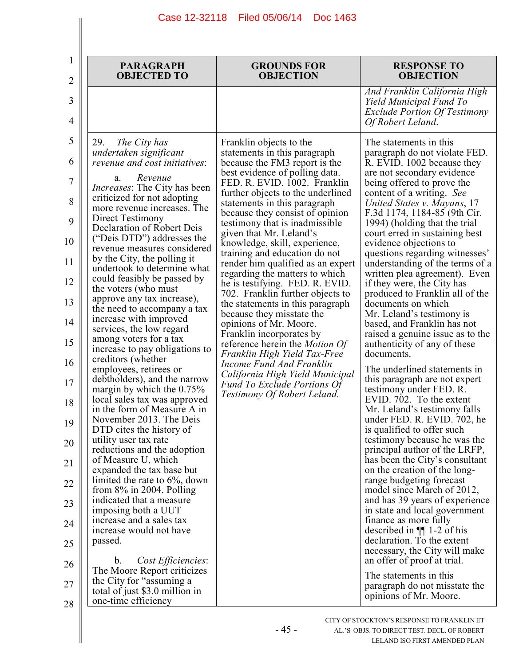| 2                                                                                                                                       | <b>PARAGRAPH</b><br><b>OBJECTED TO</b>                                                                                                                                                                                                                                                                                                                                                                                                                                                                                                                                                                                                                                                                                                                                                                                                                                                                                                                                                                                                                                                                                                                                                                                                                                                                            | <b>GROUNDS FOR</b><br><b>OBJECTION</b>                                                                                                                                                                                                                                                                                                                                                                                                                                                                                                                                                                                                                                                                                                                                                                                                                                       | <b>RESPONSE TO</b><br><b>OBJECTION</b>                                                                                                                                                                                                                                                                                                                                                                                                                                                                                                                                                                                                                                                                                                                                                                                                                                                                                                                                                                                                                                                                                                                                                                                                                                                                                                                                                                                 |
|-----------------------------------------------------------------------------------------------------------------------------------------|-------------------------------------------------------------------------------------------------------------------------------------------------------------------------------------------------------------------------------------------------------------------------------------------------------------------------------------------------------------------------------------------------------------------------------------------------------------------------------------------------------------------------------------------------------------------------------------------------------------------------------------------------------------------------------------------------------------------------------------------------------------------------------------------------------------------------------------------------------------------------------------------------------------------------------------------------------------------------------------------------------------------------------------------------------------------------------------------------------------------------------------------------------------------------------------------------------------------------------------------------------------------------------------------------------------------|------------------------------------------------------------------------------------------------------------------------------------------------------------------------------------------------------------------------------------------------------------------------------------------------------------------------------------------------------------------------------------------------------------------------------------------------------------------------------------------------------------------------------------------------------------------------------------------------------------------------------------------------------------------------------------------------------------------------------------------------------------------------------------------------------------------------------------------------------------------------------|------------------------------------------------------------------------------------------------------------------------------------------------------------------------------------------------------------------------------------------------------------------------------------------------------------------------------------------------------------------------------------------------------------------------------------------------------------------------------------------------------------------------------------------------------------------------------------------------------------------------------------------------------------------------------------------------------------------------------------------------------------------------------------------------------------------------------------------------------------------------------------------------------------------------------------------------------------------------------------------------------------------------------------------------------------------------------------------------------------------------------------------------------------------------------------------------------------------------------------------------------------------------------------------------------------------------------------------------------------------------------------------------------------------------|
| 3<br>4                                                                                                                                  |                                                                                                                                                                                                                                                                                                                                                                                                                                                                                                                                                                                                                                                                                                                                                                                                                                                                                                                                                                                                                                                                                                                                                                                                                                                                                                                   |                                                                                                                                                                                                                                                                                                                                                                                                                                                                                                                                                                                                                                                                                                                                                                                                                                                                              | And Franklin California High<br>Yield Municipal Fund To<br><b>Exclude Portion Of Testimony</b><br>Of Robert Leland.                                                                                                                                                                                                                                                                                                                                                                                                                                                                                                                                                                                                                                                                                                                                                                                                                                                                                                                                                                                                                                                                                                                                                                                                                                                                                                    |
| 5<br>6<br>7<br>8<br>9<br>10<br>11<br>12<br>13<br>14<br>15<br>16<br>17<br>18<br>19<br>20<br>21<br>22<br>23<br>24<br>25<br>26<br>27<br>28 | 29.<br>The City has<br>undertaken significant<br>revenue and cost initiatives:<br>Revenue<br>a.<br><i>Increases:</i> The City has been<br>criticized for not adopting<br>more revenue increases. The<br>Direct Testimony<br>Declaration of Robert Deis<br>("Deis DTD") addresses the<br>revenue measures considered<br>by the City, the polling it<br>undertook to determine what<br>could feasibly be passed by<br>the voters (who must<br>approve any tax increase),<br>the need to accompany a tax<br>increase with improved<br>services, the low regard<br>among voters for a tax<br>increase to pay obligations to<br>creditors (whether<br>employees, retirees or<br>debtholders), and the narrow<br>margin by which the $0.75\%$<br>local sales tax was approved<br>in the form of Measure A in<br>November 2013. The Deis<br>DTD cites the history of<br>utility user tax rate<br>reductions and the adoption<br>of Measure U, which<br>expanded the tax base but<br>limited the rate to $6\%$ , down<br>from $8\%$ in 2004. Polling<br>indicated that a measure<br>imposing both a UUT<br>increase and a sales tax<br>increase would not have<br>passed.<br>Cost Efficiencies:<br>b.<br>The Moore Report criticizes<br>the City for "assuming a<br>total of just \$3.0 million in<br>one-time efficiency | Franklin objects to the<br>statements in this paragraph<br>because the FM3 report is the<br>best evidence of polling data.<br>FED. R. EVID. 1002. Franklin<br>further objects to the underlined<br>statements in this paragraph<br>because they consist of opinion<br>testimony that is inadmissible<br>given that Mr. Leland's<br>knowledge, skill, experience,<br>training and education do not<br>render him qualified as an expert<br>regarding the matters to which<br>he is testifying. FED. R. EVID.<br>702. Franklin further objects to<br>the statements in this paragraph<br>because they misstate the<br>opinions of Mr. Moore.<br>Franklin incorporates by<br>reference herein the <i>Motion Of</i><br>Franklin High Yield Tax-Free<br>Income Fund And Franklin<br>California High Yield Municipal<br>Fund To Exclude Portions Of<br>Testimony Of Robert Leland. | The statements in this<br>paragraph do not violate FED.<br>R. EVID. 1002 because they<br>are not secondary evidence<br>being offered to prove the<br>content of a writing. See<br>United States v. Mayans, 17<br>F.3d 1174, 1184-85 (9th Cir.<br>1994) (holding that the trial<br>court erred in sustaining best<br>evidence objections to<br>questions regarding witnesses'<br>understanding of the terms of a<br>written plea agreement). Even<br>if they were, the City has<br>produced to Franklin all of the<br>documents on which<br>Mr. Leland's testimony is<br>based, and Franklin has not<br>raised a genuine issue as to the<br>authenticity of any of these<br>documents.<br>The underlined statements in<br>this paragraph are not expert<br>testimony under FED. R.<br>EVID. 702. To the extent<br>Mr. Leland's testimony falls<br>under FED. R. EVID. 702, he<br>is qualified to offer such<br>testimony because he was the<br>principal author of the LRFP,<br>has been the City's consultant<br>on the creation of the long-<br>range budgeting forecast<br>model since March of 2012,<br>and has 39 years of experience<br>in state and local government<br>finance as more fully<br>described in $\P$ 1-2 of his<br>declaration. To the extent<br>necessary, the City will make<br>an offer of proof at trial.<br>The statements in this<br>paragraph do not misstate the<br>opinions of Mr. Moore. |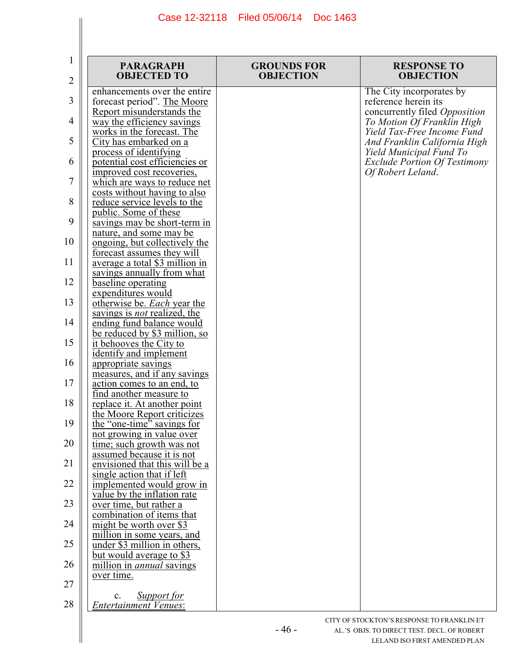| $\mathbf{1}$<br>2 | <b>PARAGRAPH</b><br><b>OBJECTED TO</b>                                                    | <b>GROUNDS FOR</b><br><b>OBJECTION</b> | <b>RESPONSE TO</b><br><b>OBJECTION</b>                                              |
|-------------------|-------------------------------------------------------------------------------------------|----------------------------------------|-------------------------------------------------------------------------------------|
| 3                 | enhancements over the entire<br>forecast period". The Moore                               |                                        | The City incorporates by<br>reference herein its                                    |
| 4                 | Report misunderstands the<br>way the efficiency savings                                   |                                        | concurrently filed Opposition<br>To Motion Of Franklin High                         |
| 5                 | works in the forecast. The<br>City has embarked on a                                      |                                        | Yield Tax-Free Income Fund<br>And Franklin California High                          |
| 6                 | process of identifying<br>potential cost efficiencies or<br>improved cost recoveries,     |                                        | Yield Municipal Fund To<br><b>Exclude Portion Of Testimony</b><br>Of Robert Leland. |
| 7                 | which are ways to reduce net<br>costs without having to also                              |                                        |                                                                                     |
| 8                 | <u>reduce service levels to the</u><br><u>public. Some of these</u>                       |                                        |                                                                                     |
| 9                 | savings may be short-term in<br><u>nature, and some may be</u>                            |                                        |                                                                                     |
| 10                | <u>ongoing, but collectively the</u><br>forecast assumes they will                        |                                        |                                                                                     |
| 11<br>12          | average a total \$3 million in<br>savings annually from what<br><u>baseline</u> operating |                                        |                                                                                     |
| 13                | expenditures would<br>otherwise be. Each year the                                         |                                        |                                                                                     |
| 14                | savings is <i>not</i> realized, the<br>ending fund balance would                          |                                        |                                                                                     |
| 15                | be reduced by \$3 million, so<br><u>it behooves the City to</u>                           |                                        |                                                                                     |
| 16                | identify and implement<br>appropriate savings                                             |                                        |                                                                                     |
| 17                | measures, and if any savings<br>action comes to an end, to<br>find another measure to     |                                        |                                                                                     |
| 18                | replace it. At another point<br>the Moore Report criticizes                               |                                        |                                                                                     |
| 19                | the "one-time" savings for<br>not growing in value over                                   |                                        |                                                                                     |
| 20                | time; such growth was not<br><u>assumed because it is not</u>                             |                                        |                                                                                     |
| 21<br>22          | envisioned that this will be a<br>single action that if left                              |                                        |                                                                                     |
| 23                | implemented would grow in<br>value by the inflation rate<br>over time, but rather a       |                                        |                                                                                     |
| 24                | combination of items that<br>might be worth over \$3                                      |                                        |                                                                                     |
| 25                | million in some years, and<br>under \$3 million in others,                                |                                        |                                                                                     |
| 26                | <u>but would average to \$3</u><br>million in <i>annual</i> savings                       |                                        |                                                                                     |
| 27                | over time.                                                                                |                                        |                                                                                     |
| 28                | <b>Support for</b><br>$\mathbf{c}$ .<br><b>Entertainment Venues:</b>                      |                                        |                                                                                     |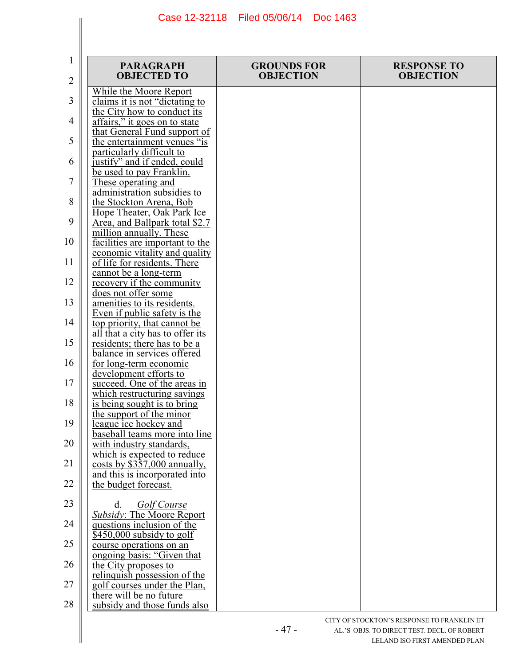| 1<br>2   | <b>PARAGRAPH</b><br><b>OBJECTED TO</b>                                                | <b>GROUNDS FOR</b><br><b>OBJECTION</b> | <b>RESPONSE TO</b><br><b>OBJECTION</b> |
|----------|---------------------------------------------------------------------------------------|----------------------------------------|----------------------------------------|
| 3        | While the Moore Report<br>claims it is not "dictating to                              |                                        |                                        |
| 4        | the City how to conduct its<br>affairs," it goes on to state                          |                                        |                                        |
| 5        | that General Fund support of<br>the entertainment venues "is                          |                                        |                                        |
| 6        | particularly difficult to<br>justify" and if ended, could                             |                                        |                                        |
| 7        | be used to pay Franklin.<br>These operating and                                       |                                        |                                        |
| 8        | administration subsidies to<br>the Stockton Arena, Bob<br>Hope Theater, Oak Park Ice  |                                        |                                        |
| 9        | Area, and Ballpark total \$2.7<br>million annually. These                             |                                        |                                        |
| 10       | facilities are important to the<br>economic vitality and quality                      |                                        |                                        |
| 11       | of life for residents. There<br>cannot be a long-term                                 |                                        |                                        |
| 12       | recovery if the community<br>does not offer some                                      |                                        |                                        |
| 13       | amenities to its residents.<br>Even if public safety is the                           |                                        |                                        |
| 14       | top priority, that cannot be<br>all that a city has to offer its                      |                                        |                                        |
| 15<br>16 | residents; there has to be a<br>balance in services offered<br>for long-term economic |                                        |                                        |
| 17       | development efforts to<br>succeed. One of the areas in                                |                                        |                                        |
| 18       | which restructuring savings<br>is being sought is to bring                            |                                        |                                        |
| 19       | the support of the minor<br>league ice hockey and                                     |                                        |                                        |
| 20       | baseball teams more into line<br>with industry standards,                             |                                        |                                        |
| 21       | which is expected to reduce<br>$\frac{\cosh y \sin 357,000}{\sinh y}$                 |                                        |                                        |
| 22       | and this is incorporated into<br>the budget forecast.                                 |                                        |                                        |
| 23       | Golf Course<br>d.<br>Subsidy: The Moore Report                                        |                                        |                                        |
| 24       | questions inclusion of the<br>$$450,000$ subsidy to golf                              |                                        |                                        |
| 25       | course operations on an<br>ongoing basis: "Given that                                 |                                        |                                        |
| 26       | the City proposes to<br>relinquish possession of the                                  |                                        |                                        |
| 27       | golf courses under the Plan,<br>there will be no future                               |                                        |                                        |
| 28       | subsidy and those funds also                                                          |                                        |                                        |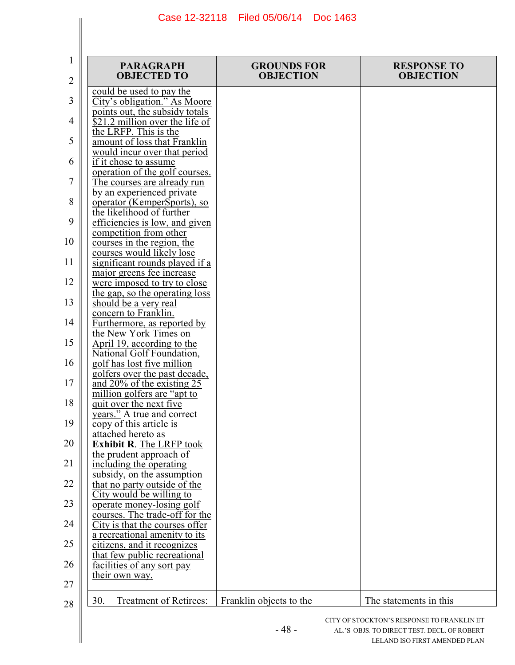| 1<br>2 | <b>PARAGRAPH</b><br><b>OBJECTED TO</b>                         | <b>GROUNDS FOR</b><br><b>OBJECTION</b> | <b>RESPONSE TO</b><br><b>OBJECTION</b>      |
|--------|----------------------------------------------------------------|----------------------------------------|---------------------------------------------|
|        | could be used to pay the                                       |                                        |                                             |
| 3      | City's obligation." As Moore<br>points out, the subsidy totals |                                        |                                             |
| 4      | $$21.2$ million over the life of                               |                                        |                                             |
| 5      | the LRFP. This is the                                          |                                        |                                             |
|        | amount of loss that Franklin<br>would incur over that period   |                                        |                                             |
| 6      | if it chose to assume                                          |                                        |                                             |
| 7      | operation of the golf courses.<br>The courses are already run  |                                        |                                             |
|        | by an experienced private                                      |                                        |                                             |
| 8      | operator (KemperSports), so                                    |                                        |                                             |
| 9      | the likelihood of further<br>efficiencies is low, and given    |                                        |                                             |
|        | competition from other                                         |                                        |                                             |
| 10     | courses in the region, the                                     |                                        |                                             |
| 11     | courses would likely lose<br>significant rounds played if a    |                                        |                                             |
|        | major greens fee increase                                      |                                        |                                             |
| 12     | were imposed to try to close                                   |                                        |                                             |
| 13     | the gap, so the operating loss<br>should be a very real        |                                        |                                             |
|        | concern to Franklin.                                           |                                        |                                             |
| 14     | Furthermore, as reported by<br>the New York Times on           |                                        |                                             |
| 15     | April 19, according to the                                     |                                        |                                             |
|        | National Golf Foundation,                                      |                                        |                                             |
| 16     | golf has lost five million<br>golfers over the past decade.    |                                        |                                             |
| 17     | and $20\%$ of the existing 25                                  |                                        |                                             |
| 18     | million golfers are "apt to<br>quit over the next five         |                                        |                                             |
|        | years." A true and correct                                     |                                        |                                             |
| 19     | copy of this article is                                        |                                        |                                             |
| 20     | attached hereto as<br>Exhibit R. The LRFP took                 |                                        |                                             |
|        | the prudent approach of                                        |                                        |                                             |
| 21     | including the operating<br>subsidy, on the assumption          |                                        |                                             |
| 22     | that no party outside of the                                   |                                        |                                             |
|        | City would be willing to                                       |                                        |                                             |
| 23     | operate money-losing golf<br>courses. The trade-off for the    |                                        |                                             |
| 24     | City is that the courses offer                                 |                                        |                                             |
| 25     | a recreational amenity to its<br>citizens, and it recognizes   |                                        |                                             |
|        | that few public recreational                                   |                                        |                                             |
| 26     | facilities of any sort pay                                     |                                        |                                             |
| 27     |                                                                |                                        |                                             |
| 28     | Treatment of Retirees:<br>30.                                  | Franklin objects to the                | The statements in this                      |
|        |                                                                |                                        | CITY OF STOCKTON'S RESPONSE TO FRANKLIN ET  |
|        |                                                                | $-48-$                                 | AL.'S OBJS. TO DIRECT TEST. DECL. OF ROBERT |
|        | their own way.                                                 |                                        | LELAND ISO FIRST AMENDED PLAN               |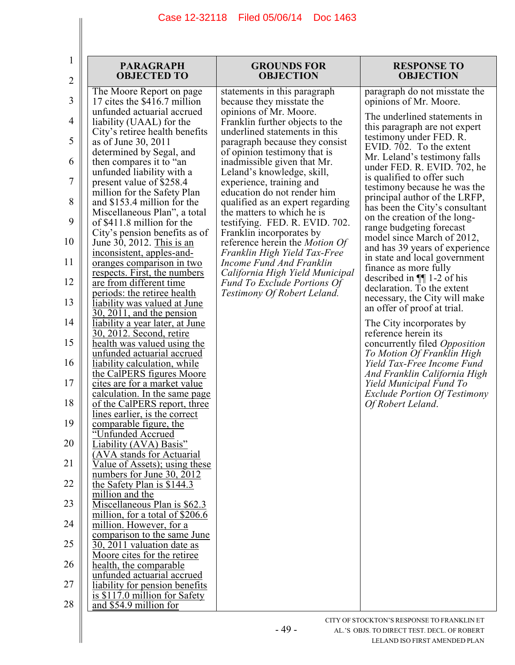| 1<br>2   | <b>PARAGRAPH</b><br><b>OBJECTED TO</b>                                                    | <b>GROUNDS FOR</b><br><b>OBJECTION</b>                                                               | <b>RESPONSE TO</b><br><b>OBJECTION</b>                                                    |
|----------|-------------------------------------------------------------------------------------------|------------------------------------------------------------------------------------------------------|-------------------------------------------------------------------------------------------|
| 3        | The Moore Report on page<br>17 cites the \$416.7 million                                  | statements in this paragraph<br>because they misstate the                                            | paragraph do not misstate the<br>opinions of Mr. Moore.                                   |
| 4        | unfunded actuarial accrued<br>liability (UAAL) for the<br>City's retiree health benefits  | opinions of Mr. Moore.<br>Franklin further objects to the<br>underlined statements in this           | The underlined statements in<br>this paragraph are not expert                             |
| 5        | as of June 30, 2011<br>determined by Segal, and                                           | paragraph because they consist<br>of opinion testimony that is                                       | testimony under FED. R.<br>EVID. 702. To the extent<br>Mr. Leland's testimony falls       |
| 6        | then compares it to "an<br>unfunded liability with a                                      | inadmissible given that Mr.<br>Leland's knowledge, skill,                                            | under FED. R. EVID. 702, he<br>is qualified to offer such                                 |
| 7<br>8   | present value of \$258.4<br>million for the Safety Plan<br>and \$153.4 million for the    | experience, training and<br>education do not render him<br>qualified as an expert regarding          | testimony because he was the<br>principal author of the LRFP,                             |
| 9        | Miscellaneous Plan", a total<br>of \$411.8 million for the                                | the matters to which he is<br>testifying. FED. R. EVID. 702.                                         | has been the City's consultant<br>on the creation of the long-                            |
| 10       | City's pension benefits as of<br>June 30, 2012. This is an                                | Franklin incorporates by<br>reference herein the <i>Motion Of</i>                                    | range budgeting forecast<br>model since March of 2012,<br>and has 39 years of experience  |
| 11       | inconsistent, apples-and-<br>oranges comparison in two                                    | Franklin High Yield Tax-Free<br>Income Fund And Franklin                                             | in state and local government<br>finance as more fully                                    |
| 12       | respects. First, the numbers<br>are from different time<br>periods: the retiree health    | California High Yield Municipal<br><b>Fund To Exclude Portions Of</b><br>Testimony Of Robert Leland. | described in $\P$ 1-2 of his<br>declaration. To the extent                                |
| 13       | liability was valued at June<br>$30, 2011$ , and the pension                              |                                                                                                      | necessary, the City will make<br>an offer of proof at trial.                              |
| 14<br>15 | <u>liability a year later, at June</u><br><u>30, 2012. Second, retire</u>                 |                                                                                                      | The City incorporates by<br>reference herein its                                          |
| 16       | health was valued using the<br>unfunded actuarial accrued<br>liability calculation, while |                                                                                                      | concurrently filed Opposition<br>To Motion Of Franklin High<br>Yield Tax-Free Income Fund |
| 17       | the CalPERS figures Moore<br>cites are for a market value                                 |                                                                                                      | And Franklin California High<br>Yield Municipal Fund To                                   |
| 18       | calculation. In the same page<br>of the CalPERS report, three                             |                                                                                                      | <b>Exclude Portion Of Testimony</b><br>Of Robert Leland.                                  |
| 19       | lines earlier, is the correct<br><u>comparable figure, the</u><br>"Unfunded Accrued       |                                                                                                      |                                                                                           |
| 20       | Liability (AVA) Basis"<br>(AVA stands for Actuarial                                       |                                                                                                      |                                                                                           |
| 21<br>22 | Value of Assets); using these<br>numbers for June 30, 2012                                |                                                                                                      |                                                                                           |
| 23       | the Safety Plan is \$144.3<br>million and the<br>Miscellaneous Plan is \$62.3             |                                                                                                      |                                                                                           |
| 24       | million, for a total of \$206.6<br>million. However, for a                                |                                                                                                      |                                                                                           |
| 25       | comparison to the same June<br>30, 2011 valuation date as                                 |                                                                                                      |                                                                                           |
| 26       | Moore cites for the retiree<br>health, the comparable<br>unfunded actuarial accrued       |                                                                                                      |                                                                                           |
| 27       | liability for pension benefits<br>is $$117.0$ million for Safety                          |                                                                                                      |                                                                                           |
| 28       | and \$54.9 million for                                                                    |                                                                                                      |                                                                                           |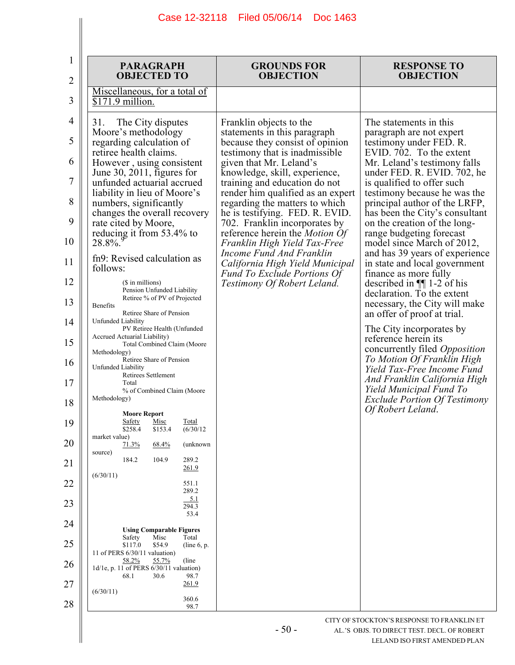| 1<br>2   | <b>PARAGRAPH</b><br><b>OBJECTED TO</b>                                                                                             | <b>GROUNDS FOR</b><br><b>OBJECTION</b>                                                                   | <b>RESPONSE TO</b><br><b>OBJECTION</b>                                                   |
|----------|------------------------------------------------------------------------------------------------------------------------------------|----------------------------------------------------------------------------------------------------------|------------------------------------------------------------------------------------------|
| 3        | Miscellaneous, for a total of<br>\$171.9 million.                                                                                  |                                                                                                          |                                                                                          |
| 4        | 31.<br>The City disputes<br>Moore's methodology                                                                                    | Franklin objects to the<br>statements in this paragraph                                                  | The statements in this<br>paragraph are not expert                                       |
| 5        | regarding calculation of<br>retiree health claims.                                                                                 | because they consist of opinion<br>testimony that is inadmissible                                        | testimony under FED. R.<br>EVID. 702. To the extent                                      |
| 6        | However, using consistent<br>June 30, 2011, figures for                                                                            | given that Mr. Leland's<br>knowledge, skill, experience,                                                 | Mr. Leland's testimony falls<br>under FED. R. EVID. 702, he                              |
| 7        | unfunded actuarial accrued<br>liability in lieu of Moore's                                                                         | training and education do not<br>render him qualified as an expert                                       | is qualified to offer such<br>testimony because he was the                               |
| 8        | numbers, significantly                                                                                                             | regarding the matters to which                                                                           | principal author of the LRFP,                                                            |
| 9        | changes the overall recovery<br>rate cited by Moore,                                                                               | he is testifying. FED. R. EVID.<br>702. Franklin incorporates by                                         | has been the City's consultant<br>on the creation of the long-                           |
| 10       | reducing it from 53.4% to<br>$28.8\%$                                                                                              | reference herein the Motion Of<br>Franklin High Yield Tax-Free                                           | range budgeting forecast<br>model since March of 2012,                                   |
| 11       | fn9: Revised calculation as<br>follows:                                                                                            | <b>Income Fund And Franklin</b><br>California High Yield Municipal<br><b>Fund To Exclude Portions Of</b> | and has 39 years of experience<br>in state and local government<br>finance as more fully |
| 12       | (\$ in millions)<br>Pension Unfunded Liability                                                                                     | Testimony Of Robert Leland.                                                                              | described in $\P$ 1-2 of his<br>declaration. To the extent                               |
| 13       | Retiree % of PV of Projected<br>Benefits                                                                                           |                                                                                                          | necessary, the City will make                                                            |
| 14       | Retiree Share of Pension<br>Unfunded Liability<br>PV Retiree Health (Unfunded                                                      |                                                                                                          | an offer of proof at trial.<br>The City incorporates by                                  |
| 15       | Accrued Actuarial Liability)<br>Total Combined Claim (Moore<br>Methodology)                                                        |                                                                                                          | reference herein its<br>concurrently filed Opposition                                    |
| 16<br>17 | Retiree Share of Pension<br>Unfunded Liability<br>Retirees Settlement<br>Total                                                     |                                                                                                          | To Motion Of Franklin High<br>Yield Tax-Free Income Fund<br>And Franklin California High |
| 18       | % of Combined Claim (Moore<br>Methodology)                                                                                         |                                                                                                          | Yield Municipal Fund To<br><b>Exclude Portion Of Testimony</b>                           |
| 19       | <b>Moore Report</b><br><b>Safety</b><br>Misc<br><u>Total</u><br>(6/30/12)<br>\$258.4<br>\$153.4                                    |                                                                                                          | Of Robert Leland.                                                                        |
| 20       | market value)<br>71.3%<br>(unknown<br>68.4%                                                                                        |                                                                                                          |                                                                                          |
| 21       | source)<br>289.2<br>184.2<br>104.9<br>261.9                                                                                        |                                                                                                          |                                                                                          |
| 22       | (6/30/11)<br>551.1                                                                                                                 |                                                                                                          |                                                                                          |
| 23       | 289.2<br>5.1<br>294.3                                                                                                              |                                                                                                          |                                                                                          |
| 24       | 53.4                                                                                                                               |                                                                                                          |                                                                                          |
| 25       | <b>Using Comparable Figures</b><br>Misc<br>Total<br>Safety<br>\$117.0<br>\$54.9<br>(line $6$ , p.<br>11 of PERS 6/30/11 valuation) |                                                                                                          |                                                                                          |
| 26       | 58.2%<br>(line)<br>55.7%<br>1d/1e, p. 11 of PERS 6/30/11 valuation)                                                                |                                                                                                          |                                                                                          |
| 27       | 68.1<br>30.6<br>98.7<br>261.9                                                                                                      |                                                                                                          |                                                                                          |
| 28       | (6/30/11)<br>360.6<br>98.7                                                                                                         |                                                                                                          |                                                                                          |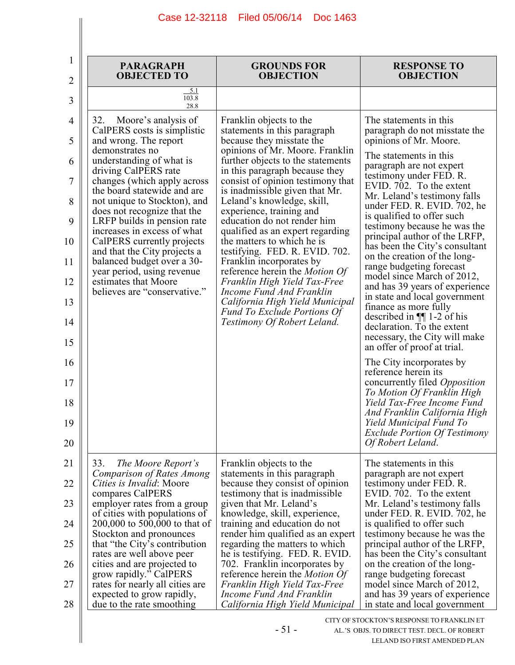| <b>OBJECTED TO</b>                                          | <b>GROUNDS FOR</b><br><b>OBJECTION</b>                                                                                                                                                                                                                                                                                                                | <b>RESPONSE TO</b><br><b>OBJECTION</b>                                                                                                                                                                                                                                                                                                                                       |
|-------------------------------------------------------------|-------------------------------------------------------------------------------------------------------------------------------------------------------------------------------------------------------------------------------------------------------------------------------------------------------------------------------------------------------|------------------------------------------------------------------------------------------------------------------------------------------------------------------------------------------------------------------------------------------------------------------------------------------------------------------------------------------------------------------------------|
| 5.1<br>103.8<br>28.8                                        |                                                                                                                                                                                                                                                                                                                                                       |                                                                                                                                                                                                                                                                                                                                                                              |
| Moore's analysis of<br>32.<br>CalPERS costs is simplistic   | Franklin objects to the<br>statements in this paragraph<br>because they misstate the                                                                                                                                                                                                                                                                  | The statements in this<br>paragraph do not misstate the<br>opinions of Mr. Moore.                                                                                                                                                                                                                                                                                            |
| demonstrates no<br>understanding of what is                 | opinions of Mr. Moore. Franklin<br>further objects to the statements                                                                                                                                                                                                                                                                                  | The statements in this<br>paragraph are not expert                                                                                                                                                                                                                                                                                                                           |
| changes (which apply across<br>the board statewide and are  | consist of opinion testimony that<br>is inadmissible given that Mr.                                                                                                                                                                                                                                                                                   | testimony under FED. R.<br>EVID. 702. To the extent<br>Mr. Leland's testimony falls                                                                                                                                                                                                                                                                                          |
| not unique to Stockton), and<br>does not recognize that the | Leland's knowledge, skill,<br>experience, training and                                                                                                                                                                                                                                                                                                | under FED. R. EVID. 702, he<br>is qualified to offer such                                                                                                                                                                                                                                                                                                                    |
| increases in excess of what                                 | qualified as an expert regarding<br>the matters to which he is                                                                                                                                                                                                                                                                                        | testimony because he was the<br>principal author of the LRFP,                                                                                                                                                                                                                                                                                                                |
| and that the City projects a<br>balanced budget over a 30-  | testifying. FED. R. EVID. 702.<br>Franklin incorporates by                                                                                                                                                                                                                                                                                            | has been the City's consultant<br>on the creation of the long-<br>range budgeting forecast                                                                                                                                                                                                                                                                                   |
| estimates that Moore                                        | Franklin High Yield Tax-Free                                                                                                                                                                                                                                                                                                                          | model since March of 2012,<br>and has 39 years of experience                                                                                                                                                                                                                                                                                                                 |
|                                                             | California High Yield Municipal<br><b>Fund To Exclude Portions Of</b>                                                                                                                                                                                                                                                                                 | in state and local government<br>finance as more fully<br>described in $\P$ 1-2 of his                                                                                                                                                                                                                                                                                       |
|                                                             |                                                                                                                                                                                                                                                                                                                                                       | declaration. To the extent<br>necessary, the City will make<br>an offer of proof at trial.                                                                                                                                                                                                                                                                                   |
|                                                             |                                                                                                                                                                                                                                                                                                                                                       | The City incorporates by<br>reference herein its                                                                                                                                                                                                                                                                                                                             |
|                                                             |                                                                                                                                                                                                                                                                                                                                                       | concurrently filed Opposition<br>To Motion Of Franklin High<br>Yield Tax-Free Income Fund                                                                                                                                                                                                                                                                                    |
|                                                             |                                                                                                                                                                                                                                                                                                                                                       | And Franklin California High<br>Yield Municipal Fund To<br><b>Exclude Portion Of Testimony</b><br>Of Robert Leland.                                                                                                                                                                                                                                                          |
|                                                             |                                                                                                                                                                                                                                                                                                                                                       | The statements in this                                                                                                                                                                                                                                                                                                                                                       |
| Comparison of Rates Among<br>Cities is Invalid: Moore       | statements in this paragraph<br>because they consist of opinion                                                                                                                                                                                                                                                                                       | paragraph are not expert<br>testimony under FED. R.                                                                                                                                                                                                                                                                                                                          |
| employer rates from a group                                 | given that Mr. Leland's                                                                                                                                                                                                                                                                                                                               | EVID. 702. To the extent<br>Mr. Leland's testimony falls                                                                                                                                                                                                                                                                                                                     |
| 200,000 to 500,000 to that of                               | training and education do not                                                                                                                                                                                                                                                                                                                         | under FED. R. EVID. 702, he<br>is qualified to offer such<br>testimony because he was the                                                                                                                                                                                                                                                                                    |
| that "the City's contribution<br>rates are well above peer  | regarding the matters to which<br>he is testifying. FED. R. EVID.                                                                                                                                                                                                                                                                                     | principal author of the LRFP,<br>has been the City's consultant                                                                                                                                                                                                                                                                                                              |
| cities and are projected to<br>grow rapidly." CalPERS       | 702. Franklin incorporates by<br>reference herein the <i>Motion Of</i>                                                                                                                                                                                                                                                                                | on the creation of the long-<br>range budgeting forecast                                                                                                                                                                                                                                                                                                                     |
| expected to grow rapidly,                                   | Income Fund And Franklin<br>California High Yield Municipal                                                                                                                                                                                                                                                                                           | model since March of 2012,<br>and has 39 years of experience<br>in state and local government                                                                                                                                                                                                                                                                                |
|                                                             | and wrong. The report<br>driving CalPERS rate<br>LRFP builds in pension rate<br>CalPERS currently projects<br>year period, using revenue<br>believes are "conservative."<br>33.<br>The Moore Report's<br>compares CalPERS<br>of cities with populations of<br>Stockton and pronounces<br>rates for nearly all cities are<br>due to the rate smoothing | in this paragraph because they<br>education do not render him<br>reference herein the Motion Of<br>Income Fund And Franklin<br>Testimony Of Robert Leland.<br>Franklin objects to the<br>testimony that is inadmissible.<br>knowledge, skill, experience,<br>render him qualified as an expert<br>Franklin High Yield Tax-Free<br>CITY OF STOCKTON'S RESPONSE TO FRANKLIN ET |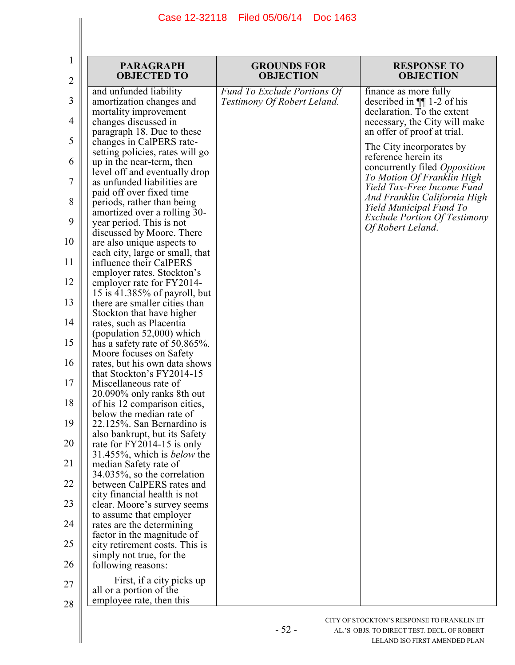| 1        | <b>PARAGRAPH</b><br><b>OBJECTED TO</b>                                                   | <b>GROUNDS FOR</b><br><b>OBJECTION</b>                            | <b>RESPONSE TO</b><br><b>OBJECTION</b>                                                   |
|----------|------------------------------------------------------------------------------------------|-------------------------------------------------------------------|------------------------------------------------------------------------------------------|
| 2        |                                                                                          |                                                                   |                                                                                          |
| 3        | and unfunded liability<br>amortization changes and<br>mortality improvement              | <b>Fund To Exclude Portions Of</b><br>Testimony Of Robert Leland. | finance as more fully<br>described in $\P$ 1-2 of his<br>declaration. To the extent      |
| 4        | changes discussed in<br>paragraph 18. Due to these                                       |                                                                   | necessary, the City will make<br>an offer of proof at trial.                             |
| 5        | changes in CalPERS rate-<br>setting policies, rates will go                              |                                                                   | The City incorporates by                                                                 |
| 6        | up in the near-term, then<br>level off and eventually drop                               |                                                                   | reference herein its<br>concurrently filed <i>Opposition</i>                             |
| 7        | as unfunded liabilities are.<br>paid off over fixed time                                 |                                                                   | To Motion Of Franklin High<br>Yield Tax-Free Income Fund<br>And Franklin California High |
| 8        | periods, rather than being<br>amortized over a rolling 30-                               |                                                                   | Yield Municipal Fund To<br><b>Exclude Portion Of Testimony</b>                           |
| 9        | year period. This is not<br>discussed by Moore. There                                    |                                                                   | Of Robert Leland.                                                                        |
| 10<br>11 | are also unique aspects to<br>each city, large or small, that<br>influence their CalPERS |                                                                   |                                                                                          |
| 12       | employer rates. Stockton's<br>employer rate for FY2014-                                  |                                                                   |                                                                                          |
| 13       | 15 is 41.385% of payroll, but<br>there are smaller cities than                           |                                                                   |                                                                                          |
| 14       | Stockton that have higher<br>rates, such as Placentia                                    |                                                                   |                                                                                          |
| 15       | (population $52,000$ ) which<br>has a safety rate of $50.865\%$ .                        |                                                                   |                                                                                          |
| 16       | Moore focuses on Safety<br>rates, but his own data shows                                 |                                                                   |                                                                                          |
| 17       | that Stockton's FY2014-15<br>Miscellaneous rate of<br>20.090% only ranks 8th out         |                                                                   |                                                                                          |
| 18       | of his 12 comparison cities,<br>below the median rate of                                 |                                                                   |                                                                                          |
| 19       | 22.125%. San Bernardino is<br>also bankrupt, but its Safety                              |                                                                   |                                                                                          |
| 20       | rate for FY2014-15 is only<br>31.455%, which is <i>below</i> the                         |                                                                   |                                                                                          |
| 21       | median Safety rate of<br>$34.035\%$ , so the correlation                                 |                                                                   |                                                                                          |
| 22       | between CalPERS rates and<br>city financial health is not                                |                                                                   |                                                                                          |
| 23       | clear. Moore's survey seems<br>to assume that employer                                   |                                                                   |                                                                                          |
| 24       | rates are the determining<br>factor in the magnitude of                                  |                                                                   |                                                                                          |
| 25<br>26 | city retirement costs. This is<br>simply not true, for the<br>following reasons:         |                                                                   |                                                                                          |
| 27       | First, if a city picks up                                                                |                                                                   |                                                                                          |
| 28       | all or a portion of the<br>employee rate, then this                                      |                                                                   |                                                                                          |

- 52 -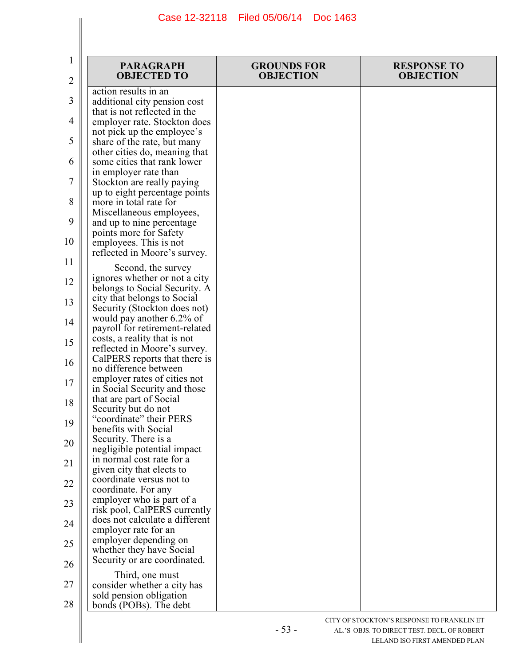| 1        | <b>PARAGRAPH</b>                                                                              | <b>GROUNDS FOR</b> | <b>RESPONSE TO</b> |
|----------|-----------------------------------------------------------------------------------------------|--------------------|--------------------|
| 2        | <b>OBJECTED TO</b>                                                                            | <b>OBJECTION</b>   | <b>OBJECTION</b>   |
| 3        | action results in an<br>additional city pension cost<br>that is not reflected in the          |                    |                    |
| 4        | employer rate. Stockton does                                                                  |                    |                    |
| 5        | not pick up the employee's<br>share of the rate, but many                                     |                    |                    |
| 6        | other cities do, meaning that<br>some cities that rank lower                                  |                    |                    |
| 7        | in employer rate than<br>Stockton are really paying                                           |                    |                    |
| 8        | up to eight percentage points<br>more in total rate for<br>Miscellaneous employees,           |                    |                    |
| 9        | and up to nine percentage.<br>points more for Safety                                          |                    |                    |
| 10       | employees. This is not<br>reflected in Moore's survey.                                        |                    |                    |
| 11       | Second, the survey                                                                            |                    |                    |
| 12       | ignores whether or not a city<br>belongs to Social Security. A<br>city that belongs to Social |                    |                    |
| 13       | Security (Stockton does not)<br>would pay another 6.2% of                                     |                    |                    |
| 14       | payroll for retirement-related<br>costs, a reality that is not                                |                    |                    |
| 15       | reflected in Moore's survey.<br>CalPERS reports that there is                                 |                    |                    |
| 16       | no difference between<br>employer rates of cities not                                         |                    |                    |
| 17       | in Social Security and those<br>that are part of Social                                       |                    |                    |
| 18<br>19 | Security but do not<br>"coordinate" their PERS                                                |                    |                    |
| 20       | benefits with Social<br>Security. There is a                                                  |                    |                    |
| 21       | negligible potential impact<br>in normal cost rate for a                                      |                    |                    |
| 22       | given city that elects to<br>coordinate versus not to                                         |                    |                    |
| 23       | coordinate. For any<br>employer who is part of a                                              |                    |                    |
| 24       | risk pool, CalPERS currently<br>does not calculate a different                                |                    |                    |
| 25       | employer rate for an<br>employer depending on                                                 |                    |                    |
| 26       | whether they have Social<br>Security or are coordinated.                                      |                    |                    |
| 27       | Third, one must<br>consider whether a city has                                                |                    |                    |
| 28       | sold pension obligation<br>bonds (POBs). The debt                                             |                    |                    |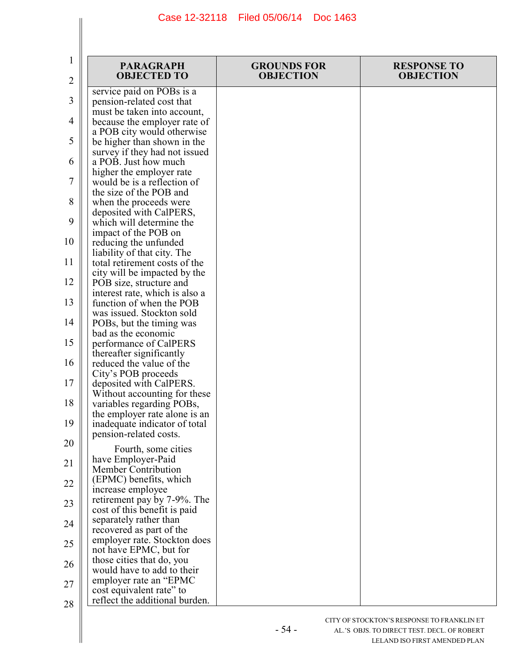| 1<br>$\overline{2}$ | <b>PARAGRAPH</b><br><b>OBJECTED TO</b>                                                   | <b>GROUNDS FOR</b><br><b>OBJECTION</b> | <b>RESPONSE TO</b><br><b>OBJECTION</b> |
|---------------------|------------------------------------------------------------------------------------------|----------------------------------------|----------------------------------------|
| 3                   | service paid on POBs is a<br>pension-related cost that                                   |                                        |                                        |
| 4                   | must be taken into account,<br>because the employer rate of                              |                                        |                                        |
| 5                   | a POB city would otherwise<br>be higher than shown in the                                |                                        |                                        |
| 6                   | survey if they had not issued<br>a POB. Just how much<br>higher the employer rate        |                                        |                                        |
| 7                   | would be is a reflection of<br>the size of the POB and                                   |                                        |                                        |
| 8                   | when the proceeds were<br>deposited with CalPERS,                                        |                                        |                                        |
| 9                   | which will determine the<br>impact of the POB on                                         |                                        |                                        |
| 10                  | reducing the unfunded<br>liability of that city. The                                     |                                        |                                        |
| 11<br>12            | total retirement costs of the<br>city will be impacted by the<br>POB size, structure and |                                        |                                        |
| 13                  | interest rate, which is also a<br>function of when the POB                               |                                        |                                        |
| 14                  | was issued. Stockton sold<br>POBs, but the timing was                                    |                                        |                                        |
| 15                  | bad as the economic<br>performance of CalPERS                                            |                                        |                                        |
| 16                  | thereafter significantly<br>reduced the value of the                                     |                                        |                                        |
| 17                  | City's POB proceeds<br>deposited with CalPERS.<br>Without accounting for these           |                                        |                                        |
| 18                  | variables regarding POBs,<br>the employer rate alone is an                               |                                        |                                        |
| 19                  | inadequate indicator of total<br>pension-related costs.                                  |                                        |                                        |
| 20                  | Fourth, some cities<br>have Employer-Paid                                                |                                        |                                        |
| 21<br>22            | Member Contribution<br>(EPMC) benefits, which                                            |                                        |                                        |
| 23                  | increase employee<br>retirement pay by 7-9%. The                                         |                                        |                                        |
| 24                  | cost of this benefit is paid<br>separately rather than<br>recovered as part of the       |                                        |                                        |
| 25                  | employer rate. Stockton does<br>not have EPMC, but for                                   |                                        |                                        |
| 26                  | those cities that do, you<br>would have to add to their                                  |                                        |                                        |
| 27                  | employer rate an "EPMC"<br>cost equivalent rate" to                                      |                                        |                                        |
| 28                  | reflect the additional burden.                                                           |                                        |                                        |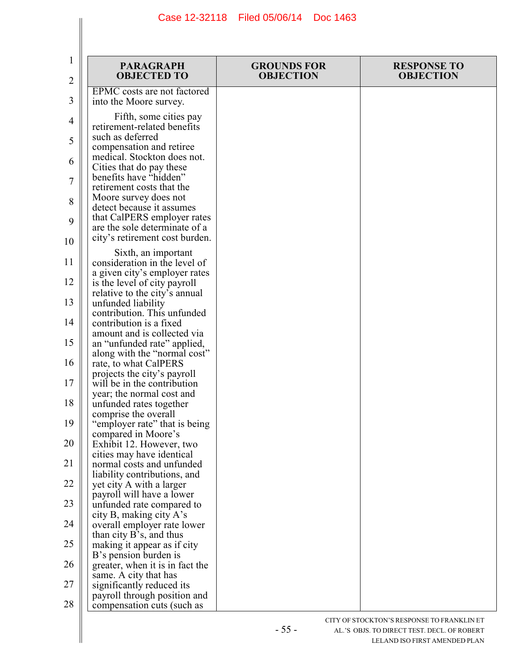| 1<br>$\overline{2}$ | <b>PARAGRAPH</b><br><b>OBJECTED TO</b>                                            | <b>GROUNDS FOR</b><br><b>OBJECTION</b> | <b>RESPONSE TO</b><br><b>OBJECTION</b> |
|---------------------|-----------------------------------------------------------------------------------|----------------------------------------|----------------------------------------|
| 3                   | EPMC costs are not factored<br>into the Moore survey.                             |                                        |                                        |
| 4                   | Fifth, some cities pay<br>retirement-related benefits                             |                                        |                                        |
| 5                   | such as deferred<br>compensation and retiree                                      |                                        |                                        |
| 6                   | medical. Stockton does not.<br>Cities that do pay these                           |                                        |                                        |
| 7                   | benefits have "hidden"<br>retirement costs that the                               |                                        |                                        |
| 8                   | Moore survey does not<br>detect because it assumes<br>that CalPERS employer rates |                                        |                                        |
| 9<br>10             | are the sole determinate of a<br>city's retirement cost burden.                   |                                        |                                        |
| 11                  | Sixth, an important<br>consideration in the level of                              |                                        |                                        |
| 12                  | a given city's employer rates<br>is the level of city payroll                     |                                        |                                        |
| 13                  | relative to the city's annual<br>unfunded liability                               |                                        |                                        |
| 14                  | contribution. This unfunded<br>contribution is a fixed                            |                                        |                                        |
| 15                  | amount and is collected via<br>an "unfunded rate" applied,                        |                                        |                                        |
| 16                  | along with the "normal cost"<br>rate, to what CalPERS                             |                                        |                                        |
| 17                  | projects the city's payroll<br>will be in the contribution                        |                                        |                                        |
| 18                  | year; the normal cost and<br>unfunded rates together                              |                                        |                                        |
| 19                  | comprise the overall<br>"employer rate" that is being                             |                                        |                                        |
| 20                  | compared in Moore's<br>Exhibit 12. However, two                                   |                                        |                                        |
| 21                  | cities may have identical<br>normal costs and unfunded                            |                                        |                                        |
| 22                  | liability contributions, and<br>yet city A with a larger                          |                                        |                                        |
| 23                  | payroll will have a lower<br>unfunded rate compared to                            |                                        |                                        |
| 24                  | city B, making city A's<br>overall employer rate lower                            |                                        |                                        |
| 25                  | than city B's, and thus<br>making it appear as if city                            |                                        |                                        |
| 26                  | B's pension burden is<br>greater, when it is in fact the                          |                                        |                                        |
| 27                  | same. A city that has<br>significantly reduced its                                |                                        |                                        |
| 28                  | payroll through position and<br>compensation cuts (such as                        |                                        |                                        |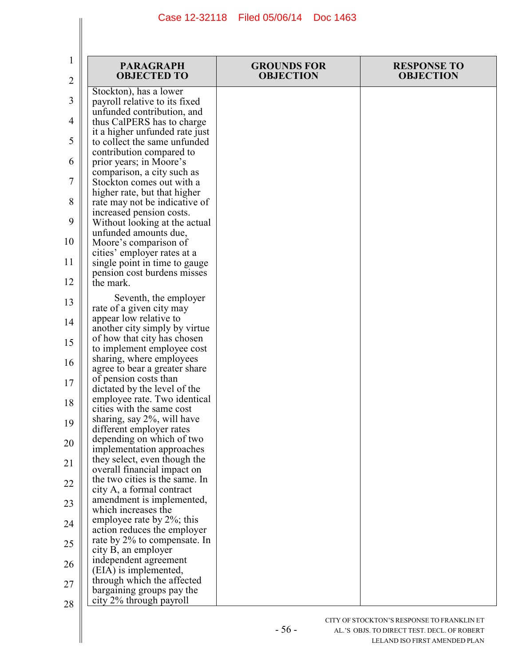|    | <b>PARAGRAPH</b>                                              | <b>GROUNDS FOR</b> | <b>RESPONSE TO</b> |
|----|---------------------------------------------------------------|--------------------|--------------------|
| 2  | <b>OBJECTED TO</b>                                            | <b>OBJECTION</b>   | <b>OBJECTION</b>   |
| 3  | Stockton), has a lower<br>payroll relative to its fixed       |                    |                    |
| 4  | unfunded contribution, and<br>thus CalPERS has to charge      |                    |                    |
|    | it a higher unfunded rate just                                |                    |                    |
| 5  | to collect the same unfunded<br>contribution compared to      |                    |                    |
| 6  | prior years; in Moore's<br>comparison, a city such as         |                    |                    |
| 7  | Stockton comes out with a                                     |                    |                    |
| 8  | higher rate, but that higher<br>rate may not be indicative of |                    |                    |
| 9  | increased pension costs.<br>Without looking at the actual     |                    |                    |
| 10 | unfunded amounts due,                                         |                    |                    |
|    | Moore's comparison of<br>cities' employer rates at a          |                    |                    |
| 11 | single point in time to gauge<br>pension cost burdens misses  |                    |                    |
| 12 | the mark.                                                     |                    |                    |
| 13 | Seventh, the employer<br>rate of a given city may             |                    |                    |
| 14 | appear low relative to<br>another city simply by virtue       |                    |                    |
| 15 | of how that city has chosen                                   |                    |                    |
| 16 | to implement employee cost<br>sharing, where employees        |                    |                    |
|    | agree to bear a greater share<br>of pension costs than        |                    |                    |
| 17 | dictated by the level of the                                  |                    |                    |
| 18 | employee rate. Two identical<br>cities with the same cost     |                    |                    |
| 19 | sharing, say 2%, will have<br>different employer rates        |                    |                    |
| 20 | depending on which of two<br>implementation approaches        |                    |                    |
| 21 | they select, even though the                                  |                    |                    |
| 22 | overall financial impact on<br>the two cities is the same. In |                    |                    |
|    | city A, a formal contract<br>amendment is implemented,        |                    |                    |
| 23 | which increases the<br>employee rate by 2%; this              |                    |                    |
| 24 | action reduces the employer                                   |                    |                    |
| 25 | rate by 2% to compensate. In<br>city B, an employer           |                    |                    |
| 26 | independent agreement<br>(EIA) is implemented,                |                    |                    |
| 27 | through which the affected                                    |                    |                    |
| 28 | bargaining groups pay the<br>city 2% through payroll          |                    |                    |

- 56 -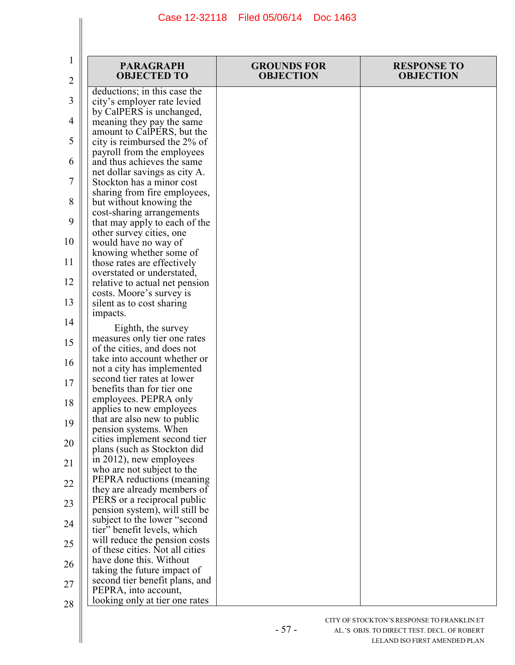| 1<br>2   | <b>PARAGRAPH</b><br><b>OBJECTED TO</b>                                                      | <b>GROUNDS FOR</b><br><b>OBJECTION</b> | <b>RESPONSE TO</b><br><b>OBJECTION</b> |
|----------|---------------------------------------------------------------------------------------------|----------------------------------------|----------------------------------------|
| 3        | deductions; in this case the<br>city's employer rate levied                                 |                                        |                                        |
| 4        | by CalPERS is unchanged,<br>meaning they pay the same                                       |                                        |                                        |
| 5        | amount to CalPERS, but the<br>city is reimbursed the 2% of                                  |                                        |                                        |
| 6        | payroll from the employees<br>and thus achieves the same                                    |                                        |                                        |
| 7        | net dollar savings as city A.<br>Stockton has a minor cost                                  |                                        |                                        |
| 8        | sharing from fire employees,<br>but without knowing the<br>cost-sharing arrangements        |                                        |                                        |
| 9        | that may apply to each of the<br>other survey cities, one                                   |                                        |                                        |
| 10       | would have no way of<br>knowing whether some of                                             |                                        |                                        |
| 11       | those rates are effectively<br>overstated or understated,                                   |                                        |                                        |
| 12       | relative to actual net pension<br>costs. Moore's survey is                                  |                                        |                                        |
| 13       | silent as to cost sharing<br>impacts.                                                       |                                        |                                        |
| 14<br>15 | Eighth, the survey<br>measures only tier one rates                                          |                                        |                                        |
| 16       | of the cities, and does not<br>take into account whether or                                 |                                        |                                        |
| 17       | not a city has implemented<br>second tier rates at lower                                    |                                        |                                        |
| 18       | benefits than for tier one<br>employees. PEPRA only                                         |                                        |                                        |
| 19       | applies to new employees<br>that are also new to public<br>pension systems. When            |                                        |                                        |
| 20       | cities implement second tier<br>plans (such as Stockton did                                 |                                        |                                        |
| 21       | in 2012), new employees<br>who are not subject to the                                       |                                        |                                        |
| 22       | PEPRA reductions (meaning)<br>they are already members of                                   |                                        |                                        |
| 23       | PERS or a reciprocal public<br>pension system), will still be                               |                                        |                                        |
| 24       | subject to the lower "second"<br>tier" benefit levels, which                                |                                        |                                        |
| 25       | will reduce the pension costs<br>of these cities. Not all cities<br>have done this. Without |                                        |                                        |
| 26       | taking the future impact of<br>second tier benefit plans, and                               |                                        |                                        |
| 27<br>28 | PEPRA, into account,<br>looking only at tier one rates                                      |                                        |                                        |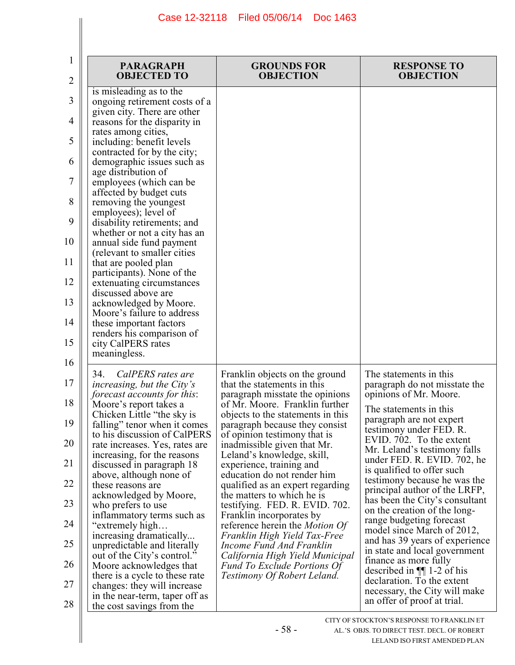| 2  | <b>PARAGRAPH</b><br><b>OBJECTED TO</b>                           | <b>GROUNDS FOR</b><br><b>OBJECTION</b>                                | <b>RESPONSE TO</b><br><b>OBJECTION</b>                          |
|----|------------------------------------------------------------------|-----------------------------------------------------------------------|-----------------------------------------------------------------|
| 3  | is misleading as to the<br>ongoing retirement costs of a         |                                                                       |                                                                 |
| 4  | given city. There are other<br>reasons for the disparity in      |                                                                       |                                                                 |
| 5  | rates among cities,<br>including: benefit levels                 |                                                                       |                                                                 |
| 6  | contracted for by the city;<br>demographic issues such as        |                                                                       |                                                                 |
| 7  | age distribution of<br>employees (which can be                   |                                                                       |                                                                 |
| 8  | affected by budget cuts<br>removing the youngest                 |                                                                       |                                                                 |
| 9  | employees); level of<br>disability retirements; and              |                                                                       |                                                                 |
| 10 | whether or not a city has an<br>annual side fund payment         |                                                                       |                                                                 |
| 11 | (relevant to smaller cities)<br>that are pooled plan             |                                                                       |                                                                 |
| 12 | participants). None of the<br>extenuating circumstances          |                                                                       |                                                                 |
| 13 | discussed above are<br>acknowledged by Moore.                    |                                                                       |                                                                 |
| 14 | Moore's failure to address<br>these important factors            |                                                                       |                                                                 |
| 15 | renders his comparison of<br>city CalPERS rates<br>meaningless.  |                                                                       |                                                                 |
| 16 | CalPERS rates are<br>34.                                         | Franklin objects on the ground                                        | The statements in this                                          |
| 17 | increasing, but the City's<br><i>forecast accounts for this:</i> | that the statements in this<br>paragraph misstate the opinions        | paragraph do not misstate the<br>opinions of Mr. Moore.         |
| 18 | Moore's report takes a<br>Chicken Little "the sky is             | of Mr. Moore. Franklin further<br>objects to the statements in this   | The statements in this                                          |
| 19 | falling" tenor when it comes<br>to his discussion of CalPERS     | paragraph because they consist<br>of opinion testimony that is        | paragraph are not expert<br>testimony under FED. R.             |
| 20 | rate increases. Yes, rates are<br>increasing, for the reasons    | inadmissible given that Mr.<br>Leland's knowledge, skill,             | EVID. 702. To the extent<br>Mr. Leland's testimony falls        |
| 21 | discussed in paragraph 18<br>above, although none of             | experience, training and<br>education do not render him               | under FED. R. EVID. 702, he<br>is qualified to offer such       |
| 22 | these reasons are<br>acknowledged by Moore,                      | qualified as an expert regarding<br>the matters to which he is        | testimony because he was the<br>principal author of the LRFP,   |
| 23 | who prefers to use<br>inflammatory terms such as                 | testifying. FED. R. EVID. 702.<br>Franklin incorporates by            | has been the City's consultant<br>on the creation of the long-  |
| 24 | "extremely high<br>increasing dramatically                       | reference herein the <i>Motion Of</i><br>Franklin High Yield Tax-Free | range budgeting forecast<br>model since March of 2012,          |
| 25 | unpredictable and literally<br>out of the City's control."       | Income Fund And Franklin<br>California High Yield Municipal           | and has 39 years of experience<br>in state and local government |
| 26 | Moore acknowledges that<br>there is a cycle to these rate        | <b>Fund To Exclude Portions Of</b><br>Testimony Of Robert Leland.     | finance as more fully<br>described in $\P$ 1-2 of his           |
| 27 | changes: they will increase<br>in the near-term, taper off as    |                                                                       | declaration. To the extent<br>necessary, the City will make     |
| 28 | the cost savings from the                                        |                                                                       | an offer of proof at trial.                                     |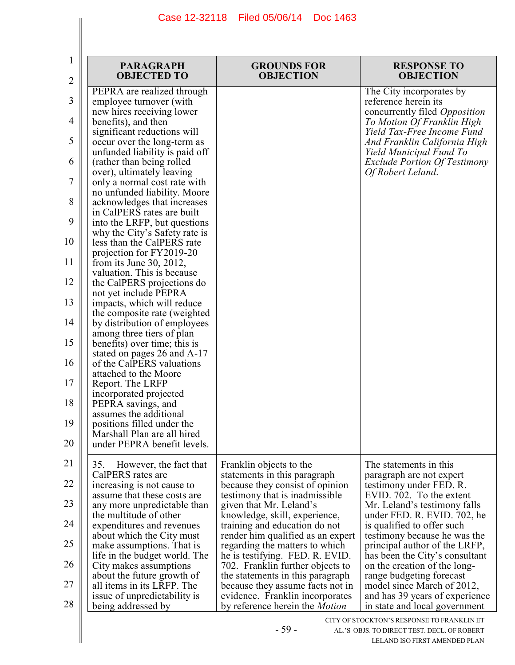| 1<br>2 | <b>PARAGRAPH</b><br><b>OBJECTED TO</b>                                             | <b>GROUNDS FOR</b><br><b>OBJECTION</b>                                   | <b>RESPONSE TO</b><br><b>OBJECTION</b>                                            |
|--------|------------------------------------------------------------------------------------|--------------------------------------------------------------------------|-----------------------------------------------------------------------------------|
| 3      | PEPRA are realized through<br>employee turnover (with<br>new hires receiving lower |                                                                          | The City incorporates by<br>reference herein its<br>concurrently filed Opposition |
| 4      | benefits), and then                                                                |                                                                          | To Motion Of Franklin High                                                        |
| 5      | significant reductions will<br>occur over the long-term as                         |                                                                          | Yield Tax-Free Income Fund<br>And Franklin California High                        |
| 6      | unfunded liability is paid off<br>(rather than being rolled)                       |                                                                          | Yield Municipal Fund To<br><b>Exclude Portion Of Testimony</b>                    |
| 7      | over), ultimately leaving<br>only a normal cost rate with                          |                                                                          | Of Robert Leland.                                                                 |
| 8      | no unfunded liability. Moore<br>acknowledges that increases                        |                                                                          |                                                                                   |
| 9      | in CalPERS rates are built<br>into the LRFP, but questions                         |                                                                          |                                                                                   |
| 10     | why the City's Safety rate is<br>less than the CalPERS rate                        |                                                                          |                                                                                   |
| 11     | projection for FY2019-20                                                           |                                                                          |                                                                                   |
|        | from its June 30, 2012,<br>valuation. This is because                              |                                                                          |                                                                                   |
| 12     | the CalPERS projections do<br>not yet include PEPRA                                |                                                                          |                                                                                   |
| 13     | impacts, which will reduce<br>the composite rate (weighted)                        |                                                                          |                                                                                   |
| 14     | by distribution of employees<br>among three tiers of plan                          |                                                                          |                                                                                   |
| 15     | benefits) over time; this is<br>stated on pages 26 and A-17                        |                                                                          |                                                                                   |
| 16     | of the CalPERS valuations<br>attached to the Moore                                 |                                                                          |                                                                                   |
| 17     | Report. The LRFP                                                                   |                                                                          |                                                                                   |
| 18     | incorporated projected<br>PEPRA savings, and                                       |                                                                          |                                                                                   |
| 19     | assumes the additional<br>positions filled under the                               |                                                                          |                                                                                   |
| 20     | Marshall Plan are all hired<br>under PEPRA benefit levels.                         |                                                                          |                                                                                   |
| 21     | 35.<br>However, the fact that                                                      | Franklin objects to the                                                  | The statements in this                                                            |
| 22     | CalPERS rates are<br>increasing is not cause to                                    | statements in this paragraph<br>because they consist of opinion          | paragraph are not expert<br>testimony under FED. R.                               |
| 23     | assume that these costs are<br>any more unpredictable than                         | testimony that is inadmissible.<br>given that Mr. Leland's               | EVID. 702. To the extent<br>Mr. Leland's testimony falls                          |
| 24     | the multitude of other<br>expenditures and revenues                                | knowledge, skill, experience,<br>training and education do not           | under FED. R. EVID. 702, he<br>is qualified to offer such                         |
| 25     | about which the City must<br>make assumptions. That is                             | render him qualified as an expert<br>regarding the matters to which      | testimony because he was the<br>principal author of the LRFP,                     |
| 26     | life in the budget world. The<br>City makes assumptions                            | he is testifying. FED. R. EVID.<br>702. Franklin further objects to      | has been the City's consultant<br>on the creation of the long-                    |
| 27     | about the future growth of<br>all items in its LRFP. The                           | the statements in this paragraph<br>because they assume facts not in     | range budgeting forecast<br>model since March of 2012,                            |
| 28     | issue of unpredictability is<br>being addressed by                                 | evidence. Franklin incorporates<br>by reference herein the <i>Motion</i> | and has 39 years of experience<br>in state and local government                   |
|        |                                                                                    |                                                                          | CITY OF STOCKTON'S RESPONSE TO FRANKLIN ET                                        |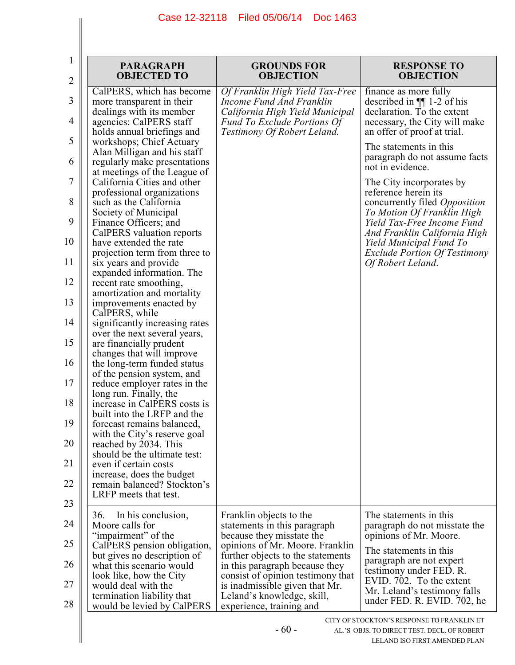| 1<br>$\overline{2}$ | <b>PARAGRAPH</b><br><b>OBJECTED TO</b>                                              | <b>GROUNDS FOR</b><br><b>OBJECTION</b>                                                         | <b>RESPONSE TO</b><br><b>OBJECTION</b>                                                                                     |
|---------------------|-------------------------------------------------------------------------------------|------------------------------------------------------------------------------------------------|----------------------------------------------------------------------------------------------------------------------------|
| 3                   | CalPERS, which has become<br>more transparent in their<br>dealings with its member  | Of Franklin High Yield Tax-Free<br>Income Fund And Franklin<br>California High Yield Municipal | finance as more fully<br>described in $\P$ 1-2 of his<br>declaration. To the extent                                        |
| 4                   | agencies: CalPERS staff<br>holds annual briefings and                               | <b>Fund To Exclude Portions Of</b><br>Testimony Of Robert Leland.                              | necessary, the City will make<br>an offer of proof at trial.                                                               |
| 5                   | workshops; Chief Actuary<br>Alan Milligan and his staff                             |                                                                                                | The statements in this<br>paragraph do not assume facts                                                                    |
| 6<br>7              | regularly make presentations<br>at meetings of the League of                        |                                                                                                | not in evidence.                                                                                                           |
| 8                   | California Cities and other<br>professional organizations<br>such as the California |                                                                                                | The City incorporates by<br>reference herein its<br>concurrently filed Opposition                                          |
| 9                   | Society of Municipal<br>Finance Officers; and                                       |                                                                                                | To Motion Of Franklin High<br>Yield Tax-Free Income Fund                                                                   |
| 10                  | CalPERS valuation reports<br>have extended the rate                                 |                                                                                                | And Franklin California High<br>Yield Municipal Fund To                                                                    |
| 11                  | projection term from three to<br>six years and provide<br>expanded information. The |                                                                                                | <b>Exclude Portion Of Testimony</b><br>Of Robert Leland.                                                                   |
| 12                  | recent rate smoothing,<br>amortization and mortality                                |                                                                                                |                                                                                                                            |
| 13                  | improvements enacted by<br>CalPERS, while                                           |                                                                                                |                                                                                                                            |
| 14                  | significantly increasing rates<br>over the next several years,                      |                                                                                                |                                                                                                                            |
| 15                  | are financially prudent<br>changes that will improve                                |                                                                                                |                                                                                                                            |
| 16                  | the long-term funded status<br>of the pension system, and                           |                                                                                                |                                                                                                                            |
| 17                  | reduce employer rates in the<br>long run. Finally, the                              |                                                                                                |                                                                                                                            |
| 18                  | increase in CalPERS costs is<br>built into the LRFP and the                         |                                                                                                |                                                                                                                            |
| 19                  | forecast remains balanced,<br>with the City's reserve goal                          |                                                                                                |                                                                                                                            |
| 20                  | reached by 2034. This<br>should be the ultimate test:                               |                                                                                                |                                                                                                                            |
| 21                  | even if certain costs<br>increase, does the budget                                  |                                                                                                |                                                                                                                            |
| 22<br>23            | remain balanced? Stockton's<br>LRFP meets that test.                                |                                                                                                |                                                                                                                            |
| 24                  | 36.<br>In his conclusion,<br>Moore calls for                                        | Franklin objects to the                                                                        | The statements in this                                                                                                     |
| 25                  | "impairment" of the<br>CalPERS pension obligation,                                  | statements in this paragraph<br>because they misstate the<br>opinions of Mr. Moore. Franklin   | paragraph do not misstate the<br>opinions of Mr. Moore.                                                                    |
| 26                  | but gives no description of<br>what this scenario would                             | further objects to the statements<br>in this paragraph because they                            | The statements in this<br>paragraph are not expert                                                                         |
| 27                  | look like, how the City<br>would deal with the                                      | consist of opinion testimony that<br>is inadmissible given that Mr.                            | testimony under FED. R.<br>EVID. 702. To the extent                                                                        |
| 28                  | termination liability that<br>would be levied by CalPERS                            | Leland's knowledge, skill,<br>experience, training and                                         | Mr. Leland's testimony falls<br>under FED. R. EVID. 702, he                                                                |
|                     |                                                                                     | $-60-$                                                                                         | CITY OF STOCKTON'S RESPONSE TO FRANKLIN ET<br>AL.'S OBJS. TO DIRECT TEST. DECL. OF ROBERT<br>LELAND ISO FIRST AMENDED PLAN |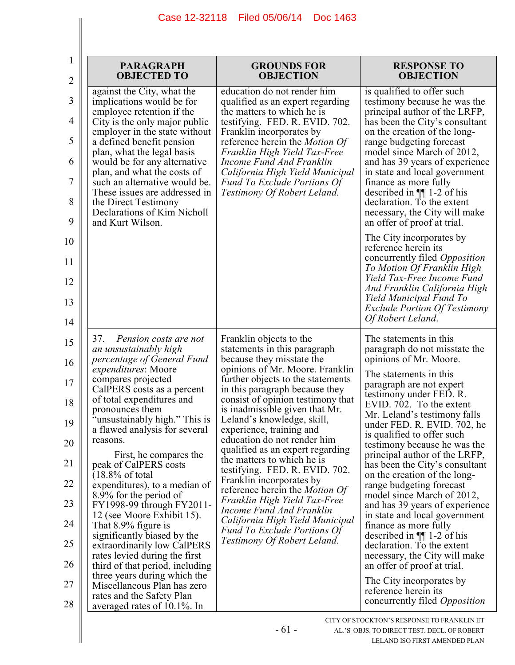| 1              | <b>PARAGRAPH</b>                                                              | <b>GROUNDS FOR</b>                                                                                | <b>RESPONSE TO</b>                                                                         |
|----------------|-------------------------------------------------------------------------------|---------------------------------------------------------------------------------------------------|--------------------------------------------------------------------------------------------|
| $\overline{2}$ | <b>OBJECTED TO</b>                                                            | <b>OBJECTION</b>                                                                                  | <b>OBJECTION</b>                                                                           |
| 3              | against the City, what the                                                    | education do not render him                                                                       | is qualified to offer such                                                                 |
|                | implications would be for                                                     | qualified as an expert regarding                                                                  | testimony because he was the                                                               |
| 4              | employee retention if the                                                     | the matters to which he is                                                                        | principal author of the LRFP,                                                              |
|                | City is the only major public                                                 | testifying. FED. R. EVID. 702.                                                                    | has been the City's consultant                                                             |
| 5              | employer in the state without                                                 | Franklin incorporates by                                                                          | on the creation of the long-                                                               |
|                | a defined benefit pension                                                     | reference herein the <i>Motion Of</i>                                                             | range budgeting forecast                                                                   |
| 6              | plan, what the legal basis                                                    | Franklin High Yield Tax-Free                                                                      | model since March of 2012,                                                                 |
|                | would be for any alternative                                                  | Income Fund And Franklin                                                                          | and has 39 years of experience                                                             |
| 7              | plan, and what the costs of                                                   | California High Yield Municipal                                                                   | in state and local government                                                              |
|                | such an alternative would be.                                                 | Fund To Exclude Portions Of                                                                       | finance as more fully                                                                      |
|                | These issues are addressed in                                                 | Testimony Of Robert Leland.                                                                       | described in $\P$ 1-2 of his                                                               |
| 8<br>9         | the Direct Testimony<br>Declarations of Kim Nicholl<br>and Kurt Wilson.       |                                                                                                   | declaration. To the extent<br>necessary, the City will make<br>an offer of proof at trial. |
| 10             |                                                                               |                                                                                                   | The City incorporates by<br>reference herein its                                           |
| 11             |                                                                               |                                                                                                   | concurrently filed <i>Opposition</i><br>To Motion Of Franklin High                         |
| 12             |                                                                               |                                                                                                   | Yield Tax-Free Income Fund<br>And Franklin California High                                 |
| 13<br>14       |                                                                               |                                                                                                   | Yield Municipal Fund To<br><b>Exclude Portion Of Testimony</b><br>Of Robert Leland.        |
| 15             | 37.<br>Pension costs are not<br>an unsustainably high                         | Franklin objects to the<br>statements in this paragraph                                           | The statements in this<br>paragraph do not misstate the                                    |
| 16             | percentage of General Fund                                                    | because they misstate the                                                                         | opinions of Mr. Moore.                                                                     |
|                | <i>expenditures:</i> Moore                                                    | opinions of Mr. Moore. Franklin                                                                   | The statements in this                                                                     |
| 17             | compares projected                                                            | further objects to the statements                                                                 | paragraph are not expert                                                                   |
|                | CalPERS costs as a percent                                                    | in this paragraph because they                                                                    | testimony under FED. R.                                                                    |
| 18             | of total expenditures and<br>pronounces them<br>"unsustainably high." This is | consist of opinion testimony that<br>is inadmissible given that Mr.<br>Leland's knowledge, skill, | EVID. 702. To the extent<br>Mr. Leland's testimony falls                                   |
| 19             | a flawed analysis for several                                                 | experience, training and                                                                          | under FED. R. EVID. 702, he                                                                |
|                | reasons.                                                                      | education do not render him                                                                       | is qualified to offer such                                                                 |
| 20             | First, he compares the                                                        | qualified as an expert regarding<br>the matters to which he is                                    | testimony because he was the<br>principal author of the LRFP,                              |
| 21             | peak of CalPERS costs                                                         | testifying. FED. R. EVID. 702.                                                                    | has been the City's consultant                                                             |
|                | $(18.8\% \text{ of total})$                                                   | Franklin incorporates by                                                                          | on the creation of the long-                                                               |
| 22             | expenditures), to a median of                                                 | reference herein the <i>Motion Of</i>                                                             | range budgeting forecast                                                                   |
|                | 8.9% for the period of                                                        | Franklin High Yield Tax-Free                                                                      | model since March of 2012,                                                                 |
| 23             | FY1998-99 through FY2011-                                                     | Income Fund And Franklin                                                                          | and has 39 years of experience                                                             |
|                | 12 (see Moore Exhibit 15).                                                    | California High Yield Municipal                                                                   | in state and local government                                                              |
| 24             | That 8.9% figure is                                                           | <b>Fund To Exclude Portions Of</b>                                                                | finance as more fully                                                                      |
|                | significantly biased by the                                                   | Testimony Of Robert Leland.                                                                       | described in $\P$ 1-2 of his                                                               |
| 25             | extraordinarily low CalPERS<br>rates levied during the first                  |                                                                                                   | declaration. To the extent<br>necessary, the City will make                                |
| 26             | third of that period, including<br>three years during which the               |                                                                                                   | an offer of proof at trial.<br>The City incorporates by                                    |
| 27             | Miscellaneous Plan has zero<br>rates and the Safety Plan                      |                                                                                                   | reference herein its                                                                       |
| 28             | averaged rates of 10.1%. In                                                   |                                                                                                   | concurrently filed <i>Opposition</i>                                                       |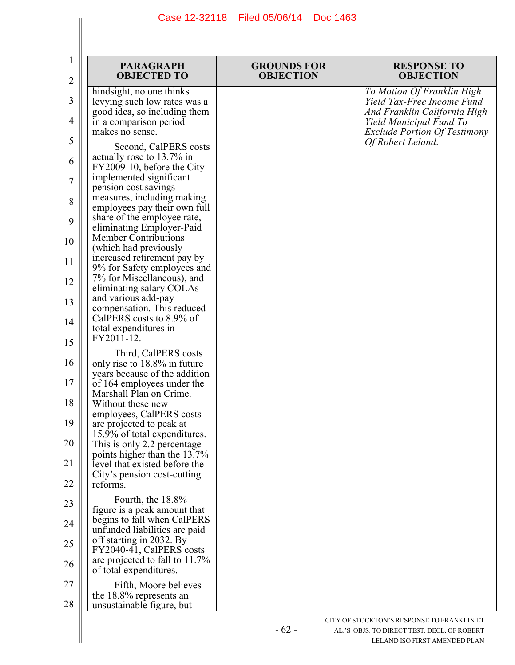| 1<br>$\overline{c}$ | <b>PARAGRAPH</b><br><b>OBJECTED TO</b>                                                      | <b>GROUNDS FOR</b><br><b>OBJECTION</b> | <b>RESPONSE TO</b><br><b>OBJECTION</b>                                                         |
|---------------------|---------------------------------------------------------------------------------------------|----------------------------------------|------------------------------------------------------------------------------------------------|
| 3                   | hindsight, no one thinks<br>levying such low rates was a                                    |                                        | To Motion Of Franklin High<br>Yield Tax-Free Income Fund                                       |
| 4                   | good idea, so including them<br>in a comparison period<br>makes no sense.                   |                                        | And Franklin California High<br>Yield Municipal Fund To<br><b>Exclude Portion Of Testimony</b> |
| 5                   | Second, CalPERS costs                                                                       |                                        | Of Robert Leland.                                                                              |
| 6                   | actually rose to 13.7% in<br>FY2009-10, before the City                                     |                                        |                                                                                                |
| 7                   | implemented significant<br>pension cost savings                                             |                                        |                                                                                                |
| 8                   | measures, including making<br>employees pay their own full                                  |                                        |                                                                                                |
| 9                   | share of the employee rate,<br>eliminating Employer-Paid<br><b>Member Contributions</b>     |                                        |                                                                                                |
| 10                  | (which had previously<br>increased retirement pay by                                        |                                        |                                                                                                |
| 11                  | 9% for Safety employees and<br>7% for Miscellaneous), and                                   |                                        |                                                                                                |
| 12                  | eliminating salary COLAs<br>and various add-pay                                             |                                        |                                                                                                |
| 13                  | compensation. This reduced<br>CalPERS costs to 8.9% of                                      |                                        |                                                                                                |
| 14<br>15            | total expenditures in<br>FY2011-12.                                                         |                                        |                                                                                                |
| 16                  | Third, CalPERS costs                                                                        |                                        |                                                                                                |
| 17                  | only rise to 18.8% in future<br>years because of the addition<br>of 164 employees under the |                                        |                                                                                                |
| 18                  | Marshall Plan on Crime.<br>Without these new                                                |                                        |                                                                                                |
| 19                  | employees, CalPERS costs                                                                    |                                        |                                                                                                |
| 20                  | are projected to peak at<br>15.9% of total expenditures.                                    |                                        |                                                                                                |
|                     | This is only 2.2 percentage<br>points higher than the 13.7%                                 |                                        |                                                                                                |
| 21                  | level that existed before the<br>City's pension cost-cutting                                |                                        |                                                                                                |
| 22                  | reforms.<br>Fourth, the 18.8%                                                               |                                        |                                                                                                |
| 23                  | figure is a peak amount that<br>begins to fall when CalPERS                                 |                                        |                                                                                                |
| 24                  | unfunded liabilities are paid<br>off starting in 2032. By                                   |                                        |                                                                                                |
| 25                  | FY2040-41, CalPERS costs<br>are projected to fall to 11.7%                                  |                                        |                                                                                                |
| 26                  | of total expenditures.                                                                      |                                        |                                                                                                |
| 27                  | Fifth, Moore believes<br>the 18.8% represents an                                            |                                        |                                                                                                |
| 28                  | unsustainable figure, but                                                                   |                                        |                                                                                                |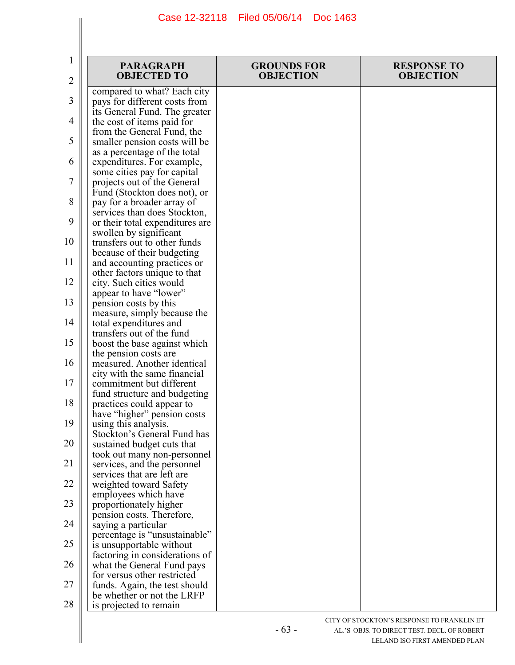| 1  | <b>PARAGRAPH</b>                                               | <b>GROUNDS FOR</b> | <b>RESPONSE TO</b> |
|----|----------------------------------------------------------------|--------------------|--------------------|
| 2  | <b>OBJECTED TO</b>                                             | <b>OBJECTION</b>   | <b>OBJECTION</b>   |
| 3  | compared to what? Each city                                    |                    |                    |
|    | pays for different costs from<br>its General Fund. The greater |                    |                    |
| 4  | the cost of items paid for                                     |                    |                    |
|    | from the General Fund, the                                     |                    |                    |
| 5  | smaller pension costs will be                                  |                    |                    |
|    | as a percentage of the total                                   |                    |                    |
| 6  | expenditures. For example,                                     |                    |                    |
|    | some cities pay for capital                                    |                    |                    |
| 7  | projects out of the General                                    |                    |                    |
|    | Fund (Stockton does not), or                                   |                    |                    |
| 8  | pay for a broader array of                                     |                    |                    |
|    | services than does Stockton,                                   |                    |                    |
| 9  | or their total expenditures are                                |                    |                    |
| 10 | swollen by significant<br>transfers out to other funds         |                    |                    |
|    | because of their budgeting                                     |                    |                    |
| 11 | and accounting practices or                                    |                    |                    |
|    | other factors unique to that                                   |                    |                    |
| 12 | city. Such cities would                                        |                    |                    |
|    | appear to have "lower"                                         |                    |                    |
| 13 | pension costs by this                                          |                    |                    |
|    | measure, simply because the                                    |                    |                    |
| 14 | total expenditures and                                         |                    |                    |
| 15 | transfers out of the fund<br>boost the base against which      |                    |                    |
|    | the pension costs are                                          |                    |                    |
| 16 | measured. Another identical                                    |                    |                    |
|    | city with the same financial                                   |                    |                    |
| 17 | commitment but different                                       |                    |                    |
|    | fund structure and budgeting                                   |                    |                    |
| 18 | practices could appear to                                      |                    |                    |
| 19 | have "higher" pension costs                                    |                    |                    |
|    | using this analysis.<br>Stockton's General Fund has            |                    |                    |
| 20 | sustained budget cuts that                                     |                    |                    |
|    | took out many non-personnel                                    |                    |                    |
| 21 | services, and the personnel                                    |                    |                    |
|    | services that are left are                                     |                    |                    |
| 22 | weighted toward Safety                                         |                    |                    |
|    | employees which have                                           |                    |                    |
| 23 | proportionately higher                                         |                    |                    |
| 24 | pension costs. Therefore,                                      |                    |                    |
|    | saying a particular<br>percentage is "unsustainable"           |                    |                    |
| 25 | is unsupportable without                                       |                    |                    |
|    | factoring in considerations of                                 |                    |                    |
| 26 | what the General Fund pays                                     |                    |                    |
|    | for versus other restricted                                    |                    |                    |
| 27 | funds. Again, the test should                                  |                    |                    |
|    | be whether or not the LRFP                                     |                    |                    |
| 28 | is projected to remain                                         |                    |                    |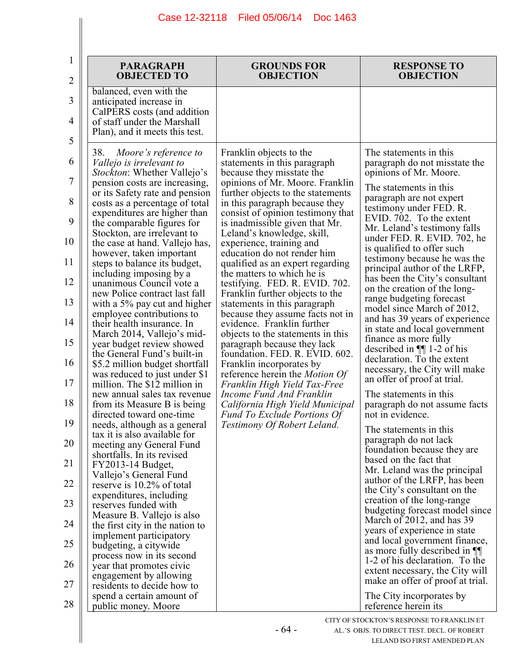|                                                                                                                                                                                                                                                                                                                                                                                                                                                                                                                                                                                                                                                                                                                                                                                                                                                                                                                                                                                                                                                                                                                                                                                                                                                                                                                                                                                                              | <b>OBJECTION</b>                                                                                                                                                                                                                                                                                                                                                                                                                                                                                                                                                                                                                                                                                                                                                                                                                                                                                                                                       | <b>OBJECTION</b>                                                                                                                                                                                                                                                                                                                                                                                                                                                                                                                                                                                                                                                                                                                                                                                                                                                                                                                                                                                                                                                                                                                                                                                                                                                                                                                                          |
|--------------------------------------------------------------------------------------------------------------------------------------------------------------------------------------------------------------------------------------------------------------------------------------------------------------------------------------------------------------------------------------------------------------------------------------------------------------------------------------------------------------------------------------------------------------------------------------------------------------------------------------------------------------------------------------------------------------------------------------------------------------------------------------------------------------------------------------------------------------------------------------------------------------------------------------------------------------------------------------------------------------------------------------------------------------------------------------------------------------------------------------------------------------------------------------------------------------------------------------------------------------------------------------------------------------------------------------------------------------------------------------------------------------|--------------------------------------------------------------------------------------------------------------------------------------------------------------------------------------------------------------------------------------------------------------------------------------------------------------------------------------------------------------------------------------------------------------------------------------------------------------------------------------------------------------------------------------------------------------------------------------------------------------------------------------------------------------------------------------------------------------------------------------------------------------------------------------------------------------------------------------------------------------------------------------------------------------------------------------------------------|-----------------------------------------------------------------------------------------------------------------------------------------------------------------------------------------------------------------------------------------------------------------------------------------------------------------------------------------------------------------------------------------------------------------------------------------------------------------------------------------------------------------------------------------------------------------------------------------------------------------------------------------------------------------------------------------------------------------------------------------------------------------------------------------------------------------------------------------------------------------------------------------------------------------------------------------------------------------------------------------------------------------------------------------------------------------------------------------------------------------------------------------------------------------------------------------------------------------------------------------------------------------------------------------------------------------------------------------------------------|
| balanced, even with the<br>anticipated increase in<br>CalPERS costs (and addition<br>of staff under the Marshall<br>Plan), and it meets this test.                                                                                                                                                                                                                                                                                                                                                                                                                                                                                                                                                                                                                                                                                                                                                                                                                                                                                                                                                                                                                                                                                                                                                                                                                                                           |                                                                                                                                                                                                                                                                                                                                                                                                                                                                                                                                                                                                                                                                                                                                                                                                                                                                                                                                                        |                                                                                                                                                                                                                                                                                                                                                                                                                                                                                                                                                                                                                                                                                                                                                                                                                                                                                                                                                                                                                                                                                                                                                                                                                                                                                                                                                           |
| 38.<br>Moore's reference to<br><i>Vallejo is irrelevant to</i><br><i>Stockton</i> : Whether Vallejo's<br>pension costs are increasing,<br>or its Safety rate and pension<br>costs as a percentage of total<br>expenditures are higher than<br>the comparable figures for<br>Stockton, are irrelevant to<br>the case at hand. Vallejo has,<br>however, taken important<br>steps to balance its budget,<br>including imposing by a<br>unanimous Council vote a<br>new Police contract last fall<br>with a 5% pay cut and higher<br>employee contributions to<br>their health insurance. In<br>March 2014, Vallejo's mid-<br>year budget review showed<br>the General Fund's built-in<br>\$5.2 million budget shortfall<br>was reduced to just under \$1<br>million. The \$12 million in<br>new annual sales tax revenue<br>from its Measure B is being<br>directed toward one-time<br>needs, although as a general<br>tax it is also available for<br>meeting any General Fund<br>shortfalls. In its revised<br>FY2013-14 Budget,<br>Vallejo's General Fund<br>reserve is 10.2% of total<br>expenditures, including<br>reserves funded with<br>Measure B. Vallejo is also<br>the first city in the nation to<br>implement participatory<br>budgeting, a citywide<br>process now in its second<br>year that promotes civic<br>engagement by allowing<br>residents to decide how to<br>spend a certain amount of | Franklin objects to the<br>statements in this paragraph<br>because they misstate the<br>opinions of Mr. Moore. Franklin<br>further objects to the statements<br>in this paragraph because they<br>consist of opinion testimony that<br>is inadmissible given that Mr.<br>Leland's knowledge, skill,<br>experience, training and<br>education do not render him<br>qualified as an expert regarding<br>the matters to which he is<br>testifying. FED. R. EVID. 702.<br>Franklin further objects to the<br>statements in this paragraph<br>because they assume facts not in<br>evidence. Franklin further<br>objects to the statements in this<br>paragraph because they lack<br>foundation. FED. R. EVID. 602.<br>Franklin incorporates by<br>reference herein the <i>Motion Of</i><br>Franklin High Yield Tax-Free<br>Income Fund And Franklin<br>California High Yield Municipal<br><b>Fund To Exclude Portions Of</b><br>Testimony Of Robert Leland. | The statements in this<br>paragraph do not misstate the<br>opinions of Mr. Moore.<br>The statements in this<br>paragraph are not expert<br>testimony under FED. R.<br>EVID. 702. To the extent<br>Mr. Leland's testimony falls<br>under FED. R. EVID. 702, he<br>is qualified to offer such<br>testimony because he was the<br>principal author of the LRFP,<br>has been the City's consultant<br>on the creation of the long-<br>range budgeting forecast<br>model since March of 2012,<br>and has 39 years of experience<br>in state and local government<br>finance as more fully<br>described in $\P$ 1-2 of his<br>declaration. To the extent<br>necessary, the City will make<br>an offer of proof at trial.<br>The statements in this<br>paragraph do not assume facts<br>not in evidence.<br>The statements in this<br>paragraph do not lack<br>foundation because they are<br>based on the fact that<br>Mr. Leland was the principal<br>author of the LRFP, has been<br>the City's consultant on the<br>creation of the long-range<br>budgeting forecast model since<br>March of 2012, and has 39<br>years of experience in state<br>and local government finance,<br>as more fully described in <b>[9]</b><br>1-2 of his declaration. To the<br>extent necessary, the City will<br>make an offer of proof at trial.<br>The City incorporates by |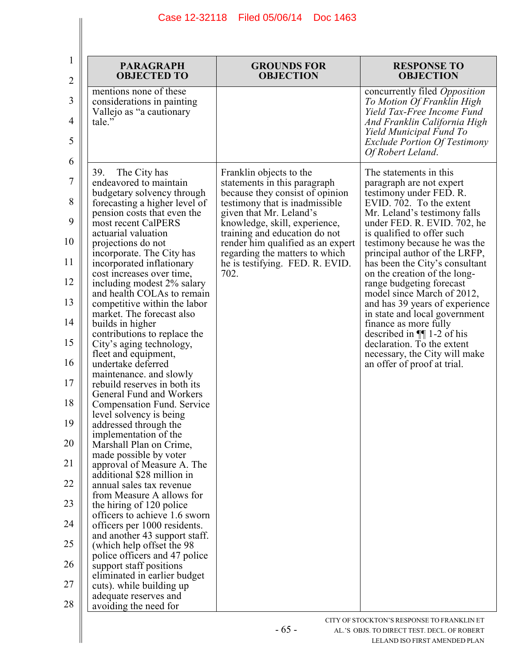| 1<br>2   | <b>PARAGRAPH</b><br><b>OBJECTED TO</b>                                                | <b>GROUNDS FOR</b><br><b>OBJECTION</b>                                    | <b>RESPONSE TO</b><br><b>OBJECTION</b>                                                         |
|----------|---------------------------------------------------------------------------------------|---------------------------------------------------------------------------|------------------------------------------------------------------------------------------------|
| 3        | mentions none of these<br>considerations in painting<br>Vallejo as "a cautionary      |                                                                           | concurrently filed Opposition<br>To Motion Of Franklin High<br>Yield Tax-Free Income Fund      |
| 4<br>5   | tale."                                                                                |                                                                           | And Franklin California High<br>Yield Municipal Fund To<br><b>Exclude Portion Of Testimony</b> |
| 6        |                                                                                       |                                                                           | Of Robert Leland.                                                                              |
| 7        | 39.<br>The City has<br>endeavored to maintain                                         | Franklin objects to the<br>statements in this paragraph                   | The statements in this<br>paragraph are not expert                                             |
| 8        | budgetary solvency through<br>forecasting a higher level of                           | because they consist of opinion<br>testimony that is inadmissible         | testimony under FED. R.<br>EVID. 702. To the extent                                            |
| 9        | pension costs that even the<br>most recent CalPERS                                    | given that Mr. Leland's<br>knowledge, skill, experience,                  | Mr. Leland's testimony falls<br>under FED. R. EVID. 702, he                                    |
| 10       | actuarial valuation<br>projections do not                                             | training and education do not<br>render him qualified as an expert        | is qualified to offer such<br>testimony because he was the                                     |
| 11       | incorporate. The City has<br>incorporated inflationary                                | regarding the matters to which<br>he is testifying. FED. R. EVID.<br>702. | principal author of the LRFP,<br>has been the City's consultant                                |
| 12       | cost increases over time,<br>including modest 2% salary<br>and health COLAs to remain |                                                                           | on the creation of the long-<br>range budgeting forecast<br>model since March of 2012,         |
| 13       | competitive within the labor<br>market. The forecast also                             |                                                                           | and has 39 years of experience<br>in state and local government                                |
| 14       | builds in higher<br>contributions to replace the                                      |                                                                           | finance as more fully<br>described in $\P$ 1-2 of his                                          |
| 15       | City's aging technology,<br>fleet and equipment,                                      |                                                                           | declaration. To the extent<br>necessary, the City will make                                    |
| 16<br>17 | undertake deferred<br>maintenance, and slowly<br>rebuild reserves in both its         |                                                                           | an offer of proof at trial.                                                                    |
| 18       | General Fund and Workers<br>Compensation Fund. Service                                |                                                                           |                                                                                                |
| 19       | level solvency is being<br>addressed through the                                      |                                                                           |                                                                                                |
| 20       | implementation of the<br>Marshall Plan on Crime,                                      |                                                                           |                                                                                                |
| 21       | made possible by voter<br>approval of Measure A. The                                  |                                                                           |                                                                                                |
| 22       | additional \$28 million in<br>annual sales tax revenue<br>from Measure A allows for   |                                                                           |                                                                                                |
| 23       | the hiring of 120 police<br>officers to achieve 1.6 sworn                             |                                                                           |                                                                                                |
| 24       | officers per 1000 residents.<br>and another 43 support staff.                         |                                                                           |                                                                                                |
| 25       | (which help offset the 98)<br>police officers and 47 police                           |                                                                           |                                                                                                |
| 26       | support staff positions<br>eliminated in earlier budget                               |                                                                           |                                                                                                |
| 27<br>28 | cuts). while building up<br>adequate reserves and<br>avoiding the need for            |                                                                           |                                                                                                |